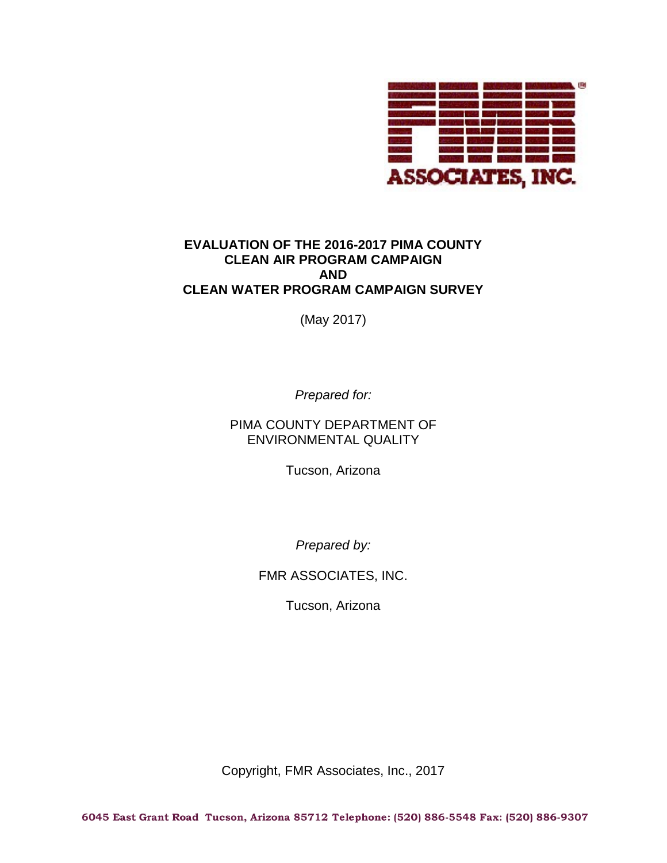

(May 2017)

*Prepared for:*

PIMA COUNTY DEPARTMENT OF ENVIRONMENTAL QUALITY

Tucson, Arizona

*Prepared by:*

FMR ASSOCIATES, INC.

Tucson, Arizona

Copyright, FMR Associates, Inc., 2017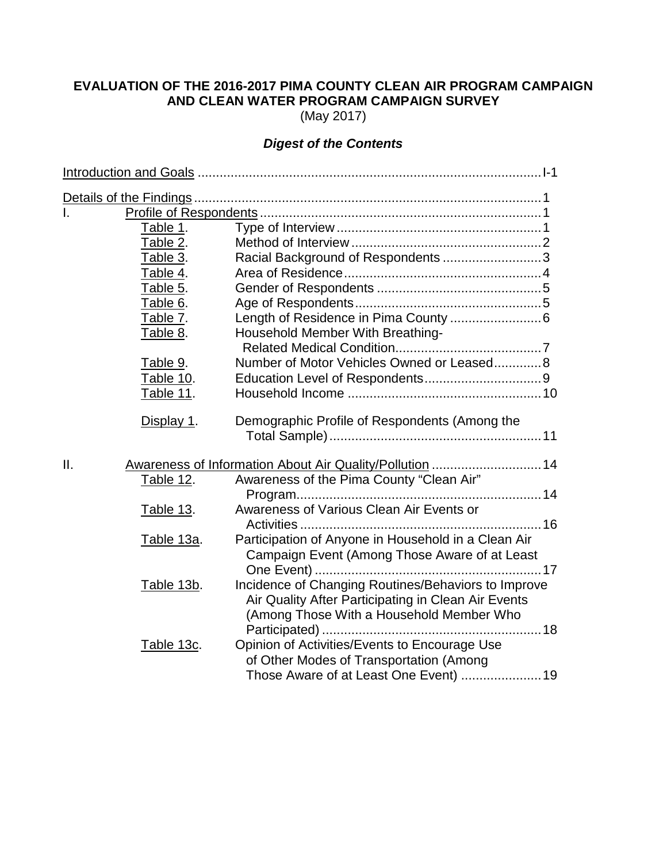(May 2017)

# *Digest of the Contents*

| Ī.  |                  |                                                                |  |
|-----|------------------|----------------------------------------------------------------|--|
|     | Table 1.         |                                                                |  |
|     | Table 2.         |                                                                |  |
|     | Table 3.         | Racial Background of Respondents3                              |  |
|     | Table 4.         |                                                                |  |
|     | Table 5.         |                                                                |  |
|     | Table 6.         |                                                                |  |
|     | Table 7.         |                                                                |  |
|     | Table 8.         | Household Member With Breathing-                               |  |
|     |                  |                                                                |  |
|     | Table 9.         | Number of Motor Vehicles Owned or Leased8                      |  |
|     | Table 10.        |                                                                |  |
|     | Table 11.        |                                                                |  |
|     | Display 1.       | Demographic Profile of Respondents (Among the                  |  |
| ΙΙ. |                  | <u>Awareness of Information About Air Quality/Pollution</u> 14 |  |
|     | Table 12.        | Awareness of the Pima County "Clean Air"                       |  |
|     |                  |                                                                |  |
|     | <b>Table 13.</b> | Awareness of Various Clean Air Events or                       |  |
|     |                  |                                                                |  |
|     | Table 13a.       | Participation of Anyone in Household in a Clean Air            |  |
|     |                  | Campaign Event (Among Those Aware of at Least                  |  |
|     |                  |                                                                |  |
|     | Table 13b.       | Incidence of Changing Routines/Behaviors to Improve            |  |
|     |                  | Air Quality After Participating in Clean Air Events            |  |
|     |                  | (Among Those With a Household Member Who                       |  |
|     |                  |                                                                |  |
|     | Table 13c.       | Opinion of Activities/Events to Encourage Use                  |  |
|     |                  | of Other Modes of Transportation (Among                        |  |
|     |                  | Those Aware of at Least One Event)  19                         |  |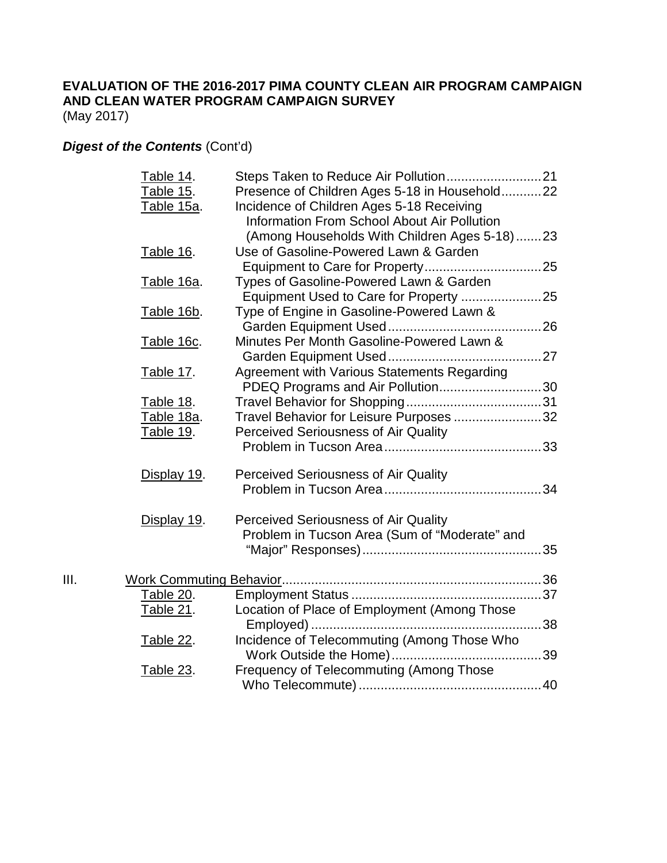(May 2017)

# *Digest of the Contents* (Cont'd)

|      | Table 14.<br>Table 15.<br>Table 15a. | Presence of Children Ages 5-18 in Household22<br>Incidence of Children Ages 5-18 Receiving<br><b>Information From School About Air Pollution</b> |  |
|------|--------------------------------------|--------------------------------------------------------------------------------------------------------------------------------------------------|--|
|      |                                      | (Among Households With Children Ages 5-18)23                                                                                                     |  |
|      | Table 16.                            | Use of Gasoline-Powered Lawn & Garden                                                                                                            |  |
|      | Table 16a.                           | Types of Gasoline-Powered Lawn & Garden                                                                                                          |  |
|      |                                      |                                                                                                                                                  |  |
|      | Table 16b.                           | Type of Engine in Gasoline-Powered Lawn &                                                                                                        |  |
|      | Table 16c.                           | Minutes Per Month Gasoline-Powered Lawn &                                                                                                        |  |
|      |                                      |                                                                                                                                                  |  |
|      | <b>Table 17.</b>                     | Agreement with Various Statements Regarding                                                                                                      |  |
|      |                                      | PDEQ Programs and Air Pollution30                                                                                                                |  |
|      | Table 18.                            |                                                                                                                                                  |  |
|      | Table 18a.                           | Travel Behavior for Leisure Purposes 32                                                                                                          |  |
|      | <b>Table 19.</b>                     | Perceived Seriousness of Air Quality                                                                                                             |  |
|      | Display 19.                          | <b>Perceived Seriousness of Air Quality</b>                                                                                                      |  |
|      |                                      |                                                                                                                                                  |  |
|      | Display 19.                          | <b>Perceived Seriousness of Air Quality</b>                                                                                                      |  |
|      |                                      | Problem in Tucson Area (Sum of "Moderate" and                                                                                                    |  |
|      |                                      |                                                                                                                                                  |  |
| III. |                                      |                                                                                                                                                  |  |
|      | <u>Table 20.</u>                     |                                                                                                                                                  |  |
|      | <b>Table 21.</b>                     | Location of Place of Employment (Among Those                                                                                                     |  |
|      | <b>Table 22.</b>                     | Incidence of Telecommuting (Among Those Who                                                                                                      |  |
|      | <b>Table 23.</b>                     | Frequency of Telecommuting (Among Those                                                                                                          |  |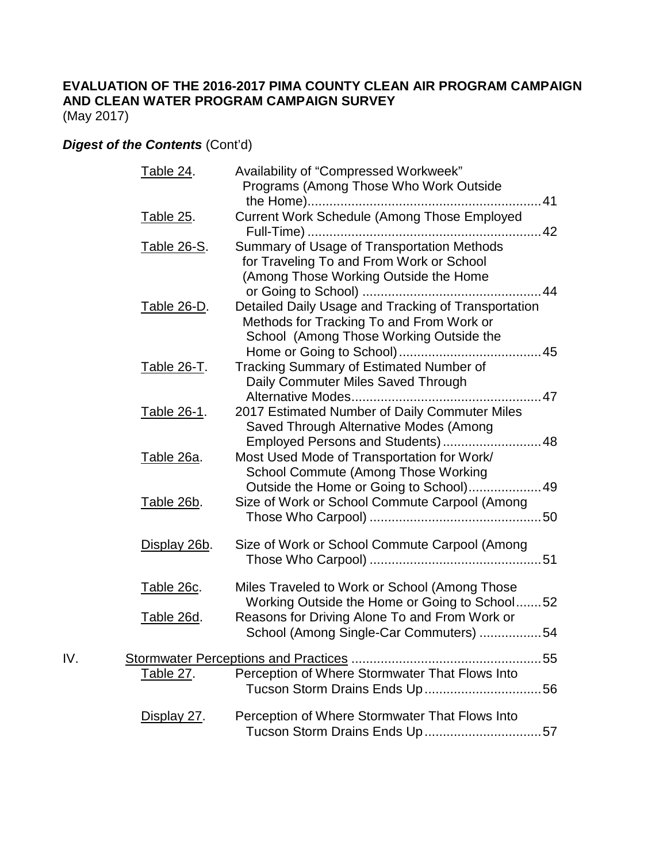(May 2017)

# *Digest of the Contents* (Cont'd)

|     | Table 24.          | Availability of "Compressed Workweek"                                                          |
|-----|--------------------|------------------------------------------------------------------------------------------------|
|     |                    | Programs (Among Those Who Work Outside                                                         |
|     |                    |                                                                                                |
|     | <u>Table 25</u> .  | Current Work Schedule (Among Those Employed                                                    |
|     | Table 26-S.        | Summary of Usage of Transportation Methods                                                     |
|     |                    | for Traveling To and From Work or School                                                       |
|     |                    | (Among Those Working Outside the Home                                                          |
|     |                    |                                                                                                |
|     | Table 26-D.        | Detailed Daily Usage and Tracking of Transportation                                            |
|     |                    | Methods for Tracking To and From Work or                                                       |
|     |                    | School (Among Those Working Outside the                                                        |
|     |                    |                                                                                                |
|     | Table 26-T.        | <b>Tracking Summary of Estimated Number of</b>                                                 |
|     |                    | Daily Commuter Miles Saved Through                                                             |
|     |                    |                                                                                                |
|     | Table 26-1.        | 2017 Estimated Number of Daily Commuter Miles                                                  |
|     |                    | Saved Through Alternative Modes (Among                                                         |
|     |                    | Employed Persons and Students)48                                                               |
|     | Table 26a.         | Most Used Mode of Transportation for Work/                                                     |
|     |                    | School Commute (Among Those Working<br>Outside the Home or Going to School)49                  |
|     | <u>Table 26b</u> . | Size of Work or School Commute Carpool (Among                                                  |
|     |                    |                                                                                                |
|     |                    |                                                                                                |
|     | Display 26b.       | Size of Work or School Commute Carpool (Among                                                  |
|     |                    |                                                                                                |
|     |                    |                                                                                                |
|     | Table 26c.         | Miles Traveled to Work or School (Among Those                                                  |
|     |                    | Working Outside the Home or Going to School52<br>Reasons for Driving Alone To and From Work or |
|     | Table 26d.         | School (Among Single-Car Commuters) 54                                                         |
|     |                    |                                                                                                |
| IV. |                    |                                                                                                |
|     | <u>Table 27.</u>   | Perception of Where Stormwater That Flows Into                                                 |
|     |                    |                                                                                                |
|     |                    |                                                                                                |
|     | Display 27.        | Perception of Where Stormwater That Flows Into<br>Tucson Storm Drains Ends Up57                |
|     |                    |                                                                                                |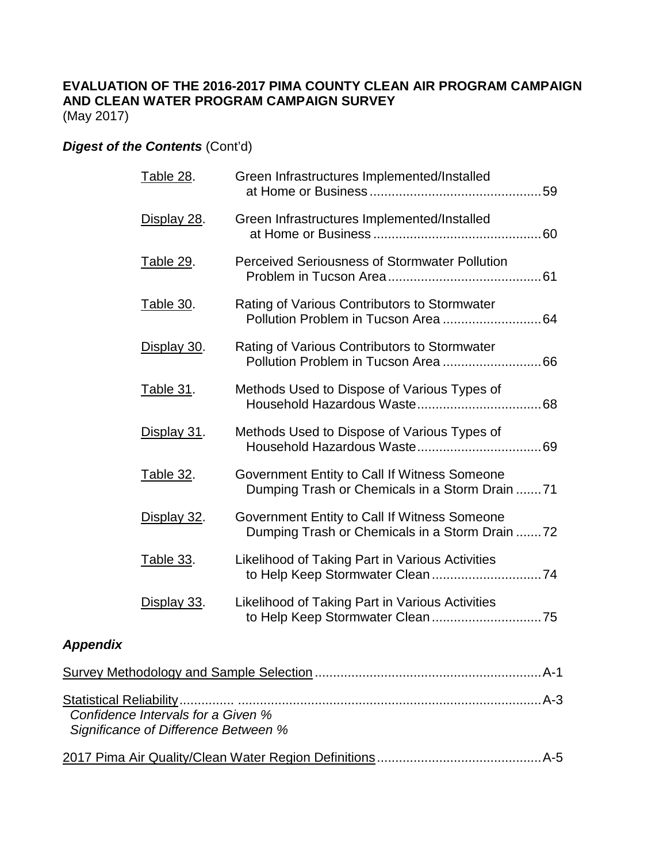(May 2017)

*Significance of Difference Between %*

# *Digest of the Contents* (Cont'd)

|                 | <b>Table 28.</b>                   | Green Infrastructures Implemented/Installed                                                    |
|-----------------|------------------------------------|------------------------------------------------------------------------------------------------|
|                 | Display 28.                        | Green Infrastructures Implemented/Installed                                                    |
|                 | Table 29.                          | <b>Perceived Seriousness of Stormwater Pollution</b>                                           |
|                 | Table 30.                          | Rating of Various Contributors to Stormwater                                                   |
|                 | Display 30.                        | Rating of Various Contributors to Stormwater                                                   |
|                 | <b>Table 31.</b>                   | Methods Used to Dispose of Various Types of                                                    |
|                 | Display 31.                        | Methods Used to Dispose of Various Types of                                                    |
|                 | Table 32.                          | Government Entity to Call If Witness Someone<br>Dumping Trash or Chemicals in a Storm Drain 71 |
|                 | Display 32.                        | Government Entity to Call If Witness Someone<br>Dumping Trash or Chemicals in a Storm Drain 72 |
|                 | Table 33.                          | Likelihood of Taking Part in Various Activities                                                |
|                 | Display 33.                        | Likelihood of Taking Part in Various Activities                                                |
| <b>Appendix</b> |                                    |                                                                                                |
|                 |                                    |                                                                                                |
|                 | Confidence Intervals for a Given % |                                                                                                |

2017 Pima Air Quality/Clean Water Region Definitions.............................................A-5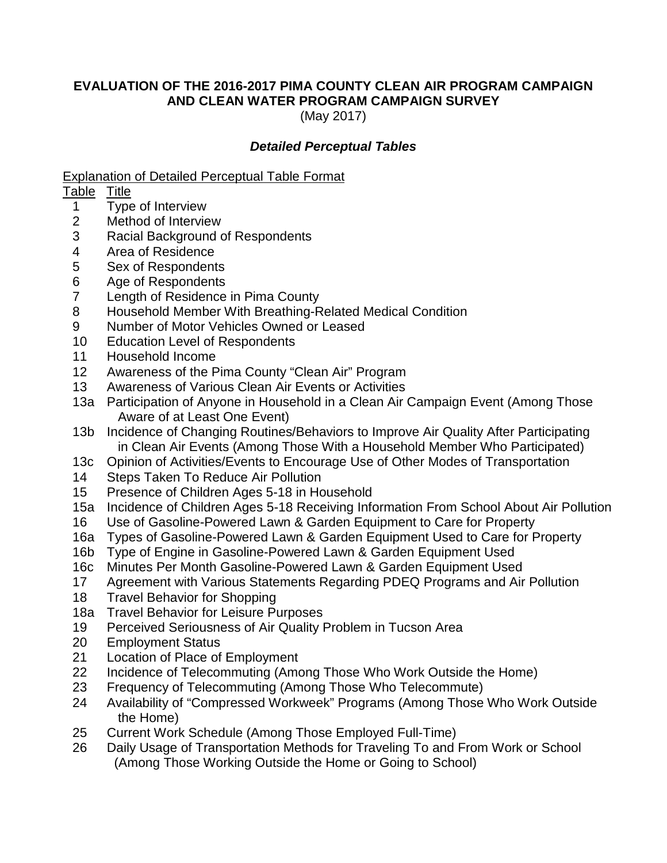(May 2017)

## *Detailed Perceptual Tables*

Explanation of Detailed Perceptual Table Format

## Table Title

- 1 Type of Interview
- 2 Method of Interview
- 3 Racial Background of Respondents
- 4 Area of Residence
- 5 Sex of Respondents
- 6 Age of Respondents
- 7 Length of Residence in Pima County
- 8 Household Member With Breathing-Related Medical Condition
- 9 Number of Motor Vehicles Owned or Leased
- 10 Education Level of Respondents
- 11 Household Income
- 12 Awareness of the Pima County "Clean Air" Program
- 13 Awareness of Various Clean Air Events or Activities
- 13a Participation of Anyone in Household in a Clean Air Campaign Event (Among Those Aware of at Least One Event)
- 13b Incidence of Changing Routines/Behaviors to Improve Air Quality After Participating in Clean Air Events (Among Those With a Household Member Who Participated)
- 13c Opinion of Activities/Events to Encourage Use of Other Modes of Transportation
- 14 Steps Taken To Reduce Air Pollution
- 15 Presence of Children Ages 5-18 in Household
- 15a Incidence of Children Ages 5-18 Receiving Information From School About Air Pollution
- 16 Use of Gasoline-Powered Lawn & Garden Equipment to Care for Property
- 16a Types of Gasoline-Powered Lawn & Garden Equipment Used to Care for Property
- 16b Type of Engine in Gasoline-Powered Lawn & Garden Equipment Used
- 16c Minutes Per Month Gasoline-Powered Lawn & Garden Equipment Used
- 17 Agreement with Various Statements Regarding PDEQ Programs and Air Pollution
- 18 Travel Behavior for Shopping
- 18a Travel Behavior for Leisure Purposes
- 19 Perceived Seriousness of Air Quality Problem in Tucson Area
- 20 Employment Status
- 21 Location of Place of Employment
- 22 Incidence of Telecommuting (Among Those Who Work Outside the Home)
- 23 Frequency of Telecommuting (Among Those Who Telecommute)
- 24 Availability of "Compressed Workweek" Programs (Among Those Who Work Outside the Home)
- 25 Current Work Schedule (Among Those Employed Full-Time)
- 26 Daily Usage of Transportation Methods for Traveling To and From Work or School (Among Those Working Outside the Home or Going to School)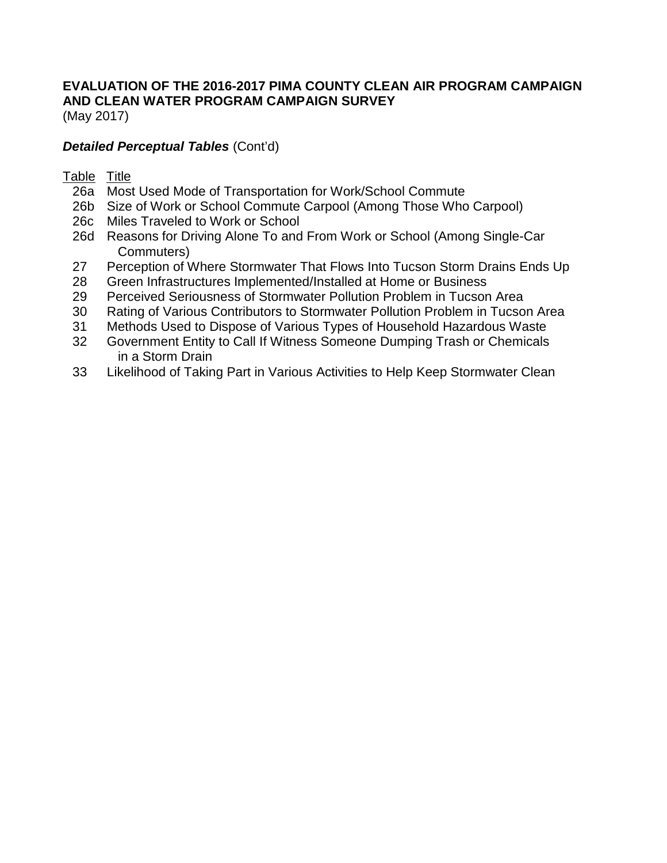(May 2017)

# *Detailed Perceptual Tables* (Cont'd)

## Table Title

- 26a Most Used Mode of Transportation for Work/School Commute
- 26b Size of Work or School Commute Carpool (Among Those Who Carpool)
- 26c Miles Traveled to Work or School
- 26d Reasons for Driving Alone To and From Work or School (Among Single-Car Commuters)
- 27 Perception of Where Stormwater That Flows Into Tucson Storm Drains Ends Up
- 28 Green Infrastructures Implemented/Installed at Home or Business
- 29 Perceived Seriousness of Stormwater Pollution Problem in Tucson Area
- 30 Rating of Various Contributors to Stormwater Pollution Problem in Tucson Area
- 31 Methods Used to Dispose of Various Types of Household Hazardous Waste
- 32 Government Entity to Call If Witness Someone Dumping Trash or Chemicals in a Storm Drain
- 33 Likelihood of Taking Part in Various Activities to Help Keep Stormwater Clean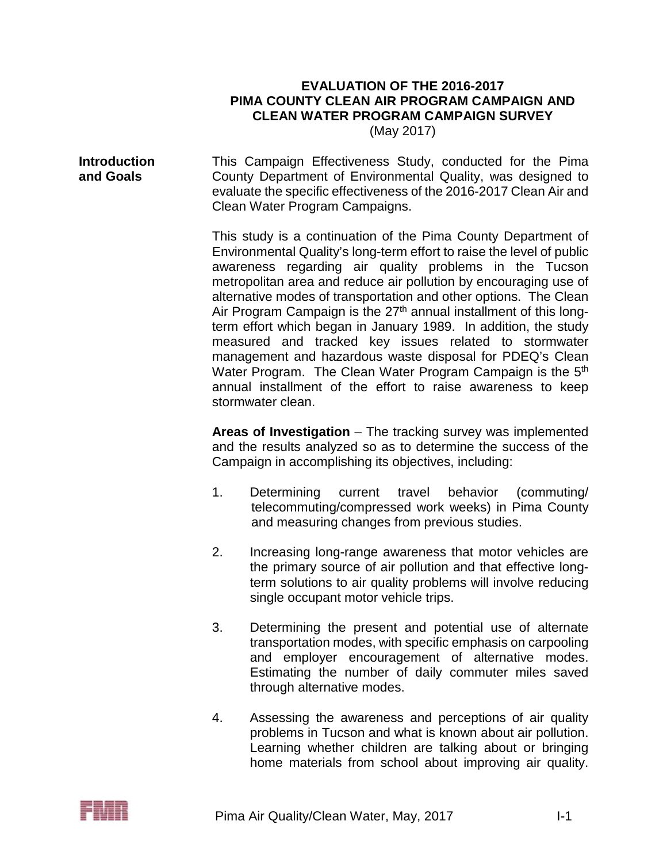(May 2017)

**Introduction and Goals** This Campaign Effectiveness Study, conducted for the Pima County Department of Environmental Quality, was designed to evaluate the specific effectiveness of the 2016-2017 Clean Air and Clean Water Program Campaigns.

> This study is a continuation of the Pima County Department of Environmental Quality's long-term effort to raise the level of public awareness regarding air quality problems in the Tucson metropolitan area and reduce air pollution by encouraging use of alternative modes of transportation and other options. The Clean Air Program Campaign is the  $27<sup>th</sup>$  annual installment of this longterm effort which began in January 1989. In addition, the study measured and tracked key issues related to stormwater management and hazardous waste disposal for PDEQ's Clean Water Program. The Clean Water Program Campaign is the 5<sup>th</sup> annual installment of the effort to raise awareness to keep stormwater clean.

> **Areas of Investigation** – The tracking survey was implemented and the results analyzed so as to determine the success of the Campaign in accomplishing its objectives, including:

- 1. Determining current travel behavior (commuting/ telecommuting/compressed work weeks) in Pima County and measuring changes from previous studies.
- 2. Increasing long-range awareness that motor vehicles are the primary source of air pollution and that effective longterm solutions to air quality problems will involve reducing single occupant motor vehicle trips.
- 3. Determining the present and potential use of alternate transportation modes, with specific emphasis on carpooling and employer encouragement of alternative modes. Estimating the number of daily commuter miles saved through alternative modes.
- 4. Assessing the awareness and perceptions of air quality problems in Tucson and what is known about air pollution. Learning whether children are talking about or bringing home materials from school about improving air quality.

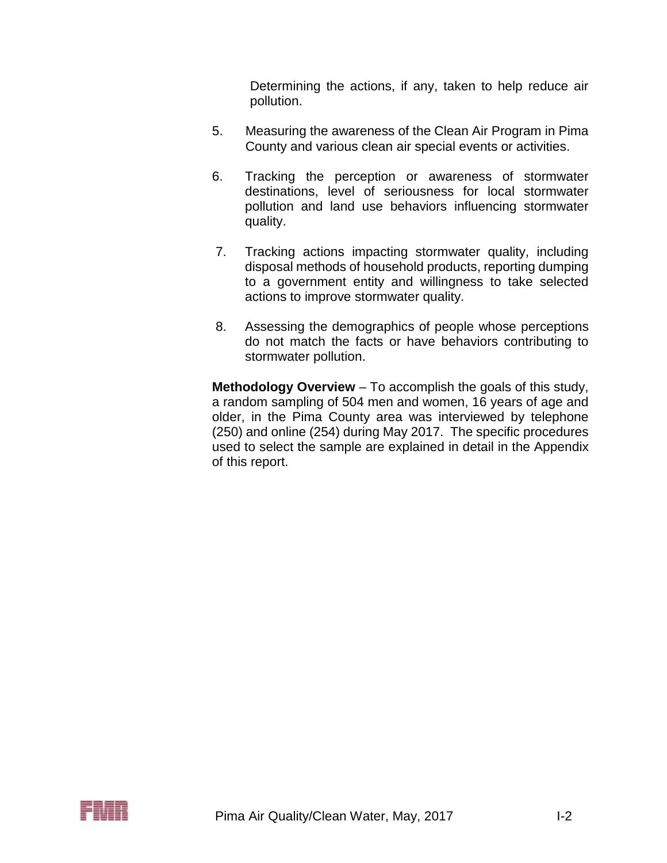Determining the actions, if any, taken to help reduce air pollution.

- 5. Measuring the awareness of the Clean Air Program in Pima County and various clean air special events or activities.
- 6. Tracking the perception or awareness of stormwater destinations, level of seriousness for local stormwater pollution and land use behaviors influencing stormwater quality.
- 7. Tracking actions impacting stormwater quality, including disposal methods of household products, reporting dumping to a government entity and willingness to take selected actions to improve stormwater quality.
- 8. Assessing the demographics of people whose perceptions do not match the facts or have behaviors contributing to stormwater pollution.

**Methodology Overview** – To accomplish the goals of this study, a random sampling of 504 men and women, 16 years of age and older, in the Pima County area was interviewed by telephone (250) and online (254) during May 2017. The specific procedures used to select the sample are explained in detail in the Appendix of this report.

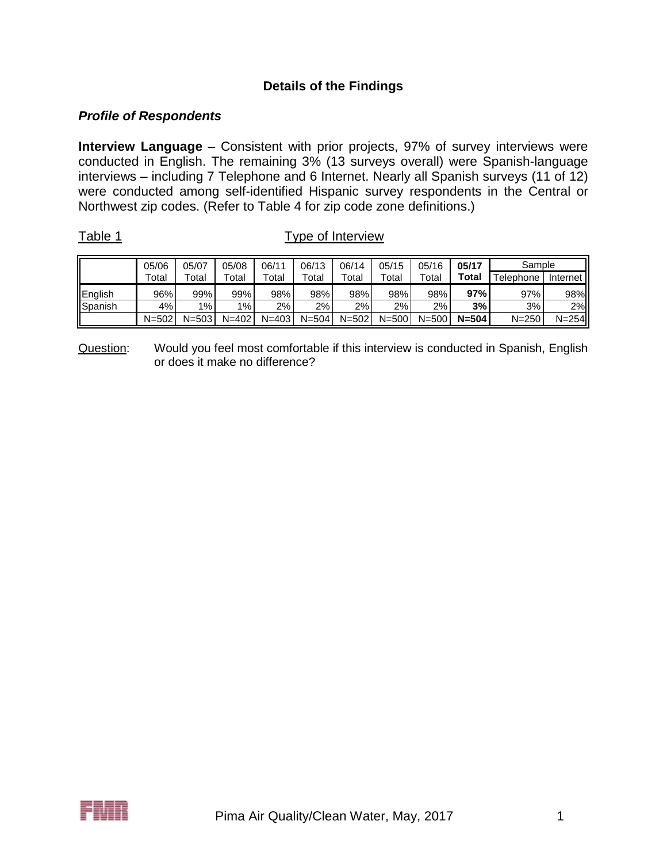# **Details of the Findings**

### *Profile of Respondents*

**Interview Language** – Consistent with prior projects, 97% of survey interviews were conducted in English. The remaining 3% (13 surveys overall) were Spanish-language interviews – including 7 Telephone and 6 Internet. Nearly all Spanish surveys (11 of 12) were conducted among self-identified Hispanic survey respondents in the Central or Northwest zip codes. (Refer to Table 4 for zip code zone definitions.)

Table 1 Type of Interview

|                  | 05/06       | 05/07       | 05/08       | 06/11       | 06/13     | 06/14     | 05/15     | 05/16     | 05/17     | Sample                |           |
|------------------|-------------|-------------|-------------|-------------|-----------|-----------|-----------|-----------|-----------|-----------------------|-----------|
|                  | $\tau$ otal | $\tau$ otal | $\tau$ otal | $\tau$ otal | Total     | Total     | Total     | Total     | Total     | <sup>-</sup> elephone | Internet  |
| English          | 96%         | 99%         | 99%         | 98%         | 98%       | 98%       | 98%       | 98%       | 97%       | 97%                   | 98%       |
| <b>I</b> Spanish | 4%          | $1\%$       | 1%          | $2\%$       | $2\%$     | 2%        | 2%        | $2\%$     | 3%        | 3%                    | 2%        |
|                  | $N = 502$   | $N = 503$   | $N = 402$   | $N = 403$   | $N = 504$ | $N = 502$ | $N = 500$ | $N = 500$ | $N = 504$ | $N = 250$             | $N = 254$ |

Question: Would you feel most comfortable if this interview is conducted in Spanish, English or does it make no difference?

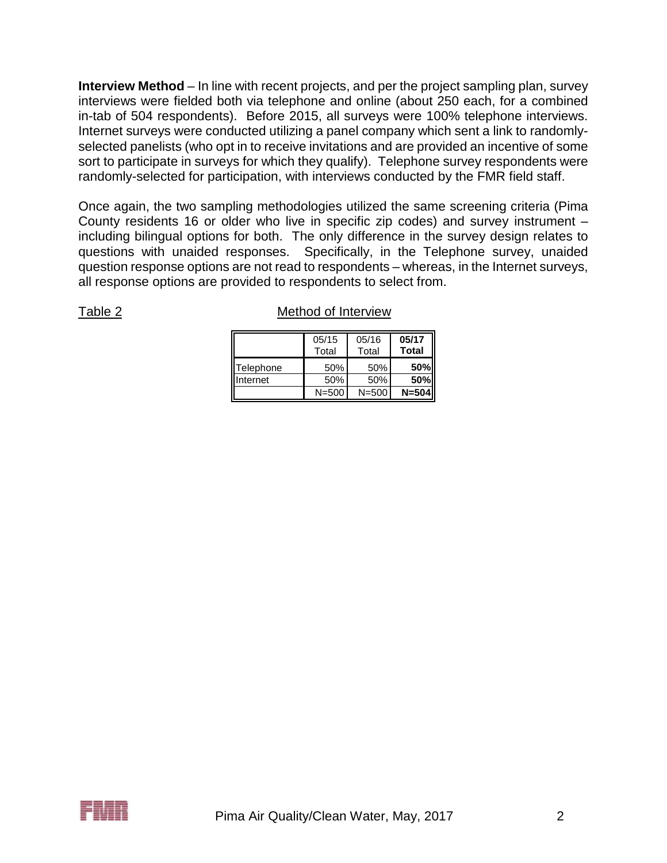**Interview Method** – In line with recent projects, and per the project sampling plan, survey interviews were fielded both via telephone and online (about 250 each, for a combined in-tab of 504 respondents). Before 2015, all surveys were 100% telephone interviews. Internet surveys were conducted utilizing a panel company which sent a link to randomlyselected panelists (who opt in to receive invitations and are provided an incentive of some sort to participate in surveys for which they qualify). Telephone survey respondents were randomly-selected for participation, with interviews conducted by the FMR field staff.

Once again, the two sampling methodologies utilized the same screening criteria (Pima County residents 16 or older who live in specific zip codes) and survey instrument – including bilingual options for both. The only difference in the survey design relates to questions with unaided responses. Specifically, in the Telephone survey, unaided question response options are not read to respondents – whereas, in the Internet surveys, all response options are provided to respondents to select from.

|           | 05/15<br>Total | 05/16<br>Total | 05/17<br><b>Total</b> |
|-----------|----------------|----------------|-----------------------|
| Telephone | 50%            | 50%            | <b>50%</b>            |
| Internet  | 50%            | 50%            | <b>50%</b>            |
|           | $N = 500$      | $N = 500$      | $N = 504$             |

### Table 2 Method of Interview

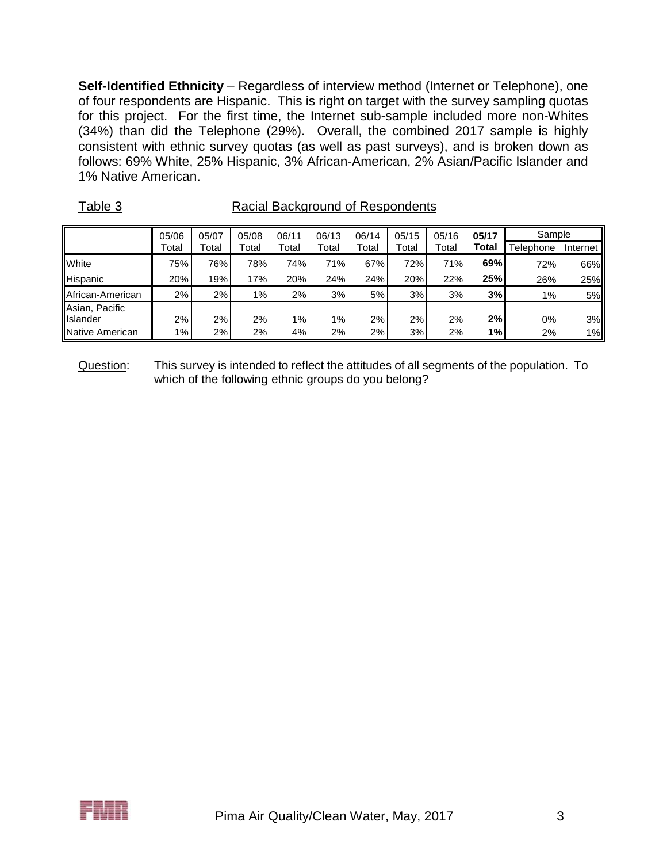**Self-Identified Ethnicity** – Regardless of interview method (Internet or Telephone), one of four respondents are Hispanic. This is right on target with the survey sampling quotas for this project. For the first time, the Internet sub-sample included more non-Whites (34%) than did the Telephone (29%). Overall, the combined 2017 sample is highly consistent with ethnic survey quotas (as well as past surveys), and is broken down as follows: 69% White, 25% Hispanic, 3% African-American, 2% Asian/Pacific Islander and 1% Native American.

| $\sim$ $\sim$ $\sim$ $\sim$ |       |       |       |       |       |       |       |       |       |           |          |
|-----------------------------|-------|-------|-------|-------|-------|-------|-------|-------|-------|-----------|----------|
|                             | 05/06 | 05/07 | 05/08 | 06/11 | 06/13 | 06/14 | 05/15 | 05/16 | 05/17 | Sample    |          |
|                             | Total | Total | Total | Total | Total | Total | Total | Total | Total | Telephone | Internet |
| White                       | 75%   | 76%   | 78%   | 74%   | 71%   | 67%   | 72%   | 71%   | 69%   | 72%       | 66%      |
| Hispanic                    | 20%   | 19%   | 17%   | 20%   | 24%   | 24%   | 20%   | 22%   | 25%   | 26%       | 25%      |
| African-American            | $2\%$ | 2%    | $1\%$ | 2%    | 3%    | 5%    | 3%    | 3%    | 3%    | $1\%$     | 5%       |
| Asian, Pacific              |       |       |       |       |       |       |       |       |       |           |          |
| Islander                    | 2%    | 2%    | $2\%$ | 1%    | $1\%$ | 2%    | 2%    | 2%    | 2%    | 0%        | 3%       |
| Native American             | 1%    | 2%    | 2%    | 4%    | 2%    | 2%    | 3%    | 2%    | 1%    | 2%        | 1%       |

Table 3 Racial Background of Respondents

Question: This survey is intended to reflect the attitudes of all segments of the population. To which of the following ethnic groups do you belong?

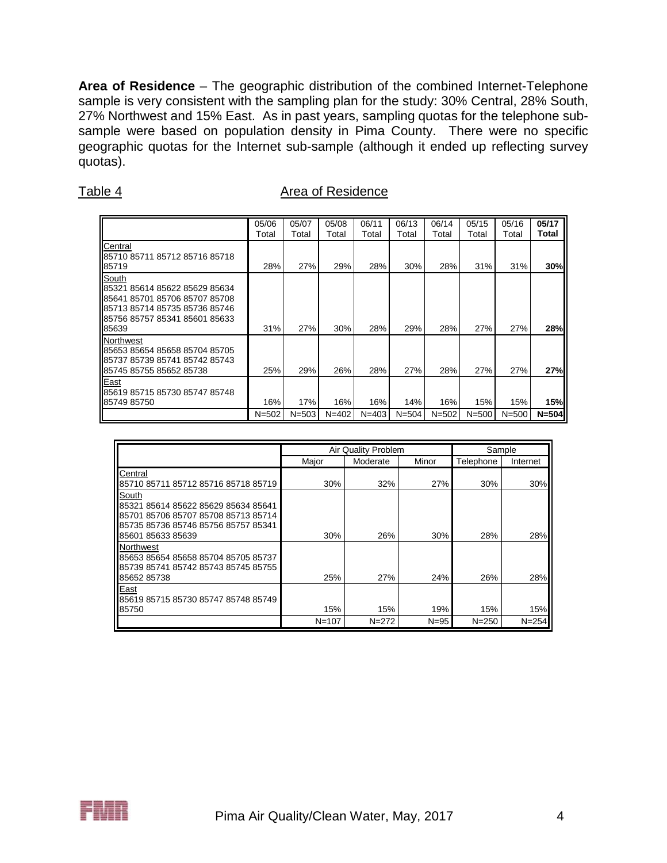**Area of Residence** – The geographic distribution of the combined Internet-Telephone sample is very consistent with the sampling plan for the study: 30% Central, 28% South, 27% Northwest and 15% East. As in past years, sampling quotas for the telephone subsample were based on population density in Pima County. There were no specific geographic quotas for the Internet sub-sample (although it ended up reflecting survey quotas).

| г | ۱<br>ю |  |
|---|--------|--|
|   |        |  |

#### Area of Residence

|                                                                                                                                                    | 05/06<br>Total   | 05/07<br>Total   | 05/08<br>Total   | 06/11<br>Total   | 06/13<br>Total   | 06/14<br>Total   | 05/15<br>Total   | 05/16<br>Total   | 05/17<br>Total   |
|----------------------------------------------------------------------------------------------------------------------------------------------------|------------------|------------------|------------------|------------------|------------------|------------------|------------------|------------------|------------------|
| Central<br>85710 85711 85712 85716 85718<br>85719                                                                                                  | 28%              | 27%              | 29%              | 28%              | 30%              | 28%              | 31%              | 31%              | 30%              |
| South<br>85321 85614 85622 85629 85634<br>85641 85701 85706 85707 85708<br>85713 85714 85735 85736 85746<br>85756 85757 85341 85601 85633<br>85639 | 31%              | 27%              | 30%              | 28%              | 29%              | 28%              | 27%              | 27%              | 28%              |
| Northwest<br>85653 85654 85658 85704 85705<br>85737 85739 85741 85742 85743<br>85745 85755 85652 85738                                             | 25%              | 29%              | 26%              | 28%              | 27%              | 28%              | 27%              | 27%              | 27%              |
| East<br>85619 85715 85730 85747 85748<br>85749 85750                                                                                               | 16%<br>$N = 502$ | 17%<br>$N = 503$ | 16%<br>$N = 402$ | 16%<br>$N = 403$ | 14%<br>$N = 504$ | 16%<br>$N = 502$ | 15%<br>$N = 500$ | 15%<br>$N = 500$ | 15%<br>$N = 504$ |

|                                                                                                                                                 |           | Air Quality Problem |          | Sample    |           |
|-------------------------------------------------------------------------------------------------------------------------------------------------|-----------|---------------------|----------|-----------|-----------|
|                                                                                                                                                 | Major     | Moderate            | Minor    | Telephone | Internet  |
| Central<br>85710 85711 85712 85716 85718 85719                                                                                                  | 30%       | 32%                 | 27%      | 30%       | 30%       |
| South<br>85321 85614 85622 85629 85634 85641<br>85701 85706 85707 85708 85713 85714<br>85735 85736 85746 85756 85757 85341<br>85601 85633 85639 | 30%       | 26%                 | 30%      | 28%       | 28%       |
| Northwest<br>85653 85654 85658 85704 85705 85737<br>85739 85741 85742 85743 85745 85755<br>85652 85738                                          | 25%       | 27%                 | 24%      | 26%       | 28%       |
| East<br>85619 85715 85730 85747 85748 85749<br>85750                                                                                            | 15%       | 15%                 | 19%      | 15%       | 15%       |
|                                                                                                                                                 | $N = 107$ | $N = 272$           | $N = 95$ | $N = 250$ | $N = 254$ |

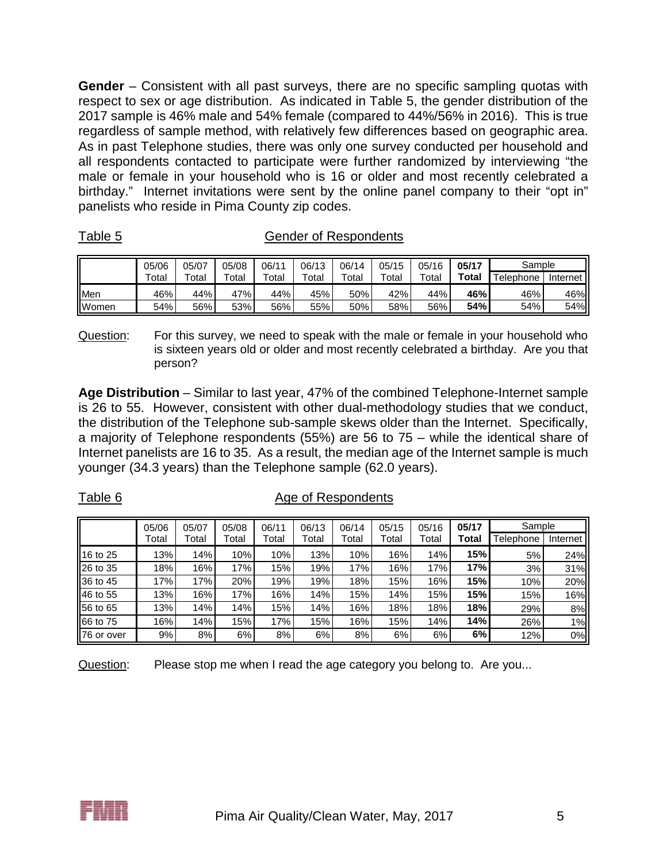**Gender** – Consistent with all past surveys, there are no specific sampling quotas with respect to sex or age distribution. As indicated in Table 5, the gender distribution of the 2017 sample is 46% male and 54% female (compared to 44%/56% in 2016). This is true regardless of sample method, with relatively few differences based on geographic area. As in past Telephone studies, there was only one survey conducted per household and all respondents contacted to participate were further randomized by interviewing "the male or female in your household who is 16 or older and most recently celebrated a birthday." Internet invitations were sent by the online panel company to their "opt in" panelists who reside in Pima County zip codes.

|       | 05/06 | 05/07       | 05/08       | 06/11 | 06/13       | 06/14       | 05/15 | 05/16                  | 05/17        | Sample    |            |
|-------|-------|-------------|-------------|-------|-------------|-------------|-------|------------------------|--------------|-----------|------------|
|       | Total | $\tau$ otal | $\tau$ otal | Total | $\tau$ otal | $\tau$ otal | Total | $\tau$ <sub>otal</sub> | <b>Total</b> | Telephone | Internet I |
| Men   | 46%   | 44%         | 47%         | 44%   | 45%         | 50%         | 42%   | 44%                    | 46%          | 46%       | 46%        |
| Women | 54%   | 56%         | 53%         | 56%   | 55%         | 50%         | 58%   | 56%                    | 54%          | 54%       | 54%        |

Table 5 Gender of Respondents

Question: For this survey, we need to speak with the male or female in your household who is sixteen years old or older and most recently celebrated a birthday. Are you that person?

**Age Distribution** – Similar to last year, 47% of the combined Telephone-Internet sample is 26 to 55. However, consistent with other dual-methodology studies that we conduct, the distribution of the Telephone sub-sample skews older than the Internet. Specifically, a majority of Telephone respondents (55%) are 56 to 75 – while the identical share of Internet panelists are 16 to 35. As a result, the median age of the Internet sample is much younger (34.3 years) than the Telephone sample (62.0 years).

|--|

#### Age of Respondents

|            | 05/06 | 05/07 | 05/08 | 06/11 | 06/13 | 06/14 | 05/15 | 05/16 | Sample<br>05/17 |           |          |
|------------|-------|-------|-------|-------|-------|-------|-------|-------|-----------------|-----------|----------|
|            | Total | Total | Total | Total | Total | Total | Total | Total | Total           | Telephone | Internet |
| 16 to 25   | 13%   | 14%   | 10%   | 10%   | 13%   | 10%   | 16%   | 14%   | 15%             | 5%        | 24%      |
| 26 to 35   | 18%   | 16%   | 17%   | 15%   | 19%   | 17%   | 16%   | 17%   | 17%             | 3%        | 31%      |
| 36 to 45   | 17%   | 17%   | 20%   | 19%   | 19%   | 18%   | 15%   | 16%   | 15%             | 10%       | 20%      |
| 46 to 55   | 13%   | 16%   | 17%   | 16%   | 14%   | 15%   | 14%   | 15%   | 15%             | 15%       | 16%      |
| 56 to 65   | 13%   | 14%   | 14%   | 15%   | 14%   | 16%   | 18%   | 18%   | 18%             | 29%       | 8%       |
| 66 to 75   | 16%   | 14%   | 15%   | 17%   | 15%   | 16%   | 15%   | 14%   | 14%             | 26%       | 1%       |
| 76 or over | 9%    | 8%    | 6%    | 8%    | 6%    | 8%    | 6%    | 6%    | 6%              | 12%       | 0%       |

Question: Please stop me when I read the age category you belong to. Are you...

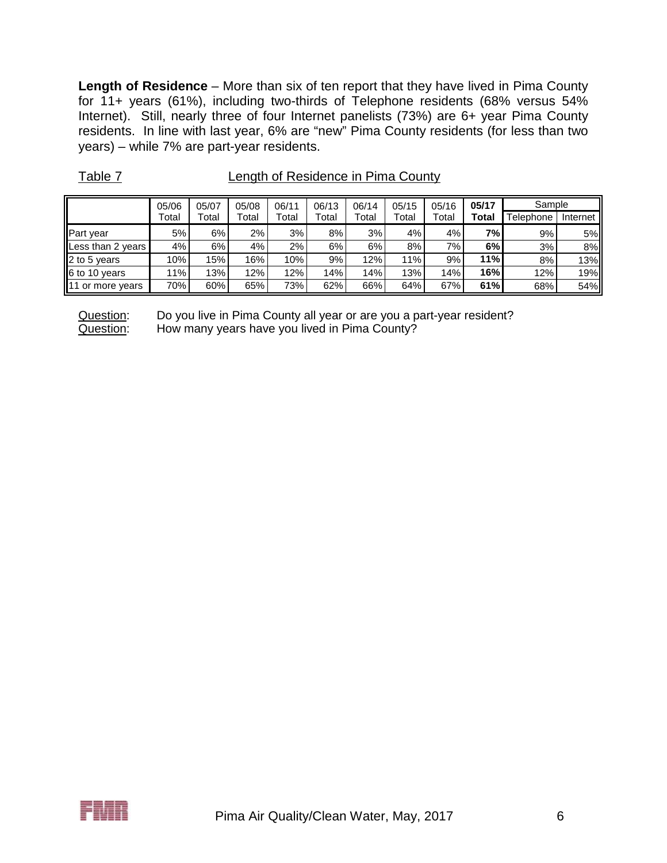**Length of Residence** – More than six of ten report that they have lived in Pima County for 11+ years (61%), including two-thirds of Telephone residents (68% versus 54% Internet). Still, nearly three of four Internet panelists (73%) are 6+ year Pima County residents. In line with last year, 6% are "new" Pima County residents (for less than two years) – while 7% are part-year residents.

|                   | 05/06 | 05/07 | 05/08 | 06/11 | 06/13 | 06/14 | 05/15 | 05/16 | 05/17 | Sample    |          |
|-------------------|-------|-------|-------|-------|-------|-------|-------|-------|-------|-----------|----------|
|                   | Total | Total | Total | Total | Total | Total | Total | Total | Total | Telephone | Internet |
| Part year         | 5%    | 6%    | 2%    | 3%    | 8%    | 3%    | 4%    | 4%    | 7%    | 9%        | 5%       |
| Less than 2 years | 4%    | 6%    | 4%    | 2%    | 6%    | 6%    | 8%    | 7%    | 6%    | 3%        | 8%       |
| 2 to 5 years      | 10%   | 15%   | 16%   | 10%   | 9%    | 12%   | 11%   | 9%    | 11%   | 8%        | 13%      |
| 6 to 10 years     | 1%    | 13%   | 12%   | 12%   | 14%   | 14%   | 13%   | 14%   | 16%   | 12%       | 19%      |
| 11 or more years  | 70%   | 60%   | 65%   | 73%   | 62%   | 66%   | 64%   | 67%   | 61%   | 68%       | 54%      |

Table 7 Length of Residence in Pima County

Question: Do you live in Pima County all year or are you a part-year resident? Question: How many years have you lived in Pima County?

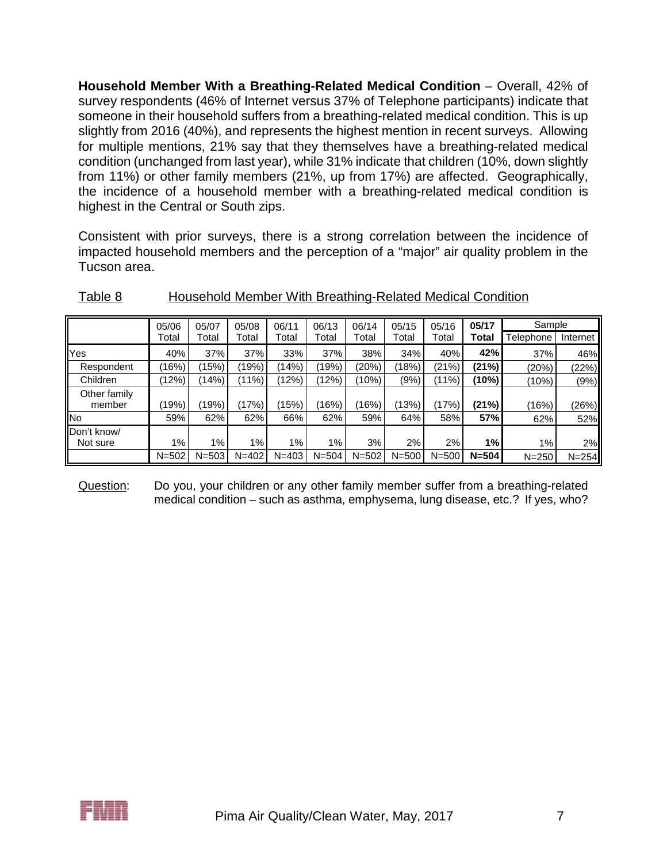**Household Member With a Breathing-Related Medical Condition** – Overall, 42% of survey respondents (46% of Internet versus 37% of Telephone participants) indicate that someone in their household suffers from a breathing-related medical condition. This is up slightly from 2016 (40%), and represents the highest mention in recent surveys. Allowing for multiple mentions, 21% say that they themselves have a breathing-related medical condition (unchanged from last year), while 31% indicate that children (10%, down slightly from 11%) or other family members (21%, up from 17%) are affected. Geographically, the incidence of a household member with a breathing-related medical condition is highest in the Central or South zips.

Consistent with prior surveys, there is a strong correlation between the incidence of impacted household members and the perception of a "major" air quality problem in the Tucson area.

|                         | 05/06     | 05/07     | 05/08     | 06/11     | 06/13     | 06/14     | 05/15     | 05/16     | 05/17     | Sample    |           |
|-------------------------|-----------|-----------|-----------|-----------|-----------|-----------|-----------|-----------|-----------|-----------|-----------|
|                         | Total     | Total     | Total     | Total     | Total     | Total     | Total     | Total     | Total     | Telephone | Internet  |
| Yes                     | 40%       | 37%       | 37%       | 33%       | 37%       | 38%       | 34%       | 40%       | 42%       | 37%       | 46%       |
| Respondent              | 16%       | (15%)     | 19%)      | (14%)     | (19%)     | (20%)     | (18%)     | (21%)     | (21%)     | (20%)     | (22%)     |
| Children                | 12%       | (14%)     | $(11\%)$  | (12%)     | (12%)     | (10%)     | (9%)      | $(11\%)$  | (10%)     | (10%)     | (9%)      |
| Other family<br>member  | (19%)     | (19%)     | (17%)     | (15%)     | (16%)     | (16%)     | (13%)     | (17%)     | (21%)     | (16%)     | (26%)     |
| No.                     | 59%       | 62%       | 62%       | 66%       | 62%       | 59%       | 64%       | 58%       | 57%       | 62%       | 52%       |
| Don't know/<br>Not sure | 1%        | $1\%$     | 1%        | $1\%$     | 1%        | 3%        | 2%        | 2%        | 1%        | 1%        | 2%        |
|                         | $N = 502$ | $N = 503$ | $N = 402$ | $N = 403$ | $N = 504$ | $N = 502$ | $N = 500$ | $N = 500$ | $N = 504$ | $N = 250$ | $N = 254$ |

## Table 8 Household Member With Breathing-Related Medical Condition

Question: Do you, your children or any other family member suffer from a breathing-related medical condition – such as asthma, emphysema, lung disease, etc.? If yes, who?

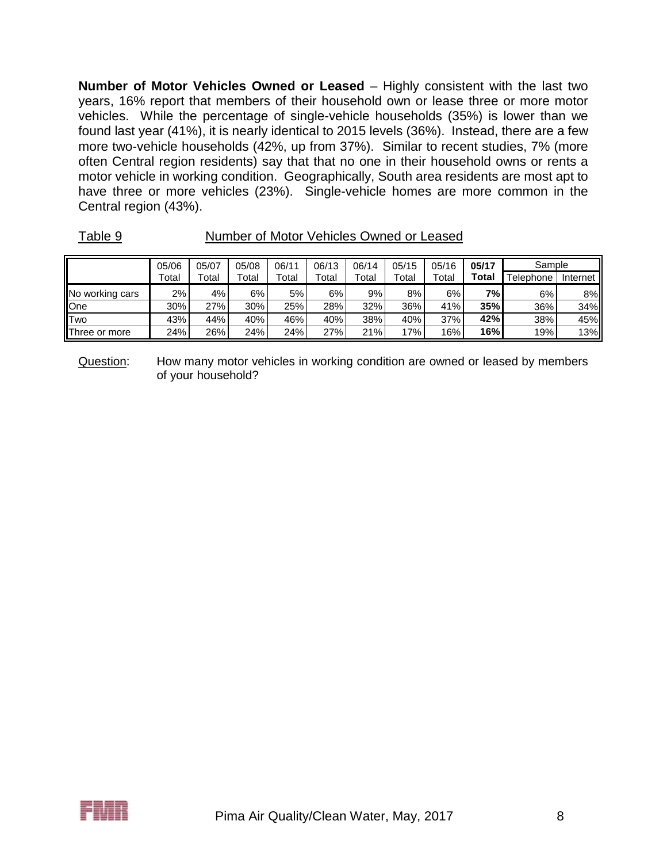**Number of Motor Vehicles Owned or Leased** – Highly consistent with the last two years, 16% report that members of their household own or lease three or more motor vehicles. While the percentage of single-vehicle households (35%) is lower than we found last year (41%), it is nearly identical to 2015 levels (36%). Instead, there are a few more two-vehicle households (42%, up from 37%). Similar to recent studies, 7% (more often Central region residents) say that that no one in their household owns or rents a motor vehicle in working condition. Geographically, South area residents are most apt to have three or more vehicles (23%). Single-vehicle homes are more common in the Central region (43%).

|                       | 05/06 | 05/07 | 05/08 | 06/11 | 06/13 | 06/14 | 05/15 | 05/16 | 05/17        | Sample    |          |
|-----------------------|-------|-------|-------|-------|-------|-------|-------|-------|--------------|-----------|----------|
|                       | Total | Total | Total | Total | Total | Total | Total | Total | <b>Total</b> | Telephone | Internet |
| No working cars       | 2%    | 4%    | 6%    | 5%    | 6%    | 9%    | 8%    | 6%    | 7%           | 6%        | 8%       |
| One                   | 30%   | 27%   | 30%   | 25%   | 28%   | 32%   | 36%   | 41%   | 35%          | 36%       | 34%      |
| <b>Two</b>            | 43%   | 44%   | 40%   | 46%   | 40%   | 38%   | 40%   | 37%   | 42%          | 38%       | 45%      |
| <b>IThree or more</b> | 24%   | 26%   | 24%   | 24%   | 27%   | 21%   | 17%   | 16%   | 16%          | 19%       | 13%      |

Table 9 Number of Motor Vehicles Owned or Leased

Question: How many motor vehicles in working condition are owned or leased by members of your household?

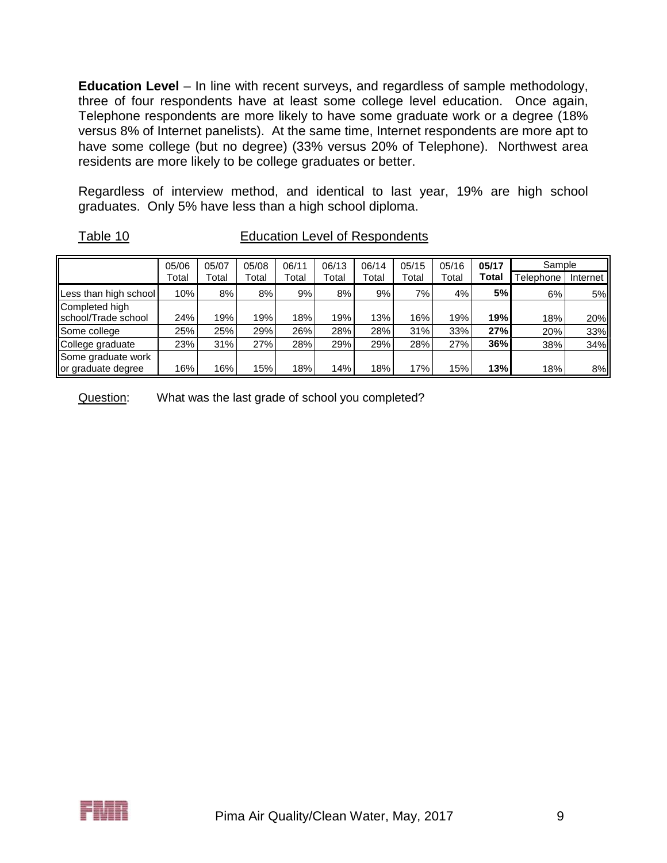**Education Level** – In line with recent surveys, and regardless of sample methodology, three of four respondents have at least some college level education. Once again, Telephone respondents are more likely to have some graduate work or a degree (18% versus 8% of Internet panelists). At the same time, Internet respondents are more apt to have some college (but no degree) (33% versus 20% of Telephone). Northwest area residents are more likely to be college graduates or better.

Regardless of interview method, and identical to last year, 19% are high school graduates. Only 5% have less than a high school diploma.

| Table |  | -10 |  |
|-------|--|-----|--|
|       |  |     |  |

**Education Level of Respondents** 

|                                          | 05/06 | 05/07 | 05/08 | 06/11 | 06/13 | 06/14 | 05/15 | 05/16 | 05/17 | Sample    |            |
|------------------------------------------|-------|-------|-------|-------|-------|-------|-------|-------|-------|-----------|------------|
|                                          | Total | Total | Total | Total | Total | Total | Total | Total | Total | Telephone | Internet I |
| Less than high school                    | 10%   | 8%    | 8%    | 9%    | 8%    | 9%    | 7%    | 4%    | 5%    | 6%        | 5%         |
| Completed high                           |       |       |       |       |       |       |       |       |       |           |            |
| school/Trade school                      | 24%   | 19%   | 19%   | 18%   | 19%   | 13%   | 16%   | 19%   | 19%   | 18%       | 20%        |
| Some college                             | 25%   | 25%   | 29%   | 26%   | 28%   | 28%   | 31%   | 33%   | 27%   | 20%       | 33%        |
| College graduate                         | 23%   | 31%   | 27%   | 28%   | 29%   | 29%   | 28%   | 27%   | 36%   | 38%       | 34%        |
| Some graduate work<br>or graduate degree | 16%   | 16%   | 15%   | 18%   | 14%   | 18%   | 17%   | 15%   | 13%   | 18%       | 8%         |

Question: What was the last grade of school you completed?

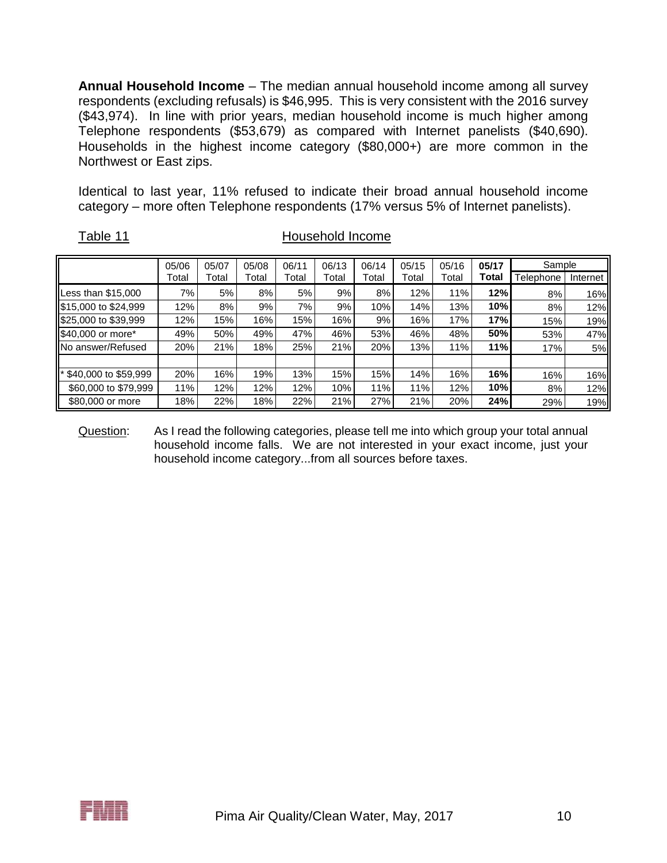**Annual Household Income** – The median annual household income among all survey respondents (excluding refusals) is \$46,995. This is very consistent with the 2016 survey (\$43,974). In line with prior years, median household income is much higher among Telephone respondents (\$53,679) as compared with Internet panelists (\$40,690). Households in the highest income category (\$80,000+) are more common in the Northwest or East zips.

Identical to last year, 11% refused to indicate their broad annual household income category – more often Telephone respondents (17% versus 5% of Internet panelists).

|--|

|  | Table 11 | Household Income |
|--|----------|------------------|
|--|----------|------------------|

|                                     | 05/06 | 05/07 | 05/08 | 06/11 | 06/13 | 06/14 | 05/15 | 05/16 | 05/17 | Sample    |          |
|-------------------------------------|-------|-------|-------|-------|-------|-------|-------|-------|-------|-----------|----------|
|                                     | Total | Total | Total | Total | Total | Total | Total | Total | Total | Telephone | Internet |
| Less than $$15,000$                 | 7%    | 5%    | 8%    | 5%    | 9%    | 8%    | 12%   | 11%   | 12%   | 8%        | $16\%$   |
| \$15,000 to \$24,999                | 12%   | 8%    | 9%    | 7%    | 9%    | 10%   | 14%   | 13%   | 10%   | 8%        | $12\%$   |
| \$25,000 to \$39,999                | 12%   | 15%   | 16%   | 15%   | 16%   | 9%    | 16%   | 17%   | 17%   | 15%       | 19%      |
| \$40,000 or more*                   | 49%   | 50%   | 49%   | 47%   | 46%   | 53%   | 46%   | 48%   | 50%   | 53%       | 47%      |
| No answer/Refused                   | 20%   | 21%   | 18%   | 25%   | 21%   | 20%   | 13%   | 11%   | 11%   | 17%       | 5%       |
|                                     |       |       |       |       |       |       |       |       |       |           |          |
| $\mathsf{I}^*$ \$40,000 to \$59,999 | 20%   | 16%   | 19%   | 13%   | 15%   | 15%   | 14%   | 16%   | 16%   | 16%       | $16\%$   |
| \$60,000 to \$79,999                | 11%   | 12%   | 12%   | 12%   | 10%   | 11%   | 11%   | 12%   | 10%   | 8%        | 12%      |
| \$80,000 or more                    | 18%   | 22%   | 18%   | 22%   | 21%   | 27%   | 21%   | 20%   | 24%   | 29%       | 19%      |

Question: As I read the following categories, please tell me into which group your total annual household income falls. We are not interested in your exact income, just your household income category...from all sources before taxes.

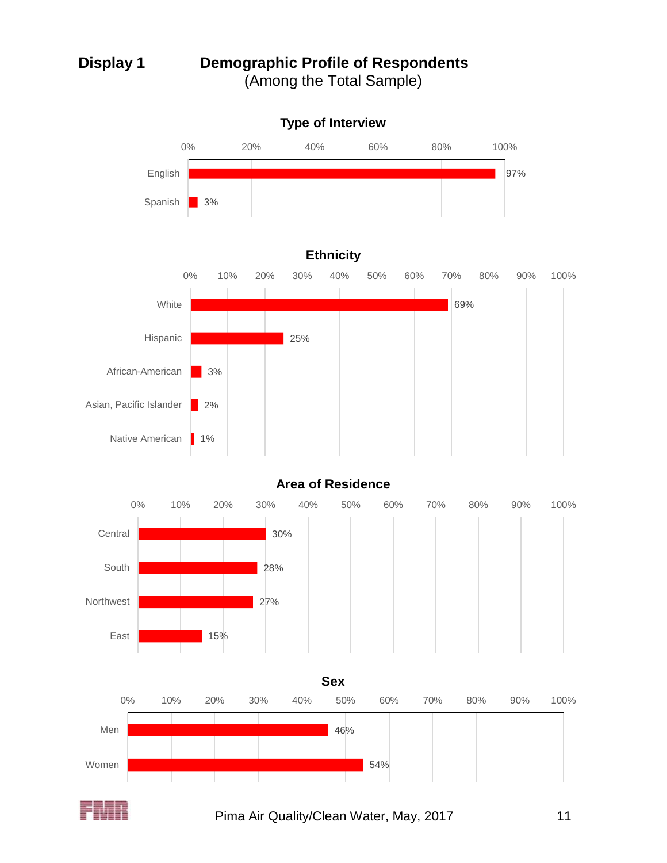# **Display 1 Demographic Profile of Respondents** (Among the Total Sample)









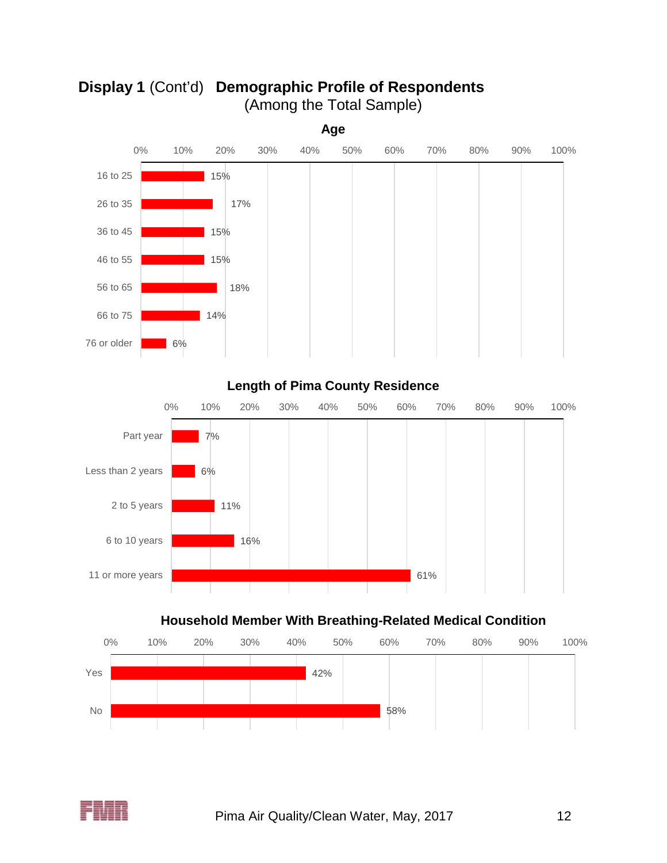

**Display 1** (Cont'd) **Demographic Profile of Respondents** (Among the Total Sample)

**Length of Pima County Residence**



# **Household Member With Breathing-Related Medical Condition**



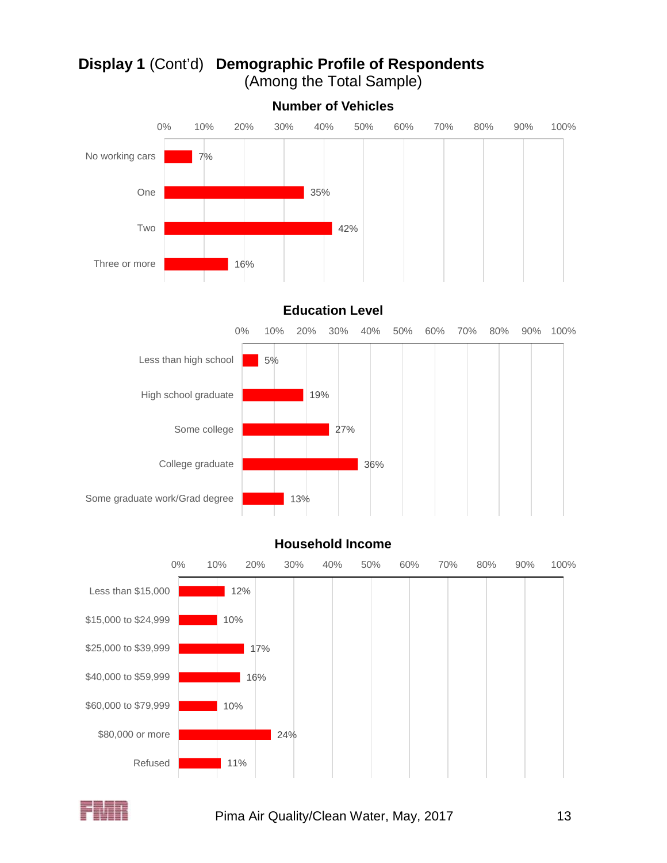

# **Display 1** (Cont'd) **Demographic Profile of Respondents** (Among the Total Sample)





# **Household Income**



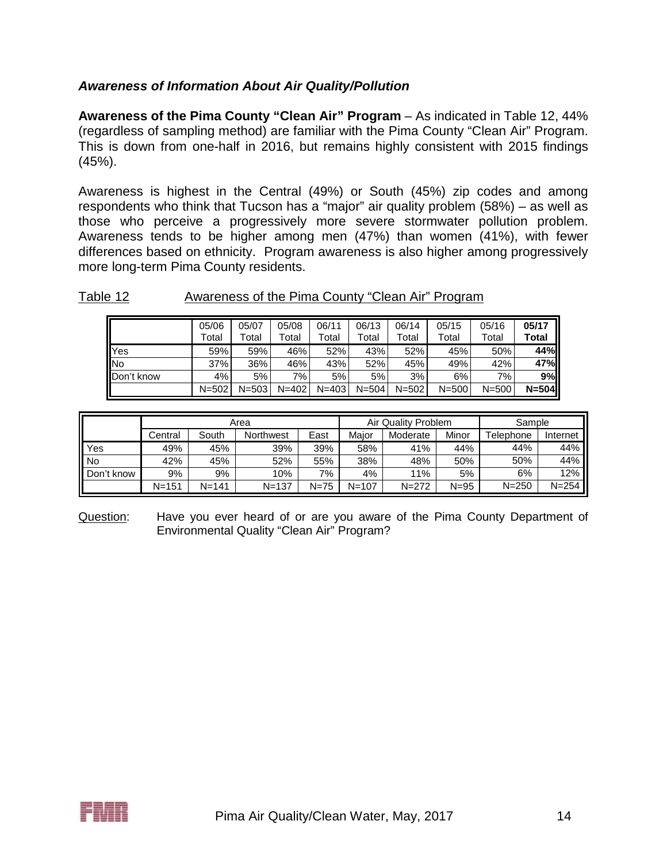## *Awareness of Information About Air Quality/Pollution*

**Awareness of the Pima County "Clean Air" Program** – As indicated in Table 12, 44% (regardless of sampling method) are familiar with the Pima County "Clean Air" Program. This is down from one-half in 2016, but remains highly consistent with 2015 findings (45%).

Awareness is highest in the Central (49%) or South (45%) zip codes and among respondents who think that Tucson has a "major" air quality problem (58%) – as well as those who perceive a progressively more severe stormwater pollution problem. Awareness tends to be higher among men (47%) than women (41%), with fewer differences based on ethnicity. Program awareness is also higher among progressively more long-term Pima County residents.

### Table 12 **Awareness of the Pima County "Clean Air" Program**

|            | 05/06<br>Total | 05/07<br>Total | 05/08<br>Гоtal | 06/11<br>Total | 06/13<br>Total | 06/14<br>Total | 05/15<br>Total | 05/16<br>Total | 05/17<br>Total |
|------------|----------------|----------------|----------------|----------------|----------------|----------------|----------------|----------------|----------------|
| <b>Yes</b> | 59%            | 59%            | 46%            | 52%            | 43%            | 52%            | 45%            | 50%            | 44%II          |
| <b>INo</b> | 37%            | 36%            | 46%            | 43%            | 52%            | 45%            | 49%            | 42%            | 47%            |
| Don't know | 4%             | 5%             | 7%             | 5%             | 5%             | 3%             | 6%             | 7%             | 9%             |
|            | $N = 502$      | $N = 503$      | $N = 402$      | $N = 403$      | $N = 504$      | $N = 502$      | $N = 500$      | $N = 500$      | $N = 504$      |

|            |           |           | Area             |        |           | Air Quality Problem |          | Sample                 |           |
|------------|-----------|-----------|------------------|--------|-----------|---------------------|----------|------------------------|-----------|
|            | Central   | South     | <b>Northwest</b> | East   | Maior     | Moderate            | Minor    | <sup>-</sup> Telephone | Internet  |
| Yes        | 49%       | 45%       | 39%              | 39%    | 58%       | 41%                 | 44%      | 44%                    | 44%       |
| No         | 42%       | 45%       | 52%              | 55%    | 38%       | 48%                 | 50%      | 50%                    | 44%       |
| Don't know | 9%        | 9%        | 10%              | 7%     | 4%        | 11%                 | 5%       | 6%                     | 12%       |
|            | $N = 151$ | $N = 141$ | $N = 137$        | $N=75$ | $N = 107$ | $N = 272$           | $N = 95$ | $N = 250$              | $N = 254$ |

Question: Have you ever heard of or are you aware of the Pima County Department of Environmental Quality "Clean Air" Program?

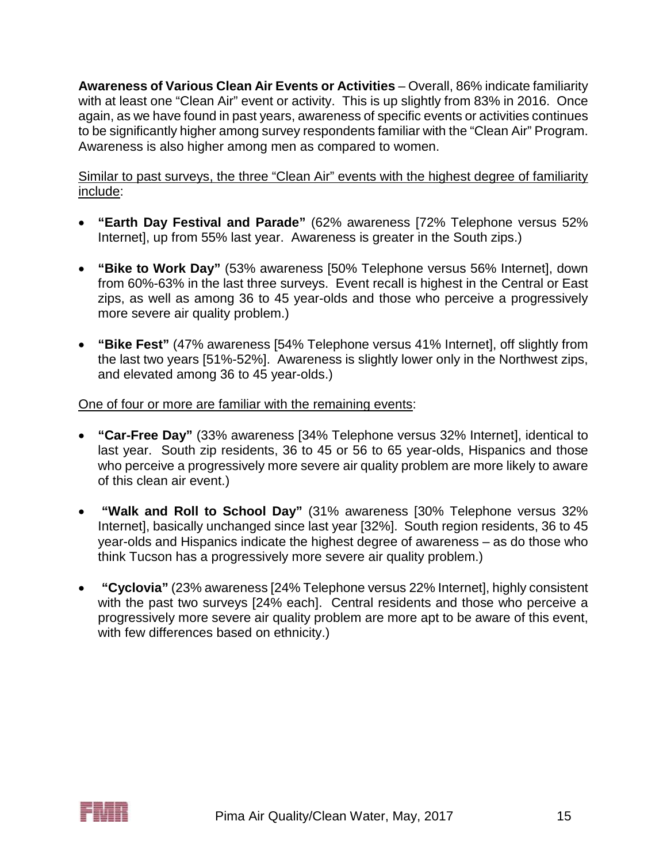**Awareness of Various Clean Air Events or Activities** – Overall, 86% indicate familiarity with at least one "Clean Air" event or activity. This is up slightly from 83% in 2016. Once again, as we have found in past years, awareness of specific events or activities continues to be significantly higher among survey respondents familiar with the "Clean Air" Program. Awareness is also higher among men as compared to women.

Similar to past surveys, the three "Clean Air" events with the highest degree of familiarity include:

- **"Earth Day Festival and Parade"** (62% awareness [72% Telephone versus 52% Internet], up from 55% last year. Awareness is greater in the South zips.)
- **"Bike to Work Day"** (53% awareness [50% Telephone versus 56% Internet], down from 60%-63% in the last three surveys. Event recall is highest in the Central or East zips, as well as among 36 to 45 year-olds and those who perceive a progressively more severe air quality problem.)
- **"Bike Fest"** (47% awareness [54% Telephone versus 41% Internet], off slightly from the last two years [51%-52%]. Awareness is slightly lower only in the Northwest zips, and elevated among 36 to 45 year-olds.)

One of four or more are familiar with the remaining events:

- **"Car-Free Day"** (33% awareness [34% Telephone versus 32% Internet], identical to last year. South zip residents, 36 to 45 or 56 to 65 year-olds, Hispanics and those who perceive a progressively more severe air quality problem are more likely to aware of this clean air event.)
- **"Walk and Roll to School Day"** (31% awareness [30% Telephone versus 32% Internet], basically unchanged since last year [32%]. South region residents, 36 to 45 year-olds and Hispanics indicate the highest degree of awareness – as do those who think Tucson has a progressively more severe air quality problem.)
- **"Cyclovia"** (23% awareness [24% Telephone versus 22% Internet], highly consistent with the past two surveys [24% each]. Central residents and those who perceive a progressively more severe air quality problem are more apt to be aware of this event, with few differences based on ethnicity.)

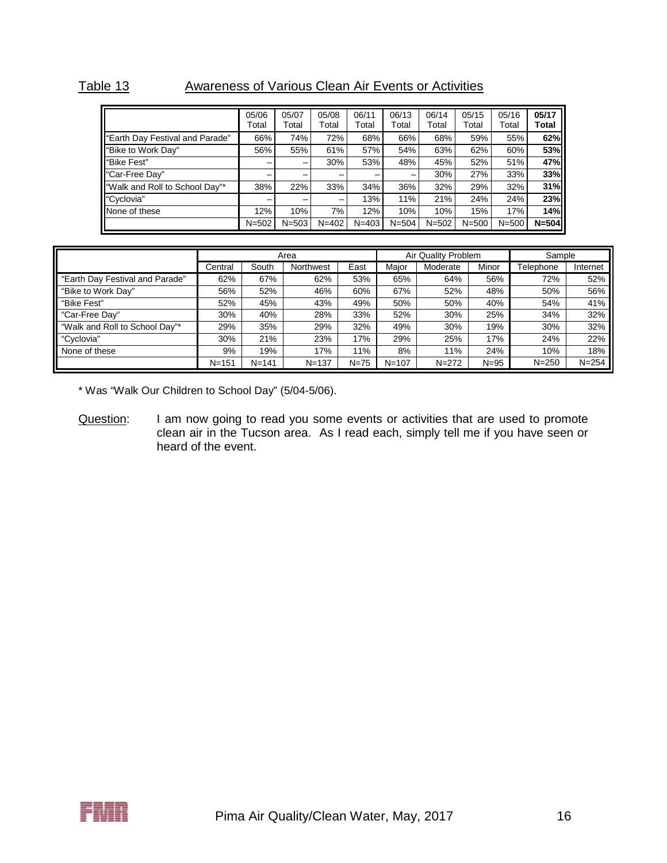# Table 13 Awareness of Various Clean Air Events or Activities

|                                  | 05/06<br>Total | 05/07<br>Total | 05/08<br>Total | 06/11<br>Total | 06/13<br>Total | 06/14<br>Total | 05/15<br>Total | 05/16<br>Total | 05/17<br>Total |
|----------------------------------|----------------|----------------|----------------|----------------|----------------|----------------|----------------|----------------|----------------|
| "Earth Day Festival and Parade"  | 66%            | 74%            | 72%            | 68%            | 66%            | 68%            | 59%            | 55%            | 62%            |
| "Bike to Work Day"               | 56%            | 55%            | 61%            | 57%            | 54%            | 63%            | 62%            | 60%            | 53%            |
| "Bike Fest"                      |                | -              | 30%            | 53%            | 48%            | 45%            | 52%            | 51%            | 47%            |
| "Car-Free Day"                   |                |                | -              | -              | -              | 30%            | 27%            | 33%            | 33%            |
| I "Walk and Roll to School Day"* | 38%            | 22%            | 33%            | 34%            | 36%            | 32%            | 29%            | 32%            | 31%            |
| "Cyclovia"                       |                |                | -              | 13%            | 11%            | 21%            | 24%            | 24%            | 23%            |
| None of these                    | 12%            | 10%            | 7%             | 12%            | 10%            | 10%            | 15%            | 17%            | 14%            |
|                                  | $N = 502$      | $N = 503$      | $N = 402$      | $N = 403$      | $N = 504$      | $N = 502$      | $N = 500$      | $N = 500$      | $N = 504$      |

|                                 |           |           | Area      |          |           | Air Quality Problem | Sample   |           |           |
|---------------------------------|-----------|-----------|-----------|----------|-----------|---------------------|----------|-----------|-----------|
|                                 | Central   | South     | Northwest | East     | Maior     | Moderate            | Minor    | Telephone | Internet  |
| "Earth Day Festival and Parade" | 62%       | 67%       | 62%       | 53%      | 65%       | 64%                 | 56%      | 72%       | 52%       |
| "Bike to Work Day"              | 56%       | 52%       | 46%       | 60%      | 67%       | 52%                 | 48%      | 50%       | 56%       |
| "Bike Fest"                     | 52%       | 45%       | 43%       | 49%      | 50%       | 50%                 | 40%      | 54%       | 41%       |
| "Car-Free Day"                  | 30%       | 40%       | 28%       | 33%      | 52%       | 30%                 | 25%      | 34%       | 32%       |
| "Walk and Roll to School Day"*  | 29%       | 35%       | 29%       | 32%      | 49%       | 30%                 | 19%      | 30%       | 32%       |
| "Cyclovia"                      | 30%       | 21%       | 23%       | 17%      | 29%       | 25%                 | 17%      | 24%       | 22%       |
| None of these                   | 9%        | 19%       | 17%       | 11%      | 8%        | 11%                 | 24%      | 10%       | 18%       |
|                                 | $N = 151$ | $N = 141$ | $N = 137$ | $N = 75$ | $N = 107$ | $N = 272$           | $N = 95$ | $N = 250$ | $N = 254$ |

\* Was "Walk Our Children to School Day" (5/04-5/06).

Question: I am now going to read you some events or activities that are used to promote clean air in the Tucson area. As I read each, simply tell me if you have seen or heard of the event.

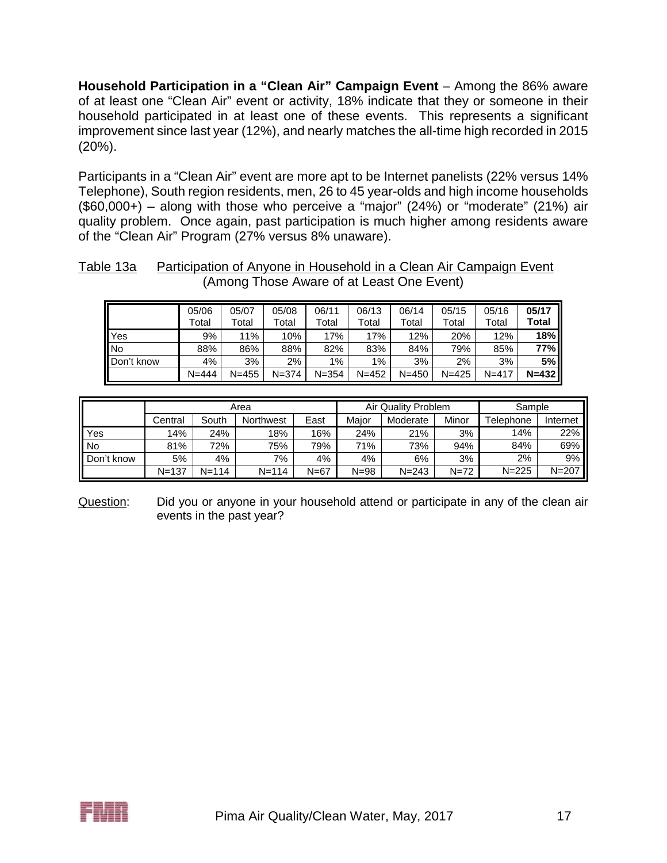**Household Participation in a "Clean Air" Campaign Event** – Among the 86% aware of at least one "Clean Air" event or activity, 18% indicate that they or someone in their household participated in at least one of these events. This represents a significant improvement since last year (12%), and nearly matches the all-time high recorded in 2015 (20%).

Participants in a "Clean Air" event are more apt to be Internet panelists (22% versus 14% Telephone), South region residents, men, 26 to 45 year-olds and high income households  $($60,000+)$  – along with those who perceive a "major" (24%) or "moderate" (21%) air quality problem. Once again, past participation is much higher among residents aware of the "Clean Air" Program (27% versus 8% unaware).

| Table 13a | Participation of Anyone in Household in a Clean Air Campaign Event |
|-----------|--------------------------------------------------------------------|
|           | (Among Those Aware of at Least One Event)                          |

|            | 05/06<br>Гоtal | 05/07<br>Total | 05/08<br>Total | 06/11<br>Total | 06/13<br>Total | 06/14<br>Total | 05/15<br>Total | 05/16<br>Total | 05/17<br>Total |
|------------|----------------|----------------|----------------|----------------|----------------|----------------|----------------|----------------|----------------|
| <b>Yes</b> | 9%             | 11%            | 10%            | 17%            | 17%            | 12%            | 20%            | 12%            | 18%            |
| No         | 88%            | 86%            | 88%            | 82%            | 83%            | 84%            | 79%            | 85%            | 77% I          |
| Don't know | 4%             | 3%             | 2%             | $1\%$          | $1\%$          | 3%             | 2%             | 3%             | 5%             |
|            | $N = 444$      | $N = 455$      | $N = 374$      | $N = 354$      | $N = 452$      | $N = 450$      | $N = 425$      | $N = 417$      | $N=432$        |

|            |           |           | Area      |          |          | Air Quality Problem |          | Sample    |           |  |
|------------|-----------|-----------|-----------|----------|----------|---------------------|----------|-----------|-----------|--|
|            | Central   | South     | Northwest | East     | Major    | Moderate            | Minor    | Telephone | Internet  |  |
| Yes        | 14%       | 24%       | 18%       | 16%      | 24%      | 21%                 | 3%       | 14%       | 22%       |  |
| <b>No</b>  | 81%       | 72%       | 75%       | 79%      | 71%      | 73%                 | 94%      | 84%       | 69%       |  |
| Don't know | 5%        | 4%        | 7%        | 4%       | 4%       | 6%                  | 3%       | 2%        | 9%        |  |
|            | $N = 137$ | $N = 114$ | $N = 114$ | $N = 67$ | $N = 98$ | $N = 243$           | $N = 72$ | $N = 225$ | $N = 207$ |  |

Question: Did you or anyone in your household attend or participate in any of the clean air events in the past year?

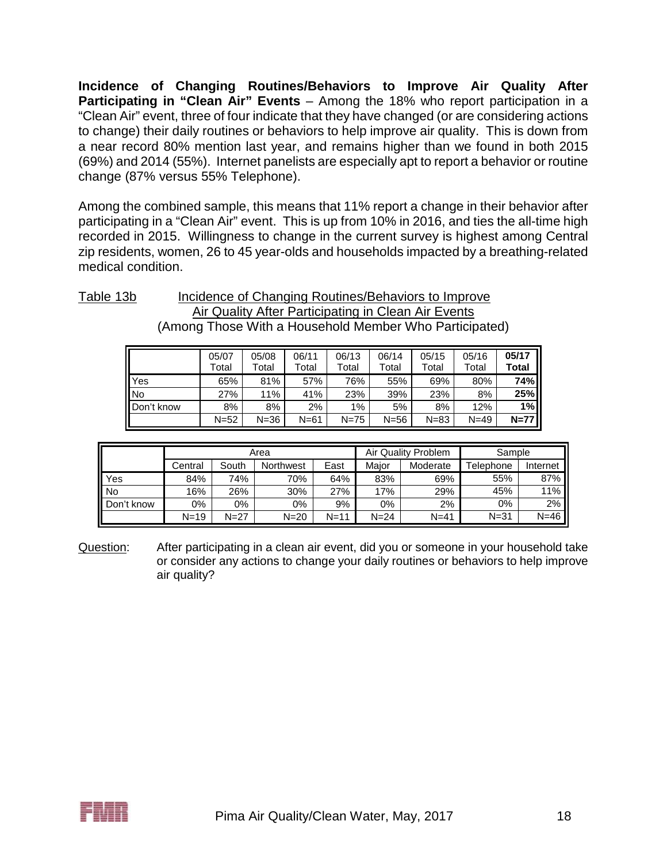**Incidence of Changing Routines/Behaviors to Improve Air Quality After Participating in "Clean Air" Events** – Among the 18% who report participation in a "Clean Air" event, three of four indicate that they have changed (or are considering actions to change) their daily routines or behaviors to help improve air quality. This is down from a near record 80% mention last year, and remains higher than we found in both 2015 (69%) and 2014 (55%). Internet panelists are especially apt to report a behavior or routine change (87% versus 55% Telephone).

Among the combined sample, this means that 11% report a change in their behavior after participating in a "Clean Air" event. This is up from 10% in 2016, and ties the all-time high recorded in 2015. Willingness to change in the current survey is highest among Central zip residents, women, 26 to 45 year-olds and households impacted by a breathing-related medical condition.

Table 13b Incidence of Changing Routines/Behaviors to Improve Air Quality After Participating in Clean Air Events (Among Those With a Household Member Who Participated)

|            | 05/07<br>Total | 05/08<br>Total | 06/11<br>Total | 06/13<br>Total | 06/14<br>Total | 05/15<br>Total | 05/16<br>Total | 05/17<br>Total |
|------------|----------------|----------------|----------------|----------------|----------------|----------------|----------------|----------------|
| Yes        | 65%            | 81%            | 57%            | 76%            | 55%            | 69%            | 80%            | 74%            |
| <b>No</b>  | 27%            | 11%            | 41%            | 23%            | 39%            | 23%            | 8%             | 25%            |
| Don't know | 8%             | 8%             | 2%             | 1%             | 5%             | 8%             | 12%            | 1%             |
|            | $N = 52$       | $N = 36$       | $N = 61$       | $N = 75$       | $N=56$         | $N = 83$       | $N = 49$       | $N=77$         |

|            |          |          | Area      |          |          | Air Quality Problem | Sample    |          |  |
|------------|----------|----------|-----------|----------|----------|---------------------|-----------|----------|--|
|            | Central  | South    | Northwest | East     | Maior    | Moderate            | Telephone | Internet |  |
| Yes        | 84%      | 74%      | 70%       | 64%      | 83%      | 69%                 | 55%       | 87%      |  |
| No         | 16%      | 26%      | 30%       | 27%      | 17%      | 29%                 | 45%       | 11%      |  |
| Don't know | 0%       | 0%       | $0\%$     | 9%       | 0%       | 2%                  | 0%        | 2%       |  |
|            | $N = 19$ | $N = 27$ | $N = 20$  | $N = 11$ | $N = 24$ | $N = 41$            | $N = 31$  | $N=46$   |  |

Question: After participating in a clean air event, did you or someone in your household take or consider any actions to change your daily routines or behaviors to help improve air quality?

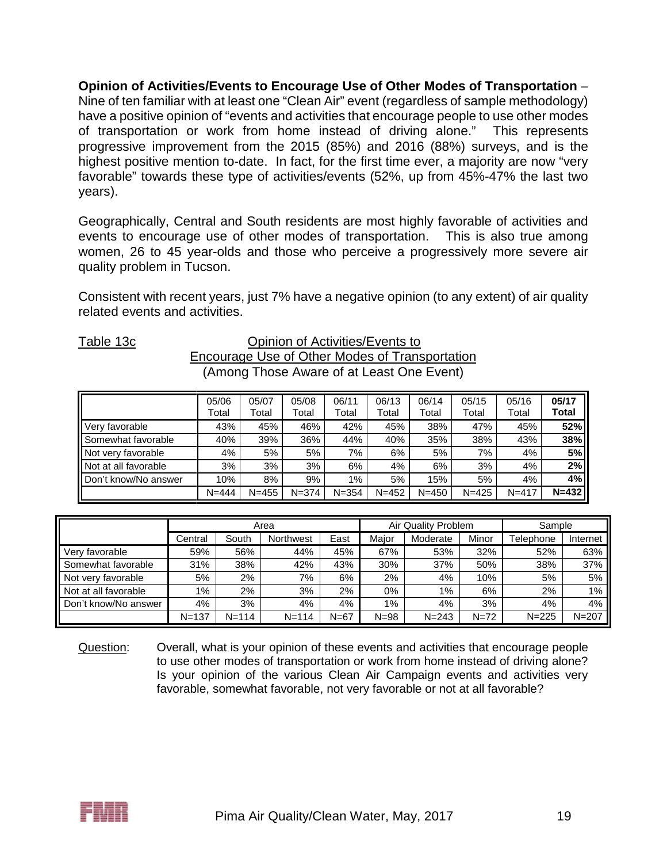**Opinion of Activities/Events to Encourage Use of Other Modes of Transportation** – Nine of ten familiar with at least one "Clean Air" event (regardless of sample methodology) have a positive opinion of "events and activities that encourage people to use other modes of transportation or work from home instead of driving alone." This represents progressive improvement from the 2015 (85%) and 2016 (88%) surveys, and is the highest positive mention to-date. In fact, for the first time ever, a majority are now "very favorable" towards these type of activities/events (52%, up from 45%-47% the last two years).

Geographically, Central and South residents are most highly favorable of activities and events to encourage use of other modes of transportation. This is also true among women, 26 to 45 year-olds and those who perceive a progressively more severe air quality problem in Tucson.

Consistent with recent years, just 7% have a negative opinion (to any extent) of air quality related events and activities.

#### Table 13c Opinion of Activities/Events to Encourage Use of Other Modes of Transportation (Among Those Aware of at Least One Event)

|                                | 05/06<br>Total | 05/07<br>Total | 05/08<br>Total | 06/11<br>Total | 06/13<br>Total | 06/14<br>Total | 05/15<br>Total | 05/16<br>Total | 05/17<br>Total |
|--------------------------------|----------------|----------------|----------------|----------------|----------------|----------------|----------------|----------------|----------------|
| Very favorable                 | 43%            | 45%            | 46%            | 42%            | 45%            | 38%            | 47%            | 45%            | 52%            |
| <b>Il</b> Somewhat favorable   | 40%            | 39%            | 36%            | 44%            | 40%            | 35%            | 38%            | 43%            | 38%            |
| Not very favorable             | 4%             | 5%             | 5%             | 7%             | 6%             | 5%             | $7\%$ .        | 4%             | 5%             |
| Not at all favorable           | 3%             | 3%             | 3%             | 6%             | 4%             | 6%             | 3%             | 4%             | 2%             |
| <b>II</b> Don't know/No answer | 10%            | 8%             | 9%             | $1\%$          | 5%             | 15%            | 5%             | 4%             | 4%             |
|                                | $N = 444$      | $N = 455$      | $N = 374$      | $N = 354$      | $N = 452$      | $N = 450$      | $N = 425$      | $N = 417$      | $N=432$        |

|                      |           |           | Area             |        |          | Air Quality Problem |          | Sample    |           |
|----------------------|-----------|-----------|------------------|--------|----------|---------------------|----------|-----------|-----------|
|                      | Central   | South     | <b>Northwest</b> | East   | Maior    | Moderate            | Minor    | Telephone | Internet  |
| Very favorable       | 59%       | 56%       | 44%              | 45%    | 67%      | 53%                 | 32%      | 52%       | 63%       |
| Somewhat favorable   | 31%       | 38%       | 42%              | 43%    | 30%      | 37%                 | 50%      | 38%       | 37%       |
| Not very favorable   | 5%        | 2%        | 7%               | 6%     | 2%       | 4%                  | 10%      | 5%        | 5%        |
| Not at all favorable | 1%        | $2\%$     | 3%               | 2%     | $0\%$    | $1\%$               | 6%       | 2%        | 1%        |
| Don't know/No answer | 4%        | 3%        | 4%               | 4%     | 1%       | 4%                  | 3%       | 4%        | 4%        |
|                      | $N = 137$ | $N = 114$ | $N = 114$        | $N=67$ | $N = 98$ | $N = 243$           | $N = 72$ | $N = 225$ | $N = 207$ |

Question: Overall, what is your opinion of these events and activities that encourage people to use other modes of transportation or work from home instead of driving alone? Is your opinion of the various Clean Air Campaign events and activities very favorable, somewhat favorable, not very favorable or not at all favorable?

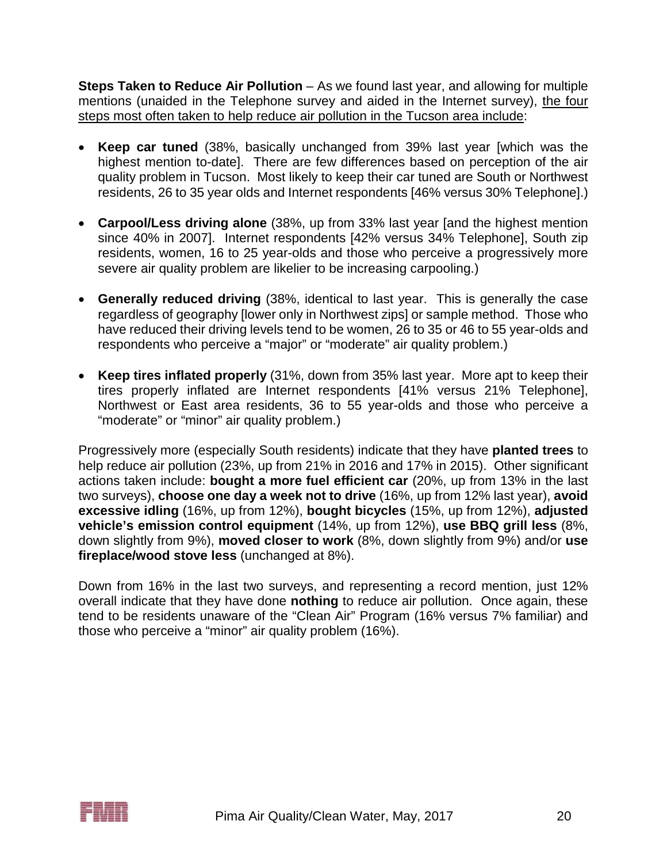**Steps Taken to Reduce Air Pollution** – As we found last year, and allowing for multiple mentions (unaided in the Telephone survey and aided in the Internet survey), the four steps most often taken to help reduce air pollution in the Tucson area include:

- **Keep car tuned** (38%, basically unchanged from 39% last year [which was the highest mention to-date]. There are few differences based on perception of the air quality problem in Tucson. Most likely to keep their car tuned are South or Northwest residents, 26 to 35 year olds and Internet respondents [46% versus 30% Telephone].)
- **Carpool/Less driving alone** (38%, up from 33% last year [and the highest mention since 40% in 2007]. Internet respondents [42% versus 34% Telephone], South zip residents, women, 16 to 25 year-olds and those who perceive a progressively more severe air quality problem are likelier to be increasing carpooling.)
- **Generally reduced driving** (38%, identical to last year. This is generally the case regardless of geography [lower only in Northwest zips] or sample method. Those who have reduced their driving levels tend to be women, 26 to 35 or 46 to 55 year-olds and respondents who perceive a "major" or "moderate" air quality problem.)
- **Keep tires inflated properly** (31%, down from 35% last year. More apt to keep their tires properly inflated are Internet respondents [41% versus 21% Telephone], Northwest or East area residents, 36 to 55 year-olds and those who perceive a "moderate" or "minor" air quality problem.)

Progressively more (especially South residents) indicate that they have **planted trees** to help reduce air pollution (23%, up from 21% in 2016 and 17% in 2015). Other significant actions taken include: **bought a more fuel efficient car** (20%, up from 13% in the last two surveys), **choose one day a week not to drive** (16%, up from 12% last year), **avoid excessive idling** (16%, up from 12%), **bought bicycles** (15%, up from 12%), **adjusted vehicle's emission control equipment** (14%, up from 12%), **use BBQ grill less** (8%, down slightly from 9%), **moved closer to work** (8%, down slightly from 9%) and/or **use fireplace/wood stove less** (unchanged at 8%).

Down from 16% in the last two surveys, and representing a record mention, just 12% overall indicate that they have done **nothing** to reduce air pollution. Once again, these tend to be residents unaware of the "Clean Air" Program (16% versus 7% familiar) and those who perceive a "minor" air quality problem (16%).

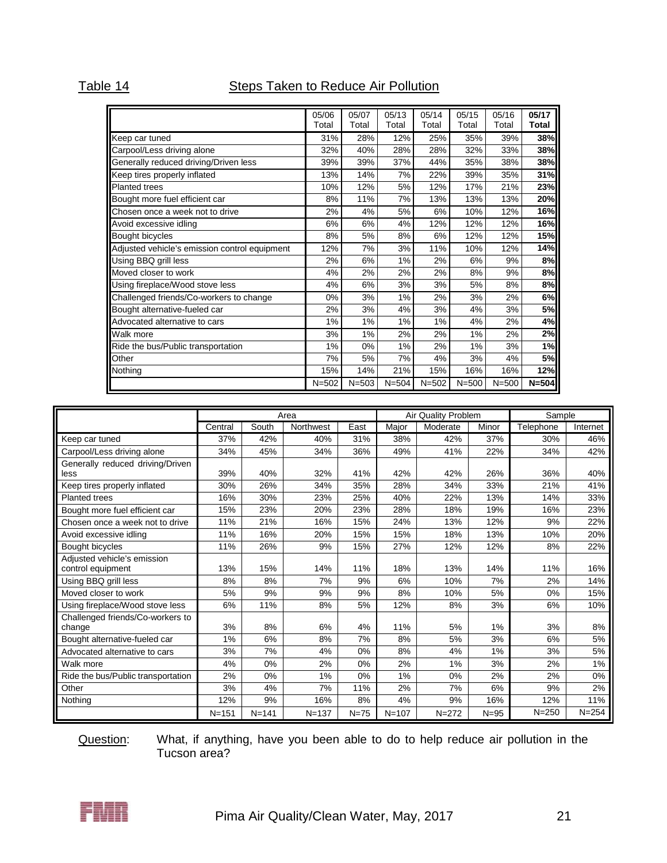# Table 14 **Steps Taken to Reduce Air Pollution**

|                                               | 05/06<br>Total | 05/07<br>Total | 05/13<br>Total | 05/14<br>Total | 05/15<br>Total | 05/16<br>Total | 05/17<br><b>Total</b> |
|-----------------------------------------------|----------------|----------------|----------------|----------------|----------------|----------------|-----------------------|
| Keep car tuned                                | 31%            | 28%            | 12%            | 25%            | 35%            | 39%            | 38%                   |
| Carpool/Less driving alone                    | 32%            | 40%            | 28%            | 28%            | 32%            | 33%            | 38%                   |
| Generally reduced driving/Driven less         | 39%            | 39%            | 37%            | 44%            | 35%            | 38%            | 38%                   |
| Keep tires properly inflated                  | 13%            | 14%            | 7%             | 22%            | 39%            | 35%            | 31%                   |
| <b>Planted trees</b>                          | 10%            | 12%            | 5%             | 12%            | 17%            | 21%            | 23%                   |
| Bought more fuel efficient car                | 8%             | 11%            | 7%             | 13%            | 13%            | 13%            | 20%                   |
| Chosen once a week not to drive               | 2%             | 4%             | 5%             | 6%             | 10%            | 12%            | 16%                   |
| Avoid excessive idling                        | 6%             | 6%             | 4%             | 12%            | 12%            | 12%            | 16%                   |
| <b>Bought bicycles</b>                        | 8%             | 5%             | 8%             | 6%             | 12%            | 12%            | 15%                   |
| Adjusted vehicle's emission control equipment | 12%            | 7%             | 3%             | 11%            | 10%            | 12%            | 14%                   |
| Using BBQ grill less                          | 2%             | 6%             | 1%             | 2%             | 6%             | 9%             | 8%                    |
| Moved closer to work                          | 4%             | 2%             | 2%             | 2%             | 8%             | 9%             | 8%                    |
| Using fireplace/Wood stove less               | 4%             | 6%             | 3%             | 3%             | 5%             | 8%             | 8%                    |
| Challenged friends/Co-workers to change       | 0%             | 3%             | $1\%$          | 2%             | 3%             | 2%             | 6%                    |
| Bought alternative-fueled car                 | 2%             | 3%             | 4%             | 3%             | 4%             | 3%             | 5%                    |
| Advocated alternative to cars                 | 1%             | 1%             | $1\%$          | 1%             | 4%             | 2%             | 4%                    |
| Walk more                                     | 3%             | 1%             | 2%             | 2%             | 1%             | 2%             | 2%                    |
| Ride the bus/Public transportation            | 1%             | 0%             | 1%             | 2%             | 1%             | 3%             | 1%                    |
| Other                                         | 7%             | 5%             | 7%             | 4%             | 3%             | 4%             | <b>5%</b>             |
| Nothing                                       | 15%            | 14%            | 21%            | 15%            | 16%            | 16%            | 12%                   |
|                                               | $N = 502$      | $N = 503$      | $N = 504$      | $N = 502$      | $N = 500$      | $N = 500$      | $N=504$               |

|                                                  |           |           | Area      |        |           | Air Quality Problem |          | Sample    |           |
|--------------------------------------------------|-----------|-----------|-----------|--------|-----------|---------------------|----------|-----------|-----------|
|                                                  | Central   | South     | Northwest | East   | Major     | Moderate            | Minor    | Telephone | Internet  |
| Keep car tuned                                   | 37%       | 42%       | 40%       | 31%    | 38%       | 42%                 | 37%      | 30%       | 46%       |
| Carpool/Less driving alone                       | 34%       | 45%       | 34%       | 36%    | 49%       | 41%                 | 22%      | 34%       | 42%       |
| Generally reduced driving/Driven<br>less         | 39%       | 40%       | 32%       | 41%    | 42%       | 42%                 | 26%      | 36%       | 40%       |
| Keep tires properly inflated                     | 30%       | 26%       | 34%       | 35%    | 28%       | 34%                 | 33%      | 21%       | 41%       |
| <b>Planted trees</b>                             | 16%       | 30%       | 23%       | 25%    | 40%       | 22%                 | 13%      | 14%       | 33%       |
| Bought more fuel efficient car                   | 15%       | 23%       | 20%       | 23%    | 28%       | 18%                 | 19%      | 16%       | 23%       |
| Chosen once a week not to drive                  | 11%       | 21%       | 16%       | 15%    | 24%       | 13%                 | 12%      | 9%        | 22%       |
| Avoid excessive idling                           | 11%       | 16%       | 20%       | 15%    | 15%       | 18%                 | 13%      | 10%       | 20%       |
| Bought bicycles                                  | 11%       | 26%       | 9%        | 15%    | 27%       | 12%                 | 12%      | 8%        | 22%       |
| Adjusted vehicle's emission<br>control equipment | 13%       | 15%       | 14%       | 11%    | 18%       | 13%                 | 14%      | 11%       | 16%       |
| Using BBQ grill less                             | 8%        | 8%        | 7%        | 9%     | 6%        | 10%                 | 7%       | 2%        | 14%       |
| Moved closer to work                             | 5%        | 9%        | 9%        | 9%     | 8%        | 10%                 | 5%       | 0%        | 15%       |
| Using fireplace/Wood stove less                  | 6%        | 11%       | 8%        | 5%     | 12%       | 8%                  | 3%       | 6%        | 10%       |
| Challenged friends/Co-workers to<br>change       | 3%        | 8%        | 6%        | 4%     | 11%       | 5%                  | 1%       | 3%        | 8%        |
| Bought alternative-fueled car                    | 1%        | 6%        | 8%        | 7%     | 8%        | 5%                  | 3%       | 6%        | 5%        |
| Advocated alternative to cars                    | 3%        | 7%        | 4%        | 0%     | 8%        | 4%                  | 1%       | 3%        | 5%        |
| Walk more                                        | 4%        | 0%        | 2%        | 0%     | 2%        | 1%                  | 3%       | 2%        | 1%        |
| Ride the bus/Public transportation               | 2%        | 0%        | 1%        | 0%     | 1%        | 0%                  | 2%       | 2%        | 0%        |
| Other                                            | 3%        | 4%        | 7%        | 11%    | 2%        | 7%                  | 6%       | 9%        | 2%        |
| Nothing                                          | 12%       | 9%        | 16%       | 8%     | 4%        | 9%                  | 16%      | 12%       | 11%       |
|                                                  | $N = 151$ | $N = 141$ | $N = 137$ | $N=75$ | $N = 107$ | $N = 272$           | $N = 95$ | $N = 250$ | $N = 254$ |

Question: What, if anything, have you been able to do to help reduce air pollution in the Tucson area?

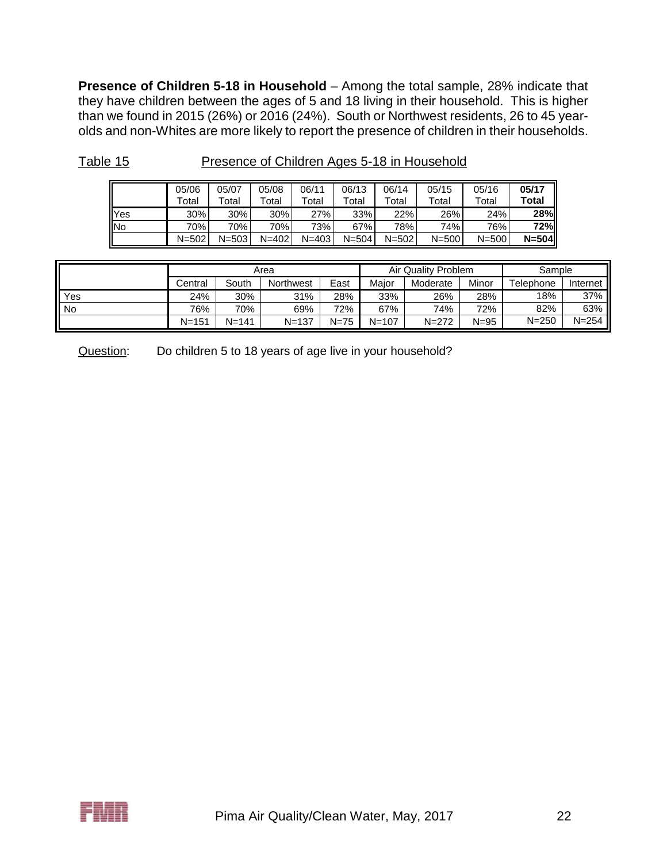**Presence of Children 5-18 in Household** – Among the total sample, 28% indicate that they have children between the ages of 5 and 18 living in their household. This is higher than we found in 2015 (26%) or 2016 (24%). South or Northwest residents, 26 to 45 yearolds and non-Whites are more likely to report the presence of children in their households.

|            | 05/06     | 05/07     | 05/08       | 06/11     | 06/13       | 06/14     | 05/15     | 05/16     | 05/17     |
|------------|-----------|-----------|-------------|-----------|-------------|-----------|-----------|-----------|-----------|
|            | ™otal     | Total     | $\tau$ otal | Total     | $\tau$ otal | Total     | Total     | Total     | Total     |
| <b>Yes</b> | 30%       | 30%       | 30%         | 27%       | 33%         | 22%       | 26%       | 24%       | 28%       |
| <b>INo</b> | 70%l      | 70%       | 70%         | 73%       | 67%         | 78%       | 74%       | 76%       | 72%       |
|            | $N = 502$ | $N = 503$ | $N = 402$   | $N = 403$ | $N = 504$   | $N = 502$ | $N = 500$ | $N = 500$ | $N = 504$ |

| Table 15 | Presence of Children Ages 5-18 in Household |
|----------|---------------------------------------------|
|          |                                             |

|     | Area      |           |           |          | Air Quality Problem | Sample    |          |           |           |
|-----|-----------|-----------|-----------|----------|---------------------|-----------|----------|-----------|-----------|
|     | Central   | South     | Northwest | East     | Maior               | Moderate  | Minor    | Telephone | Internet  |
| Yes | 24%       | 30%       | 31%       | 28%      | 33%                 | 26%       | 28%      | 18%       | 37%       |
| No  | 76%       | 70%       | 69%       | 72%      | 67%                 | 74%       | 72%      | 82%       | 63%       |
|     | $N = 151$ | $N = 141$ | $N = 137$ | $N = 75$ | $N = 107$           | $N = 272$ | $N = 95$ | $N = 250$ | $N = 254$ |

Question: Do children 5 to 18 years of age live in your household?

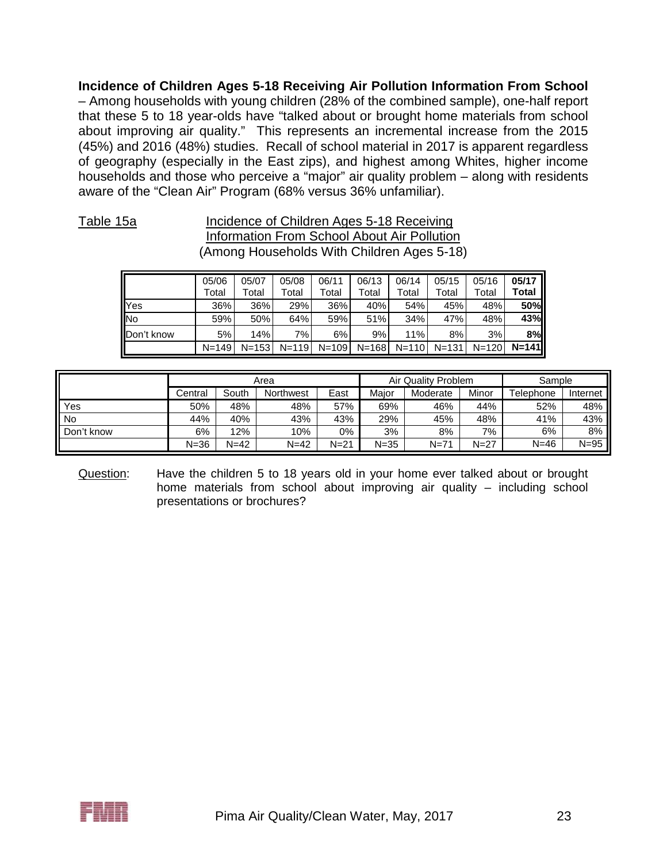**Incidence of Children Ages 5-18 Receiving Air Pollution Information From School** – Among households with young children (28% of the combined sample), one-half report that these 5 to 18 year-olds have "talked about or brought home materials from school about improving air quality." This represents an incremental increase from the 2015 (45%) and 2016 (48%) studies. Recall of school material in 2017 is apparent regardless of geography (especially in the East zips), and highest among Whites, higher income households and those who perceive a "major" air quality problem – along with residents aware of the "Clean Air" Program (68% versus 36% unfamiliar).

### Table 15a **Incidence of Children Ages 5-18 Receiving** Information From School About Air Pollution (Among Households With Children Ages 5-18)

|            | 05/06     | 05/07       | 05/08     | 06/11     | 06/13     | 06/14   | 05/15     | 05/16     | 05/17     |
|------------|-----------|-------------|-----------|-----------|-----------|---------|-----------|-----------|-----------|
|            | Total     | $\tau$ otal | Total     | Total     | Total     | Total   | Total     | Total     | Total     |
| <b>Yes</b> | 36%       | 36%         | 29%       | 36%       | 40%       | 54%     | 45%       | 48%       | 50%       |
| <b>INo</b> | 59%       | 50%         | 64%       | 59%       | 51%       | 34%     | 47%       | 48%       | 43%       |
| Don't know | 5%        | 14%         | 7%        | 6%        | 9%        | 11%     | 8%        | 3%        | 8%        |
|            | $N = 149$ | $N = 153$   | $N = 119$ | $N = 109$ | $N = 168$ | $N=110$ | $N = 131$ | $N = 120$ | $N = 141$ |

|            | Area    |          |           |          | Air Quality Problem | Sample   |        |           |          |
|------------|---------|----------|-----------|----------|---------------------|----------|--------|-----------|----------|
|            | Central | South    | Northwest | East     | Maior               | Moderate | Minor  | Telephone | Internet |
| Yes        | 50%     | 48%      | 48%       | 57%      | 69%                 | 46%      | 44%    | 52%       | 48%      |
| No         | 44%     | 40%      | 43%       | 43%      | 29%                 | 45%      | 48%    | 41%       | 43%      |
| Don't know | 6%      | 12%      | 10%       | 0%       | 3%                  | 8%       | 7%     | 6%        | 8%       |
|            | N=36    | $N = 42$ | $N=42$    | $N = 21$ | $N = 35$            | $N = 71$ | $N=27$ | $N = 46$  | $N = 95$ |

Question: Have the children 5 to 18 years old in your home ever talked about or brought home materials from school about improving air quality – including school presentations or brochures?

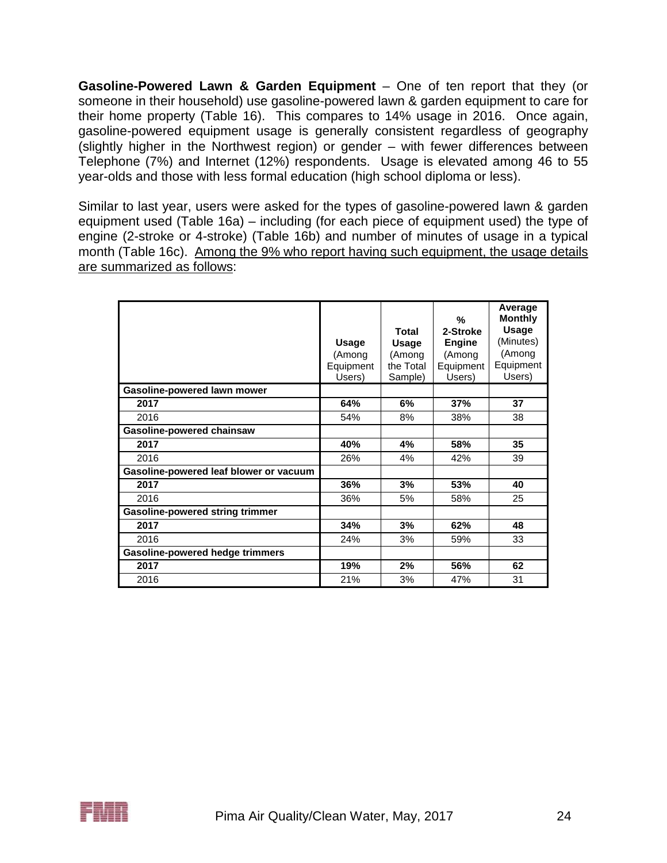**Gasoline-Powered Lawn & Garden Equipment** – One of ten report that they (or someone in their household) use gasoline-powered lawn & garden equipment to care for their home property (Table 16). This compares to 14% usage in 2016. Once again, gasoline-powered equipment usage is generally consistent regardless of geography (slightly higher in the Northwest region) or gender – with fewer differences between Telephone (7%) and Internet (12%) respondents. Usage is elevated among 46 to 55 year-olds and those with less formal education (high school diploma or less).

Similar to last year, users were asked for the types of gasoline-powered lawn & garden equipment used (Table 16a) – including (for each piece of equipment used) the type of engine (2-stroke or 4-stroke) (Table 16b) and number of minutes of usage in a typical month (Table 16c). Among the 9% who report having such equipment, the usage details are summarized as follows:

|                                        | <b>Usage</b><br>(Among<br>Equipment<br>Users) | Total<br><b>Usage</b><br>(Among<br>the Total<br>Sample) | %<br>2-Stroke<br><b>Engine</b><br>(Among<br>Equipment<br>Users) | Average<br><b>Monthly</b><br>Usage<br>(Minutes)<br>(Among<br>Equipment<br>Users) |
|----------------------------------------|-----------------------------------------------|---------------------------------------------------------|-----------------------------------------------------------------|----------------------------------------------------------------------------------|
| Gasoline-powered lawn mower            |                                               |                                                         |                                                                 |                                                                                  |
| 2017                                   | 64%                                           | 6%                                                      | 37%                                                             | 37                                                                               |
| 2016                                   | 54%                                           | 8%                                                      | 38%                                                             | 38                                                                               |
| <b>Gasoline-powered chainsaw</b>       |                                               |                                                         |                                                                 |                                                                                  |
| 2017                                   | 40%                                           | 4%                                                      | 58%                                                             | 35                                                                               |
| 2016                                   | 26%                                           | 4%                                                      | 42%                                                             | 39                                                                               |
| Gasoline-powered leaf blower or vacuum |                                               |                                                         |                                                                 |                                                                                  |
| 2017                                   | 36%                                           | 3%                                                      | 53%                                                             | 40                                                                               |
| 2016                                   | 36%                                           | 5%                                                      | 58%                                                             | 25                                                                               |
| <b>Gasoline-powered string trimmer</b> |                                               |                                                         |                                                                 |                                                                                  |
| 2017                                   | 34%                                           | 3%                                                      | 62%                                                             | 48                                                                               |
| 2016                                   | 24%                                           | 3%                                                      | 59%                                                             | 33                                                                               |
| <b>Gasoline-powered hedge trimmers</b> |                                               |                                                         |                                                                 |                                                                                  |
| 2017                                   | 19%                                           | 2%                                                      | 56%                                                             | 62                                                                               |
| 2016                                   | 21%                                           | 3%                                                      | 47%                                                             | 31                                                                               |

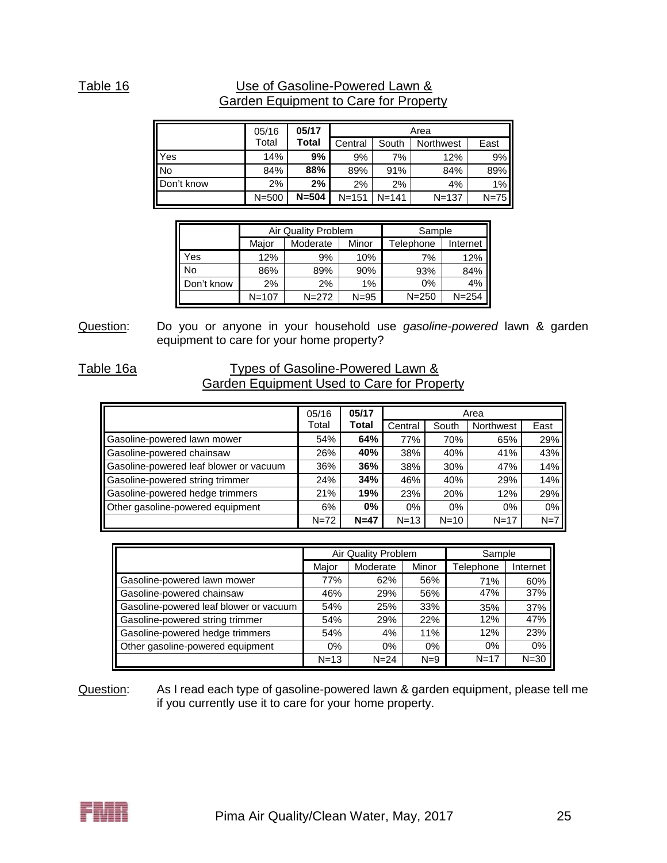## Table 16 Use of Gasoline-Powered Lawn & Garden Equipment to Care for Property

|                | 05/16     | 05/17     | Area      |           |           |        |  |  |
|----------------|-----------|-----------|-----------|-----------|-----------|--------|--|--|
|                | Total     | Total     | Central   | South     | Northwest | East   |  |  |
| Yes            | 14%       | 9%        | 9%        | 7%        | 12%       | 9%     |  |  |
| N <sub>o</sub> | 84%       | 88%       | 89%       | 91%       | 84%       | 89%    |  |  |
| Don't know     | 2%        | 2%        | 2%        | 2%        | 4%        | 1%     |  |  |
|                | $N = 500$ | $N = 504$ | $N = 151$ | $N = 141$ | $N = 137$ | $N=75$ |  |  |

|            |           | <b>Air Quality Problem</b> | Sample   |           |           |
|------------|-----------|----------------------------|----------|-----------|-----------|
|            | Maior     | Moderate                   | Minor    | Telephone | Internet  |
| res        | 12%       | 9%                         | 10%      | 7%        | 12%       |
| N٥         | 86%       | 89%                        | 90%      | 93%       | 84%       |
| Don't know | 2%        | 2%                         | 1%       | 0%        | 4%        |
|            | $N = 107$ | $N = 272$                  | $N = 95$ | $N = 250$ | $N = 254$ |

Question: Do you or anyone in your household use *gasoline-powered* lawn & garden equipment to care for your home property?

### Table 16a Types of Gasoline-Powered Lawn & Garden Equipment Used to Care for Property

|                                        | 05/16    | 05/17        | Area     |          |           |       |  |
|----------------------------------------|----------|--------------|----------|----------|-----------|-------|--|
|                                        | Total    | <b>Total</b> | Central  | South    | Northwest | East  |  |
| Gasoline-powered lawn mower            | 54%      | 64%          | 77%      | 70%      | 65%       | 29%   |  |
| Gasoline-powered chainsaw              | 26%      | 40%          | 38%      | 40%      | 41%       | 43%   |  |
| Gasoline-powered leaf blower or vacuum | 36%      | 36%          | 38%      | 30%      | 47%       | 14%   |  |
| Gasoline-powered string trimmer        | 24%      | 34%          | 46%      | 40%      | 29%       | 14%   |  |
| Gasoline-powered hedge trimmers        | 21%      | 19%          | 23%      | 20%      | 12%       | 29%   |  |
| Other gasoline-powered equipment       | 6%       | $0\%$        | 0%       | $0\%$    | 0%        | 0%    |  |
|                                        | $N = 72$ | $N=47$       | $N = 13$ | $N = 10$ | $N = 17$  | $N=7$ |  |

|                                        |          | Air Quality Problem | Sample |           |          |
|----------------------------------------|----------|---------------------|--------|-----------|----------|
|                                        | Major    | Moderate            | Minor  | Telephone | Internet |
| Gasoline-powered lawn mower            | 77%      | 62%                 | 56%    | 71%       | 60%      |
| Gasoline-powered chainsaw              | 46%      | 29%                 | 56%    | 47%       | 37%      |
| Gasoline-powered leaf blower or vacuum | 54%      | 25%                 | 33%    | 35%       | 37%      |
| Gasoline-powered string trimmer        | 54%      | 29%                 | 22%    | 12%       | 47%      |
| Gasoline-powered hedge trimmers        | 54%      | 4%                  | 11%    | 12%       | 23%      |
| Other gasoline-powered equipment       | $0\%$    | 0%                  | $0\%$  | $0\%$     | 0%       |
|                                        | $N = 13$ | $N = 24$            | $N=9$  | $N = 17$  | $N = 30$ |

Question: As I read each type of gasoline-powered lawn & garden equipment, please tell me if you currently use it to care for your home property.

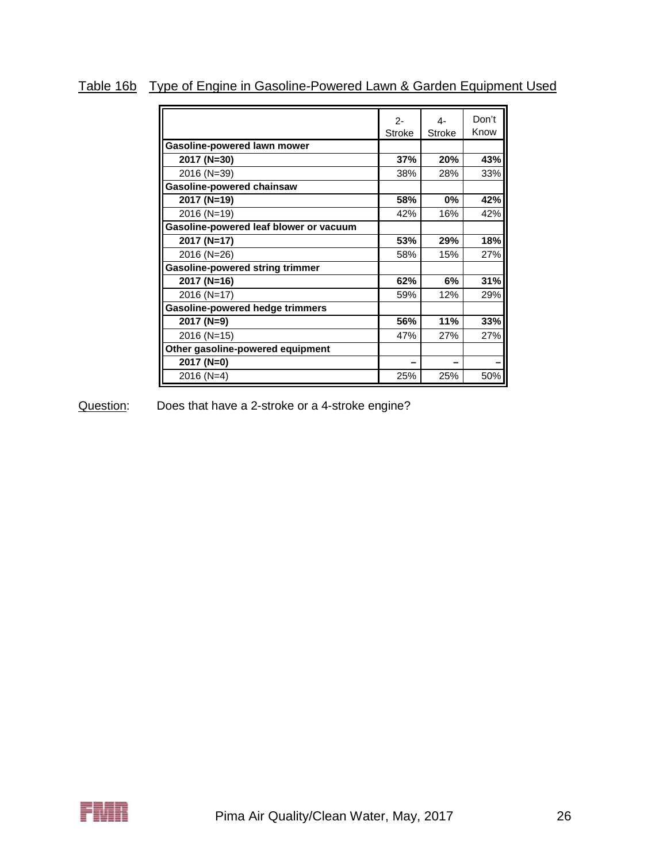|                                        |               |               | Don't |
|----------------------------------------|---------------|---------------|-------|
|                                        | $2 -$         | 4-            |       |
|                                        | <b>Stroke</b> | <b>Stroke</b> | Know  |
| Gasoline-powered lawn mower            |               |               |       |
| 2017 (N=30)                            | 37%           | 20%           | 43%   |
| 2016 (N=39)                            | 38%           | 28%           | 33%   |
| <b>Gasoline-powered chainsaw</b>       |               |               |       |
| 2017 (N=19)                            | 58%           | $0\%$         | 42%   |
| 2016 (N=19)                            | 42%           | 16%           | 42%   |
| Gasoline-powered leaf blower or vacuum |               |               |       |
| 2017 (N=17)                            | 53%           | 29%           | 18%   |
| 2016 (N=26)                            | 58%           | 15%           | 27%   |
| <b>Gasoline-powered string trimmer</b> |               |               |       |
| 2017 (N=16)                            | 62%           | 6%            | 31%   |
| 2016 (N=17)                            | 59%           | 12%           | 29%   |
| <b>Gasoline-powered hedge trimmers</b> |               |               |       |
| 2017 (N=9)                             | 56%           | 11%           | 33%   |
| 2016 (N=15)                            | 47%           | 27%           | 27%   |
| Other gasoline-powered equipment       |               |               |       |
| 2017 (N=0)                             |               |               |       |
| 2016 (N=4)                             | 25%           | 25%           | 50%   |

Table 16b Type of Engine in Gasoline-Powered Lawn & Garden Equipment Used

Question: Does that have a 2-stroke or a 4-stroke engine?

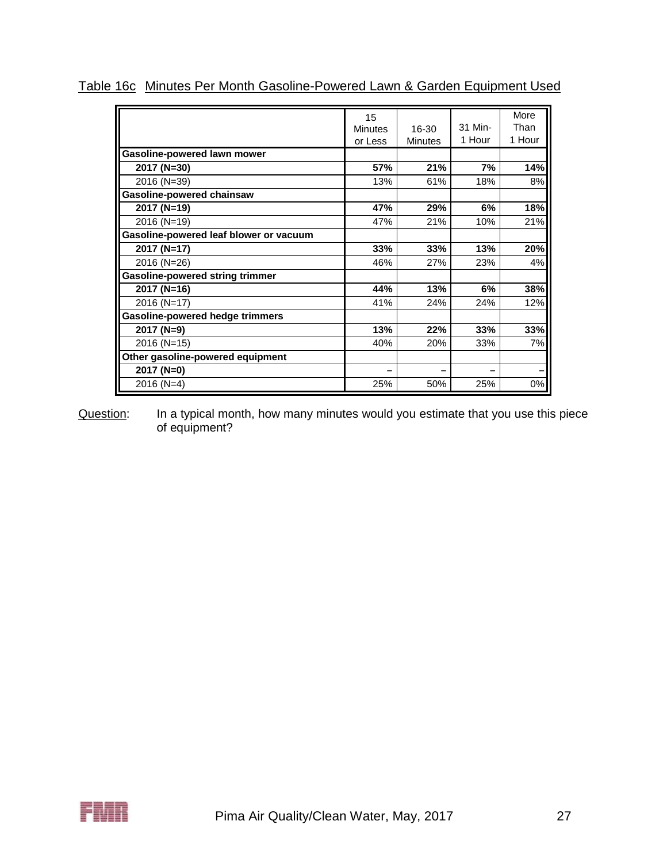|                                        | 15<br><b>Minutes</b><br>or Less | 16-30<br><b>Minutes</b> | 31 Min-<br>1 Hour | More<br>Than<br>1 Hour |
|----------------------------------------|---------------------------------|-------------------------|-------------------|------------------------|
| Gasoline-powered lawn mower            |                                 |                         |                   |                        |
| 2017 (N=30)                            | 57%                             | 21%                     | 7%                | 14%                    |
| 2016 (N=39)                            | 13%                             | 61%                     | 18%               | 8%                     |
| Gasoline-powered chainsaw              |                                 |                         |                   |                        |
| 2017 (N=19)                            | 47%                             | 29%                     | 6%                | 18%                    |
| 2016 (N=19)                            | 47%                             | 21%                     | 10%               | 21%                    |
| Gasoline-powered leaf blower or vacuum |                                 |                         |                   |                        |
| 2017 (N=17)                            | 33%                             | 33%                     | 13%               | 20%                    |
| 2016 (N=26)                            | 46%                             | 27%                     | 23%               | 4%                     |
| <b>Gasoline-powered string trimmer</b> |                                 |                         |                   |                        |
| 2017 (N=16)                            | 44%                             | 13%                     | 6%                | 38%                    |
| 2016 (N=17)                            | 41%                             | 24%                     | 24%               | 12%                    |
| <b>Gasoline-powered hedge trimmers</b> |                                 |                         |                   |                        |
| 2017 (N=9)                             | 13%                             | 22%                     | 33%               | 33%                    |
| 2016 (N=15)                            | 40%                             | 20%                     | 33%               | 7%                     |
| Other gasoline-powered equipment       |                                 |                         |                   |                        |
| 2017 (N=0)                             |                                 |                         |                   |                        |
| 2016 (N=4)                             | 25%                             | 50%                     | 25%               | 0%                     |

Table 16c Minutes Per Month Gasoline-Powered Lawn & Garden Equipment Used

Question: In a typical month, how many minutes would you estimate that you use this piece of equipment?

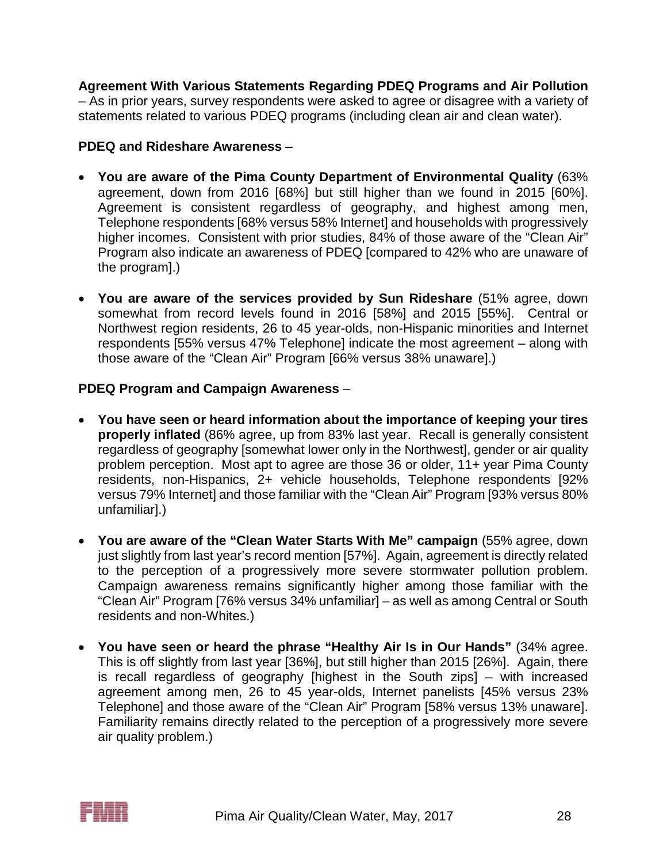**Agreement With Various Statements Regarding PDEQ Programs and Air Pollution** – As in prior years, survey respondents were asked to agree or disagree with a variety of statements related to various PDEQ programs (including clean air and clean water).

### **PDEQ and Rideshare Awareness** –

- **You are aware of the Pima County Department of Environmental Quality** (63% agreement, down from 2016 [68%] but still higher than we found in 2015 [60%]. Agreement is consistent regardless of geography, and highest among men, Telephone respondents [68% versus 58% Internet] and households with progressively higher incomes. Consistent with prior studies, 84% of those aware of the "Clean Air" Program also indicate an awareness of PDEQ [compared to 42% who are unaware of the program].)
- **You are aware of the services provided by Sun Rideshare** (51% agree, down somewhat from record levels found in 2016 [58%] and 2015 [55%]. Central or Northwest region residents, 26 to 45 year-olds, non-Hispanic minorities and Internet respondents [55% versus 47% Telephone] indicate the most agreement – along with those aware of the "Clean Air" Program [66% versus 38% unaware].)

### **PDEQ Program and Campaign Awareness** –

- **You have seen or heard information about the importance of keeping your tires properly inflated** (86% agree, up from 83% last year. Recall is generally consistent regardless of geography [somewhat lower only in the Northwest], gender or air quality problem perception. Most apt to agree are those 36 or older, 11+ year Pima County residents, non-Hispanics, 2+ vehicle households, Telephone respondents [92% versus 79% Internet] and those familiar with the "Clean Air" Program [93% versus 80% unfamiliar].)
- **You are aware of the "Clean Water Starts With Me" campaign** (55% agree, down just slightly from last year's record mention [57%]. Again, agreement is directly related to the perception of a progressively more severe stormwater pollution problem. Campaign awareness remains significantly higher among those familiar with the "Clean Air" Program [76% versus 34% unfamiliar] – as well as among Central or South residents and non-Whites.)
- **You have seen or heard the phrase "Healthy Air Is in Our Hands"** (34% agree. This is off slightly from last year [36%], but still higher than 2015 [26%]. Again, there is recall regardless of geography [highest in the South zips] – with increased agreement among men, 26 to 45 year-olds, Internet panelists [45% versus 23% Telephone] and those aware of the "Clean Air" Program [58% versus 13% unaware]. Familiarity remains directly related to the perception of a progressively more severe air quality problem.)

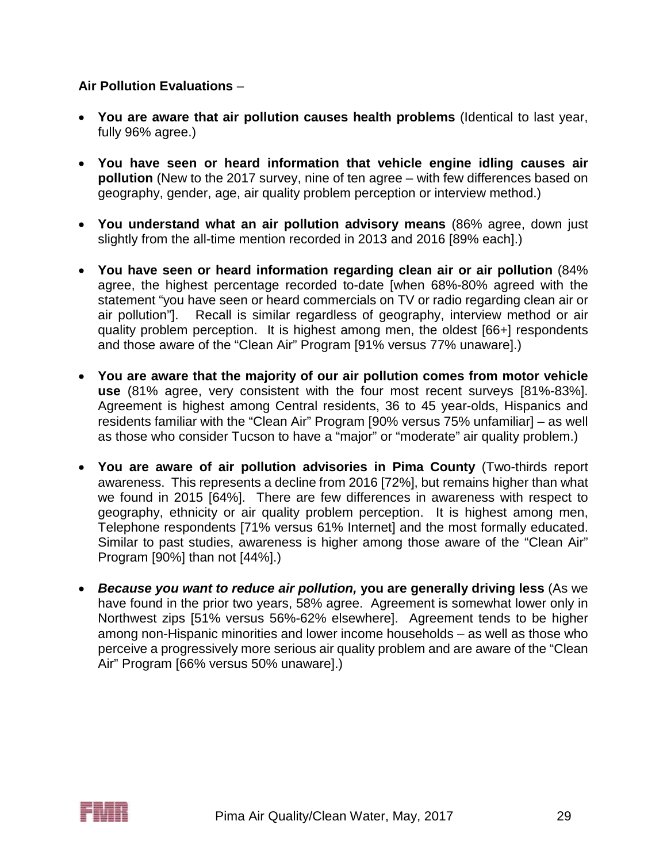### **Air Pollution Evaluations** –

- **You are aware that air pollution causes health problems** (Identical to last year, fully 96% agree.)
- **You have seen or heard information that vehicle engine idling causes air pollution** (New to the 2017 survey, nine of ten agree – with few differences based on geography, gender, age, air quality problem perception or interview method.)
- **You understand what an air pollution advisory means** (86% agree, down just slightly from the all-time mention recorded in 2013 and 2016 [89% each].)
- **You have seen or heard information regarding clean air or air pollution** (84% agree, the highest percentage recorded to-date [when 68%-80% agreed with the statement "you have seen or heard commercials on TV or radio regarding clean air or air pollution"]. Recall is similar regardless of geography, interview method or air quality problem perception. It is highest among men, the oldest [66+] respondents and those aware of the "Clean Air" Program [91% versus 77% unaware].)
- **You are aware that the majority of our air pollution comes from motor vehicle use** (81% agree, very consistent with the four most recent surveys [81%-83%]. Agreement is highest among Central residents, 36 to 45 year-olds, Hispanics and residents familiar with the "Clean Air" Program [90% versus 75% unfamiliar] – as well as those who consider Tucson to have a "major" or "moderate" air quality problem.)
- **You are aware of air pollution advisories in Pima County** (Two-thirds report awareness. This represents a decline from 2016 [72%], but remains higher than what we found in 2015 [64%]. There are few differences in awareness with respect to geography, ethnicity or air quality problem perception. It is highest among men, Telephone respondents [71% versus 61% Internet] and the most formally educated. Similar to past studies, awareness is higher among those aware of the "Clean Air" Program [90%] than not [44%].)
- *Because you want to reduce air pollution,* **you are generally driving less** (As we have found in the prior two years, 58% agree. Agreement is somewhat lower only in Northwest zips [51% versus 56%-62% elsewhere]. Agreement tends to be higher among non-Hispanic minorities and lower income households – as well as those who perceive a progressively more serious air quality problem and are aware of the "Clean Air" Program [66% versus 50% unaware].)

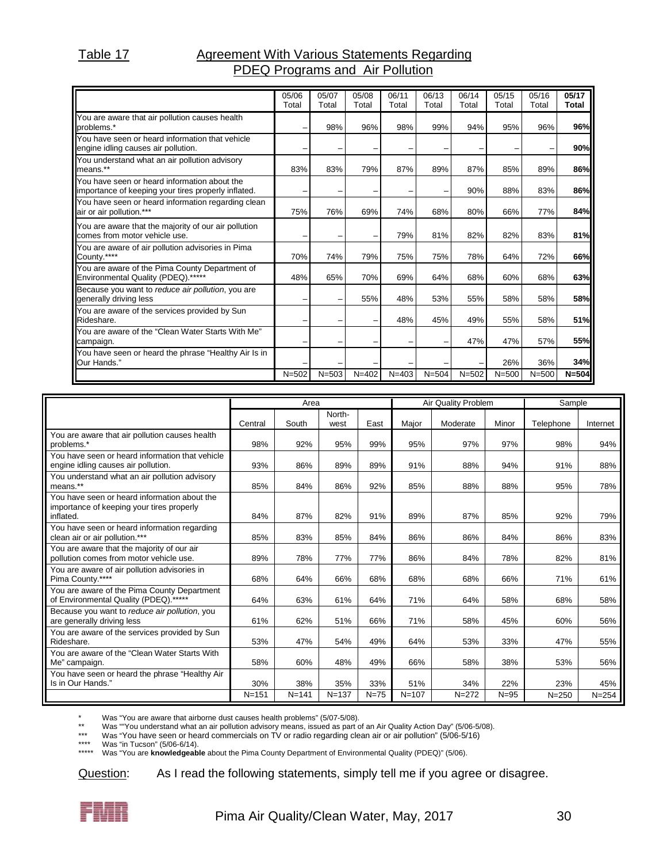#### Table 17 **Agreement With Various Statements Regarding** PDEQ Programs and Air Pollution

|                                                                                                     | 05/06<br>Total | 05/07<br>Total | 05/08<br>Total | 06/11<br>Total | 06/13<br>Total | 06/14<br>Total | 05/15<br>Total | 05/16<br>Total | 05/17<br>Total |
|-----------------------------------------------------------------------------------------------------|----------------|----------------|----------------|----------------|----------------|----------------|----------------|----------------|----------------|
| You are aware that air pollution causes health<br>problems.*                                        |                | 98%            | 96%            | 98%            | 99%            | 94%            | 95%            | 96%            | 96%            |
| You have seen or heard information that vehicle<br>engine idling causes air pollution.              |                |                |                |                |                |                |                |                | 90%            |
| You understand what an air pollution advisory<br>means.**                                           | 83%            | 83%            | 79%            | 87%            | 89%            | 87%            | 85%            | 89%            | 86%            |
| You have seen or heard information about the<br>importance of keeping your tires properly inflated. |                |                |                |                |                | 90%            | 88%            | 83%            | 86%            |
| You have seen or heard information regarding clean<br>air or air pollution.***                      | 75%            | 76%            | 69%            | 74%            | 68%            | 80%            | 66%            | 77%            | 84%            |
| You are aware that the majority of our air pollution<br>comes from motor vehicle use.               |                |                |                | 79%            | 81%            | 82%            | 82%            | 83%            | 81%            |
| You are aware of air pollution advisories in Pima<br>County.****                                    | 70%            | 74%            | 79%            | 75%            | 75%            | 78%            | 64%            | 72%            | 66%            |
| You are aware of the Pima County Department of<br>Environmental Quality (PDEQ).*****                | 48%            | 65%            | 70%            | 69%            | 64%            | 68%            | 60%            | 68%            | 63%            |
| Because you want to reduce air pollution, you are<br>generally driving less                         |                |                | 55%            | 48%            | 53%            | 55%            | 58%            | 58%            | 58%            |
| You are aware of the services provided by Sun<br>Rideshare.                                         |                | -              |                | 48%            | 45%            | 49%            | 55%            | 58%            | 51%            |
| You are aware of the "Clean Water Starts With Me"<br>campaign.                                      |                |                |                |                |                | 47%            | 47%            | 57%            | 55%            |
| You have seen or heard the phrase "Healthy Air Is in<br>Our Hands."                                 |                |                |                |                |                |                | 26%            | 36%            | 34%            |
|                                                                                                     | $N = 502$      | $N = 503$      | $N = 402$      | $N = 403$      | $N = 504$      | $N = 502$      | $N = 500$      | $N = 500$      | $N = 504$      |

|                                                                                                        |           | Area      |                |        |           | Air Quality Problem |          | Sample    |           |
|--------------------------------------------------------------------------------------------------------|-----------|-----------|----------------|--------|-----------|---------------------|----------|-----------|-----------|
|                                                                                                        | Central   | South     | North-<br>west | East   | Major     | Moderate            | Minor    | Telephone | Internet  |
| You are aware that air pollution causes health<br>problems.*                                           | 98%       | 92%       | 95%            | 99%    | 95%       | 97%                 | 97%      | 98%       | 94%       |
| You have seen or heard information that vehicle<br>engine idling causes air pollution.                 | 93%       | 86%       | 89%            | 89%    | 91%       | 88%                 | 94%      | 91%       | 88%       |
| You understand what an air pollution advisory<br>means.**                                              | 85%       | 84%       | 86%            | 92%    | 85%       | 88%                 | 88%      | 95%       | 78%       |
| You have seen or heard information about the<br>importance of keeping your tires properly<br>inflated. | 84%       | 87%       | 82%            | 91%    | 89%       | 87%                 | 85%      | 92%       | 79%       |
| You have seen or heard information regarding<br>clean air or air pollution.***                         | 85%       | 83%       | 85%            | 84%    | 86%       | 86%                 | 84%      | 86%       | 83%       |
| You are aware that the majority of our air<br>pollution comes from motor vehicle use.                  | 89%       | 78%       | 77%            | 77%    | 86%       | 84%                 | 78%      | 82%       | 81%       |
| You are aware of air pollution advisories in<br>Pima County.****                                       | 68%       | 64%       | 66%            | 68%    | 68%       | 68%                 | 66%      | 71%       | 61%       |
| You are aware of the Pima County Department<br>of Environmental Quality (PDEQ).*****                   | 64%       | 63%       | 61%            | 64%    | 71%       | 64%                 | 58%      | 68%       | 58%       |
| Because you want to reduce air pollution, you<br>are generally driving less                            | 61%       | 62%       | 51%            | 66%    | 71%       | 58%                 | 45%      | 60%       | 56%       |
| You are aware of the services provided by Sun<br>Rideshare.                                            | 53%       | 47%       | 54%            | 49%    | 64%       | 53%                 | 33%      | 47%       | 55%       |
| You are aware of the "Clean Water Starts With<br>Me" campaign.                                         | 58%       | 60%       | 48%            | 49%    | 66%       | 58%                 | 38%      | 53%       | 56%       |
| You have seen or heard the phrase "Healthy Air<br>Is in Our Hands."                                    | 30%       | 38%       | 35%            | 33%    | 51%       | 34%                 | 22%      | 23%       | 45%       |
|                                                                                                        | $N = 151$ | $N = 141$ | $N = 137$      | $N=75$ | $N = 107$ | $N = 272$           | $N = 95$ | $N = 250$ | $N = 254$ |

\* Was "You are aware that airborne dust causes health problems" (5/07-5/08).

was ""You understand what an air pollution advisory means, issued as part of an Air Quality Action Day" (5/06-5/08).<br>Was "You have seen or heard commercials on TV or radio regarding clean air or air pollution" (5/06-5/16)

\*\*\* Was "You have seen or heard commercials on TV or radio regarding clean air or air pollution" (5/06-5/16)<br>\*\*\*\* Was "in Tucson" (5/06-6/14)

Was "in Tucson" (5/06-6/14).

\*\*\*\*\* Was "You are **knowledgeable** about the Pima County Department of Environmental Quality (PDEQ)" (5/06).

Question: As I read the following statements, simply tell me if you agree or disagree.

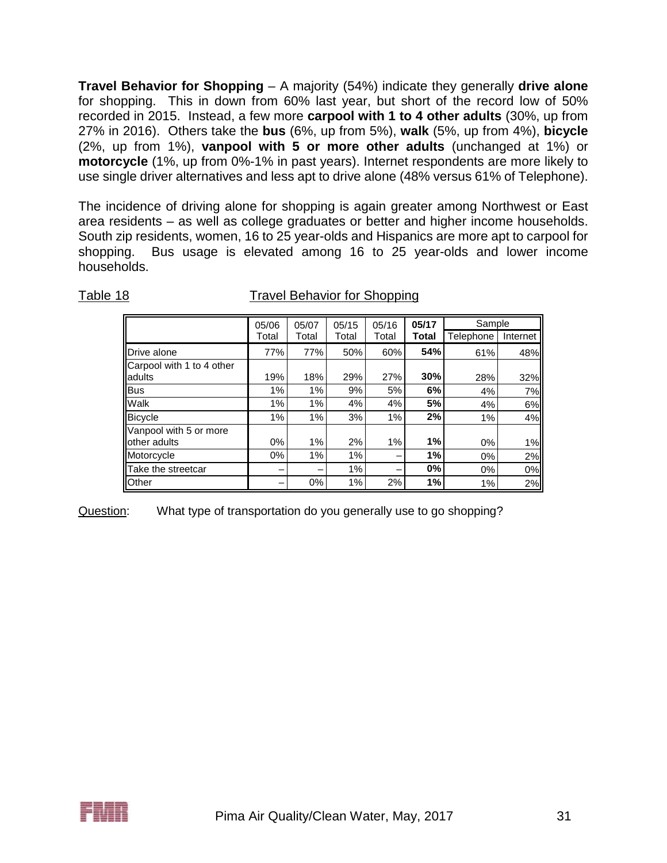**Travel Behavior for Shopping** – A majority (54%) indicate they generally **drive alone** for shopping. This in down from 60% last year, but short of the record low of 50% recorded in 2015. Instead, a few more **carpool with 1 to 4 other adults** (30%, up from 27% in 2016). Others take the **bus** (6%, up from 5%), **walk** (5%, up from 4%), **bicycle** (2%, up from 1%), **vanpool with 5 or more other adults** (unchanged at 1%) or **motorcycle** (1%, up from 0%-1% in past years). Internet respondents are more likely to use single driver alternatives and less apt to drive alone (48% versus 61% of Telephone).

The incidence of driving alone for shopping is again greater among Northwest or East area residents – as well as college graduates or better and higher income households. South zip residents, women, 16 to 25 year-olds and Hispanics are more apt to carpool for shopping. Bus usage is elevated among 16 to 25 year-olds and lower income households.

|                                        | 05/06 | 05/07 | 05/15 | 05/16 | 05/17 | Sample    |          |
|----------------------------------------|-------|-------|-------|-------|-------|-----------|----------|
|                                        | Total | Total | Total | Total | Total | Telephone | Internet |
| Drive alone                            | 77%   | 77%   | 50%   | 60%   | 54%   | 61%       | 48%      |
| Carpool with 1 to 4 other              |       |       |       |       |       |           |          |
| adults                                 | 19%   | 18%   | 29%   | 27%   | 30%   | 28%       | 32%      |
| <b>Bus</b>                             | 1%    | 1%    | 9%    | 5%    | 6%    | 4%        | 7%       |
| Walk                                   | 1%    | 1%    | 4%    | 4%    | 5%    | 4%        | 6%       |
| <b>Bicycle</b>                         | 1%    | 1%    | 3%    | 1%    | 2%    | 1%        | 4%       |
| Vanpool with 5 or more<br>other adults | 0%    | 1%    | 2%    | 1%    | 1%    | $0\%$     | 1%       |
| Motorcycle                             | 0%    | 1%    | 1%    |       | 1%    | $0\%$     | 2%       |
| Take the streetcar                     | -     |       | 1%    |       | 0%    | 0%        | 0%       |
| Other                                  |       | 0%    | 1%    | 2%    | 1%    | 1%        | 2%       |

Table 18 Travel Behavior for Shopping

Question: What type of transportation do you generally use to go shopping?

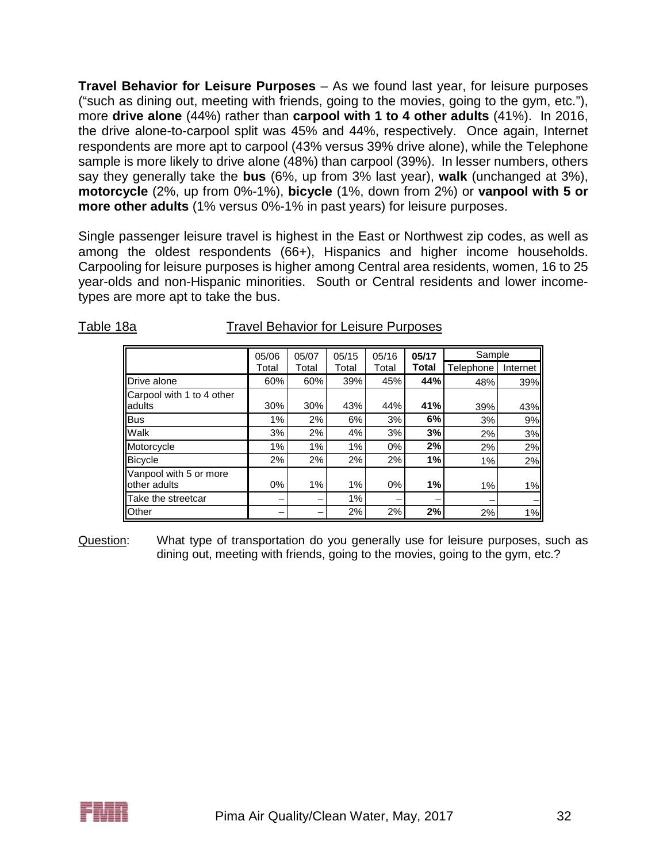**Travel Behavior for Leisure Purposes** – As we found last year, for leisure purposes ("such as dining out, meeting with friends, going to the movies, going to the gym, etc."), more **drive alone** (44%) rather than **carpool with 1 to 4 other adults** (41%). In 2016, the drive alone-to-carpool split was 45% and 44%, respectively. Once again, Internet respondents are more apt to carpool (43% versus 39% drive alone), while the Telephone sample is more likely to drive alone (48%) than carpool (39%). In lesser numbers, others say they generally take the **bus** (6%, up from 3% last year), **walk** (unchanged at 3%), **motorcycle** (2%, up from 0%-1%), **bicycle** (1%, down from 2%) or **vanpool with 5 or more other adults** (1% versus 0%-1% in past years) for leisure purposes.

Single passenger leisure travel is highest in the East or Northwest zip codes, as well as among the oldest respondents (66+), Hispanics and higher income households. Carpooling for leisure purposes is higher among Central area residents, women, 16 to 25 year-olds and non-Hispanic minorities. South or Central residents and lower incometypes are more apt to take the bus.

Table 18a Travel Behavior for Leisure Purposes

|                                     | 05/06 | 05/07 | 05/15 | 05/16 | 05/17 | Sample    |          |
|-------------------------------------|-------|-------|-------|-------|-------|-----------|----------|
|                                     | Total | Total | Total | Total | Total | Telephone | Internet |
| Drive alone                         | 60%   | 60%   | 39%   | 45%   | 44%   | 48%       | 39%      |
| Carpool with 1 to 4 other<br>adults |       |       |       |       |       |           |          |
|                                     | 30%   | 30%   | 43%   | 44%   | 41%   | 39%       | 43%      |
| <b>Bus</b>                          | 1%    | 2%    | 6%    | 3%    | 6%    | 3%        | 9%       |
| Walk                                | 3%    | 2%    | 4%    | 3%    | 3%    | 2%        | 3%       |
| Motorcycle                          | 1%    | 1%    | 1%    | $0\%$ | 2%    | 2%        | 2%       |
| Bicycle                             | 2%    | 2%    | 2%    | 2%    | 1%    | $1\%$     | 2%       |
| Vanpool with 5 or more              |       |       |       |       |       |           |          |
| other adults                        | $0\%$ | 1%    | 1%    | $0\%$ | 1%    | 1%        | 1%       |
| Take the streetcar                  | -     |       | 1%    |       | -     |           |          |
| Other                               |       |       | 2%    | 2%    | 2%    | 2%        | 1%       |

Question: What type of transportation do you generally use for leisure purposes, such as dining out, meeting with friends, going to the movies, going to the gym, etc.?

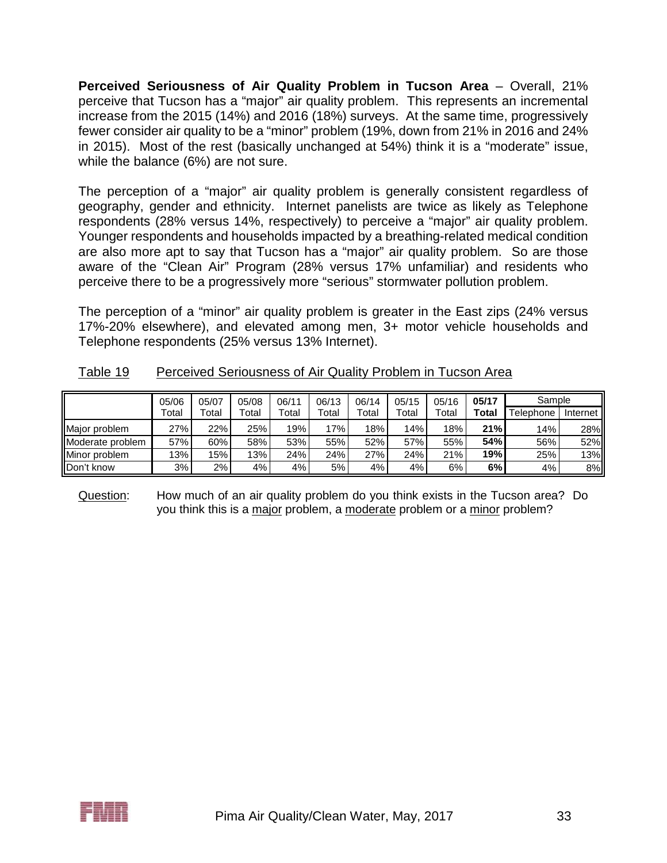**Perceived Seriousness of Air Quality Problem in Tucson Area** – Overall, 21% perceive that Tucson has a "major" air quality problem. This represents an incremental increase from the 2015 (14%) and 2016 (18%) surveys. At the same time, progressively fewer consider air quality to be a "minor" problem (19%, down from 21% in 2016 and 24% in 2015). Most of the rest (basically unchanged at 54%) think it is a "moderate" issue, while the balance (6%) are not sure.

The perception of a "major" air quality problem is generally consistent regardless of geography, gender and ethnicity. Internet panelists are twice as likely as Telephone respondents (28% versus 14%, respectively) to perceive a "major" air quality problem. Younger respondents and households impacted by a breathing-related medical condition are also more apt to say that Tucson has a "major" air quality problem. So are those aware of the "Clean Air" Program (28% versus 17% unfamiliar) and residents who perceive there to be a progressively more "serious" stormwater pollution problem.

The perception of a "minor" air quality problem is greater in the East zips (24% versus 17%-20% elsewhere), and elevated among men, 3+ motor vehicle households and Telephone respondents (25% versus 13% Internet).

|                  | 05/06 | 05/07 | 05/08 | 06/11 | 06/13 | 06/14       | 05/15 | 05/16 | 05/17 | Sample    |          |
|------------------|-------|-------|-------|-------|-------|-------------|-------|-------|-------|-----------|----------|
|                  | Total | Total | Total | Total | Total | $\tau$ otal | Total | Total | Total | Telephone | Internet |
| Major problem    | 27%   | 22%   | 25%   | 19%   | 17%   | 18%         | 14%   | 18%   | 21%   | 14%       | 28%      |
| Moderate problem | 57%   | 60%   | 58%   | 53%   | 55%   | 52%         | 57%   | 55%   | 54%   | 56%       | 52%      |
| Minor problem    | 13%   | 15%   | 13%   | 24%   | 24%   | 27%         | 24%   | 21%   | 19%   | 25%       | 13%      |
| Don't know       | 3%    | 2%    | 4%    | 4%    | 5%    | 4%          | 4%    | 6%    | 6%    | 4%        | 8%       |

|--|

Question: How much of an air quality problem do you think exists in the Tucson area? Do you think this is a major problem, a moderate problem or a minor problem?

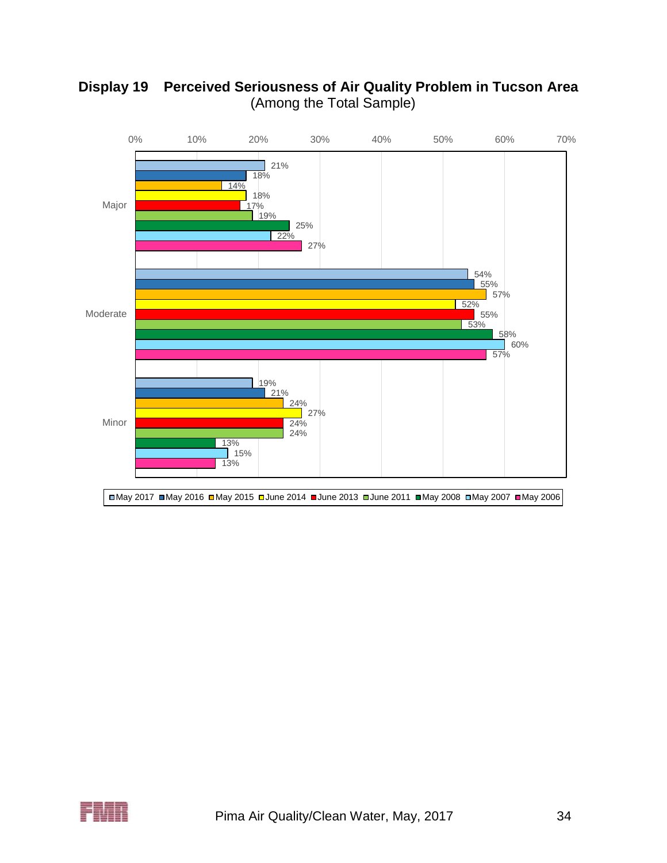

# **Display 19 Perceived Seriousness of Air Quality Problem in Tucson Area** (Among the Total Sample)

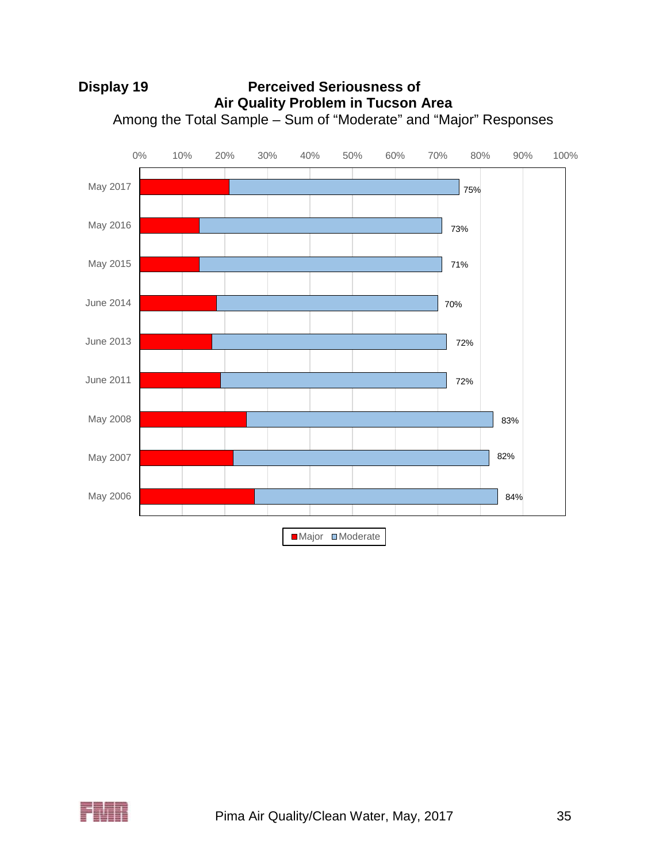

# **Display 19 Perceived Seriousness of Air Quality Problem in Tucson Area** Among the Total Sample – Sum of "Moderate" and "Major" Responses

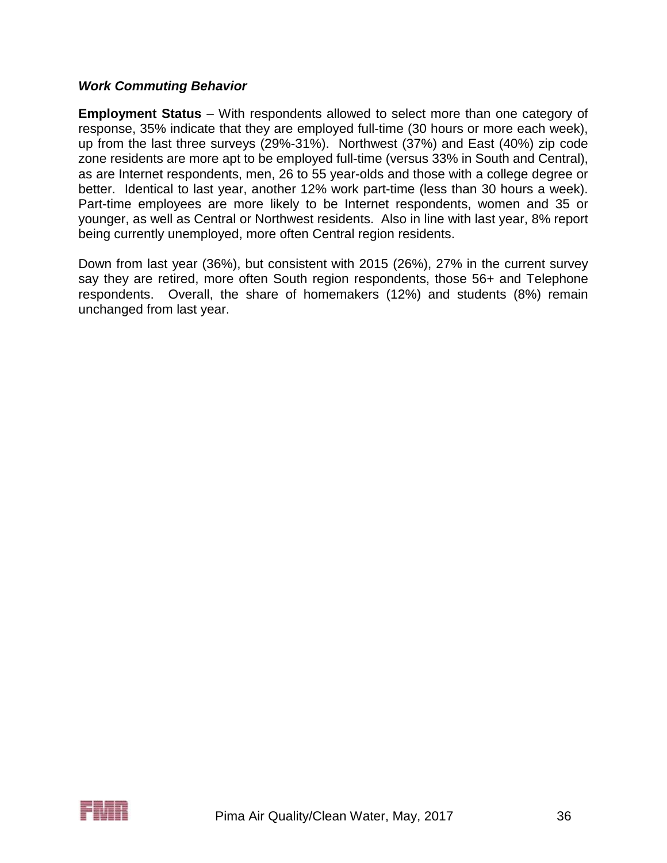#### *Work Commuting Behavior*

**Employment Status** – With respondents allowed to select more than one category of response, 35% indicate that they are employed full-time (30 hours or more each week), up from the last three surveys (29%-31%). Northwest (37%) and East (40%) zip code zone residents are more apt to be employed full-time (versus 33% in South and Central), as are Internet respondents, men, 26 to 55 year-olds and those with a college degree or better. Identical to last year, another 12% work part-time (less than 30 hours a week). Part-time employees are more likely to be Internet respondents, women and 35 or younger, as well as Central or Northwest residents. Also in line with last year, 8% report being currently unemployed, more often Central region residents.

Down from last year (36%), but consistent with 2015 (26%), 27% in the current survey say they are retired, more often South region respondents, those 56+ and Telephone respondents. Overall, the share of homemakers (12%) and students (8%) remain unchanged from last year.

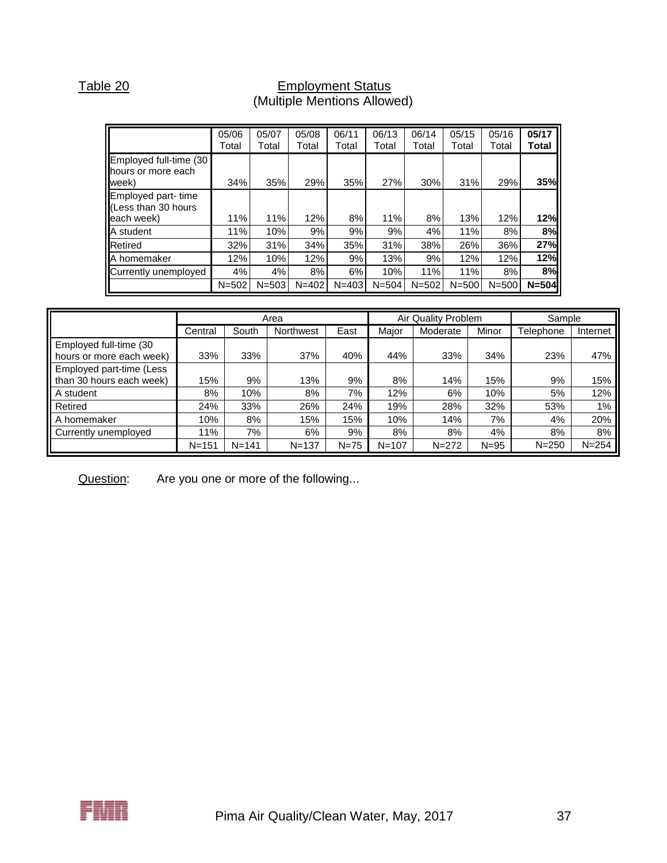#### Table 20 **Employment Status** (Multiple Mentions Allowed)

|                                                          | 05/06<br>Total | 05/07<br>Total | 05/08<br>Total | 06/11<br>Total | 06/13<br>Total | 06/14<br>Total | 05/15<br>Total | 05/16<br>Total | 05/17<br>Total |
|----------------------------------------------------------|----------------|----------------|----------------|----------------|----------------|----------------|----------------|----------------|----------------|
| Employed full-time (30<br>hours or more each<br>week)    | 34%            | 35%            | 29%            | 35%            | 27%            | 30%            | 31%            | 29%            | 35%            |
| Employed part-time<br>LEess than 30 hours<br>leach week) | 11%            | 11%            | 12%            | 8%             | 11%            | 8%             | 13%            | 12%            | 12%            |
| A student                                                | 11%            | 10%            | 9%             | 9%             | 9%             | 4%             | 11%            | 8%             | 8%             |
| Retired                                                  | 32%            | 31%            | 34%            | 35%            | 31%            | 38%            | 26%            | 36%            | 27%            |
| A homemaker                                              | 12%            | 10%            | 12%            | 9%             | 13%            | 9%             | 12%            | 12%            | 12%            |
| Currently unemployed                                     | 4%             | 4%             | 8%             | 6%             | 10%            | 11%            | 11%            | 8%             | 8%             |
|                                                          | $N = 502$      | $N = 503$      | $N = 402$      | $N = 403$      | $N = 504$      | $N = 502$      | $N = 500$      | $N = 500$      | $N = 504$      |

|                                                        |           |           | Area      |          |           | Air Quality Problem |          | Sample    |           |  |
|--------------------------------------------------------|-----------|-----------|-----------|----------|-----------|---------------------|----------|-----------|-----------|--|
|                                                        | Central   | South     | Northwest | East     | Major     | Moderate            | Minor    | Telephone | Internet  |  |
| Employed full-time (30<br>hours or more each week)     | 33%       | 33%       | 37%       | 40%      | 44%       | 33%                 | 34%      | 23%       | 47%       |  |
| Employed part-time (Less<br>I than 30 hours each week) | 15%       | 9%        | 13%       | 9%       | 8%        | 14%                 | 15%      | 9%        | 15%       |  |
| A student                                              | 8%        | 10%       | 8%        | 7%       | 12%       | 6%                  | 10%      | 5%        | 12%       |  |
| Retired                                                | 24%       | 33%       | 26%       | 24%      | 19%       | 28%                 | 32%      | 53%       | 1%        |  |
| A homemaker                                            | 10%       | 8%        | 15%       | 15%      | 10%       | 14%                 | 7%       | 4%        | 20%       |  |
| Currently unemployed                                   | 11%       | 7%        | 6%        | 9%       | 8%        | 8%                  | 4%       | 8%        | 8%        |  |
|                                                        | $N = 151$ | $N = 141$ | $N = 137$ | $N = 75$ | $N = 107$ | $N = 272$           | $N = 95$ | $N = 250$ | $N = 254$ |  |

Question: Are you one or more of the following...

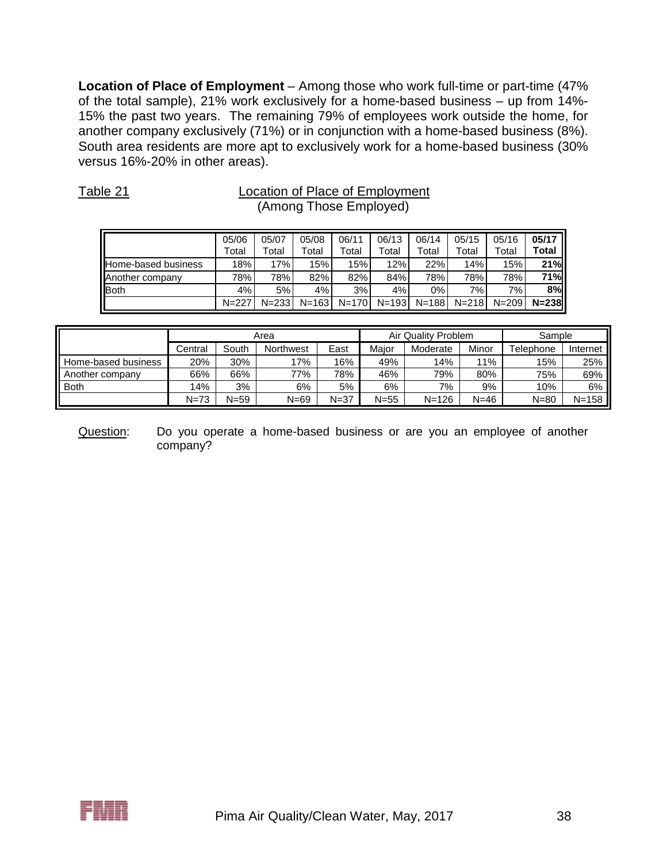**Location of Place of Employment** – Among those who work full-time or part-time (47% of the total sample), 21% work exclusively for a home-based business – up from 14%- 15% the past two years. The remaining 79% of employees work outside the home, for another company exclusively (71%) or in conjunction with a home-based business (8%). South area residents are more apt to exclusively work for a home-based business (30% versus 16%-20% in other areas).

| Table 21                   |                |                | Location of Place of Employment<br>(Among Those Employed) |                |                |                |                |                |                |
|----------------------------|----------------|----------------|-----------------------------------------------------------|----------------|----------------|----------------|----------------|----------------|----------------|
|                            | 05/06<br>Total | 05/07<br>Total | 05/08<br>Total                                            | 06/11<br>Total | 06/13<br>Total | 06/14<br>Total | 05/15<br>Total | 05/16<br>Total | 05/17<br>Total |
| <b>Home-based business</b> | 18%            | 17%            | 15%                                                       | 15%            | 12%            | 22%            | 14%            | 15%            | 21%            |
| Another company            | 78%            | 78%            | 82%                                                       | 82%            | 84%            | 78%            | 78%            | 78%            | 71%            |
| <b>Both</b>                | 4%             | 5%             | 4%                                                        | 3%             | 4%             | $0\%$          | 7%             | 7%             | 8%             |
|                            | $N = 227$      | $N = 233$      | $N = 163$                                                 | $N=170$        | $N = 193$      | $N = 188$      | $N = 218$      | $N = 209$      | $N = 238$      |

|                     |          |          | Area      |          |        | Air Quality Problem | Sample |           |           |
|---------------------|----------|----------|-----------|----------|--------|---------------------|--------|-----------|-----------|
|                     | Central  | South    | Northwest | East     | Major  | Moderate            | Minor  | Telephone | Internet  |
| Home-based business | 20%      | 30%      | 17%       | 16%      | 49%    | 14%                 | 11%    | 15%       | 25%       |
| Another company     | 66%      | 66%      | 77%       | 78%      | 46%    | 79%                 | 80%    | 75%       | 69%       |
| <b>Both</b>         | 14%      | 3%       | 6%        | 5%       | 6%     | 7%                  | 9%     | 10%       | 6%        |
|                     | $N = 73$ | $N = 59$ | $N = 69$  | $N = 37$ | $N=55$ | N=126               | N=46   | $N = 80$  | $N = 158$ |

Question: Do you operate a home-based business or are you an employee of another company?

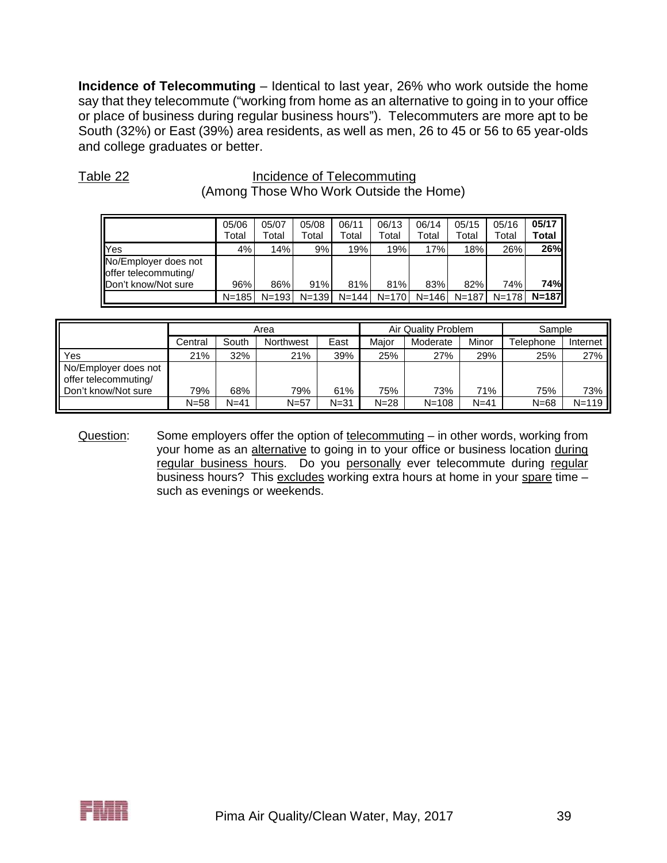**Incidence of Telecommuting** – Identical to last year, 26% who work outside the home say that they telecommute ("working from home as an alternative to going in to your office or place of business during regular business hours"). Telecommuters are more apt to be South (32%) or East (39%) area residents, as well as men, 26 to 45 or 56 to 65 year-olds and college graduates or better.

|                                                                     | (Among Those Who Work Outside the Home) |                |                |                |                |                |                |                |                |  |  |
|---------------------------------------------------------------------|-----------------------------------------|----------------|----------------|----------------|----------------|----------------|----------------|----------------|----------------|--|--|
|                                                                     | 05/06<br>Total                          | 05/07<br>Total | 05/08<br>Total | 06/11<br>Total | 06/13<br>Total | 06/14<br>Total | 05/15<br>Total | 05/16<br>Total | 05/17<br>Total |  |  |
| <b>Yes</b>                                                          | 4%                                      | 14%            | 9%             | 19%            | 19%            | 17%            | 18%            | 26%            | 26%            |  |  |
| No/Employer does not<br>offer telecommuting/<br>Don't know/Not sure | 96%                                     | 86%            | 91%            | 81%            | 81%            | 83%            | 82%            | 74%            | 74%            |  |  |
|                                                                     | $N = 185$                               | $N = 193$      | $N = 139$      | $N = 144$      | $N = 170$      | $N = 146$      | $N = 187$      | $N = 178$      | $N = 187$      |  |  |

Table 22 **Incidence of Telecommuting** 

|                                              |          |        | Area      |          |          | Air Quality Problem | Sample   |           |           |
|----------------------------------------------|----------|--------|-----------|----------|----------|---------------------|----------|-----------|-----------|
|                                              | Central  | South  | Northwest | East     | Maior    | Moderate            | Minor    | Telephone | Internet  |
| Yes                                          | 21%      | 32%    | 21%       | 39%      | 25%      | 27%                 | 29%      | 25%       | 27%       |
| No/Employer does not<br>offer telecommuting/ |          |        |           |          |          |                     |          |           |           |
| Don't know/Not sure                          | 79%      | 68%    | 79%       | 61%      | 75%      | 73%                 | 71%      | 75%       | 73%       |
|                                              | $N = 58$ | $N=41$ | $N=57$    | $N = 31$ | $N = 28$ | $N = 108$           | $N = 41$ | $N = 68$  | $N = 119$ |

Question: Some employers offer the option of telecommuting – in other words, working from your home as an alternative to going in to your office or business location during regular business hours. Do you personally ever telecommute during regular business hours? This excludes working extra hours at home in your spare time such as evenings or weekends.

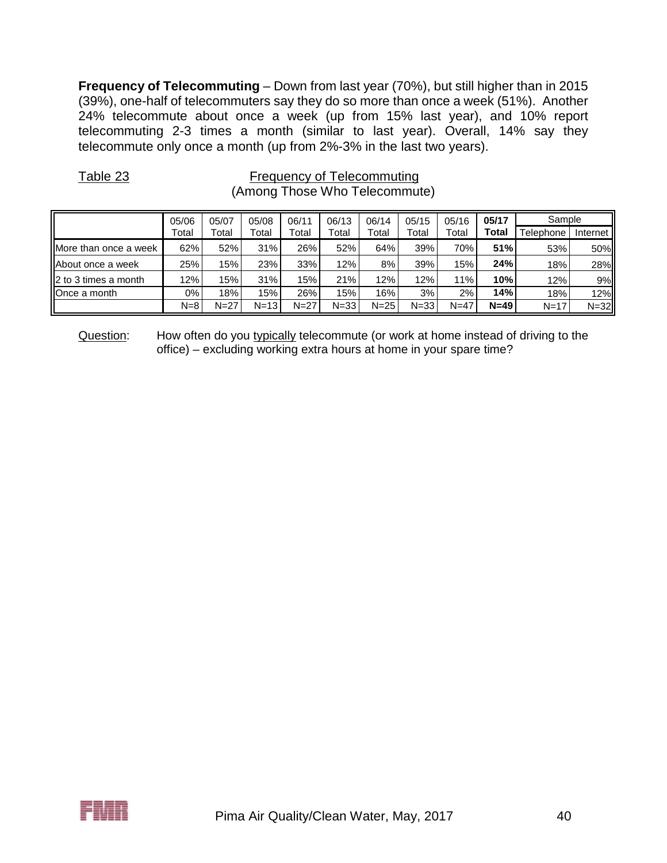**Frequency of Telecommuting** – Down from last year (70%), but still higher than in 2015 (39%), one-half of telecommuters say they do so more than once a week (51%). Another 24% telecommute about once a week (up from 15% last year), and 10% report telecommuting 2-3 times a month (similar to last year). Overall, 14% say they telecommute only once a month (up from 2%-3% in the last two years).

| $1$ up to $-$         |         |        |          | <b>NOUNDING OF LOLOGITHISM</b><br>(Among Those Who Telecommute) |          |          |          |        |        |           |            |
|-----------------------|---------|--------|----------|-----------------------------------------------------------------|----------|----------|----------|--------|--------|-----------|------------|
|                       | 05/06   | 05/07  | 05/08    | 06/11                                                           | 06/13    | 06/14    | 05/15    | 05/16  | 05/17  | Sample    |            |
|                       | Total   | Total  | Total    | Total                                                           | Total    | Total    | Total    | Total  | Total  | Telephone | Internet I |
| More than once a week | 62%     | 52%    | 31%      | 26%                                                             | 52%      | 64%      | 39%      | 70%    | 51%    | 53%       | 50%        |
| About once a week     | 25%     | 15%    | 23%      | 33%                                                             | 12%      | 8%       | 39%      | 15%    | 24%    | 18%       | 28%        |
| 2 to 3 times a month  | 12%     | 15%    | 31%      | 15%                                                             | 21%      | 12%      | 12%      | 11%    | 10%    | 12%       | 9%         |
| Once a month          | 0%      | 18%    | 15%      | 26%                                                             | 15%      | 16%      | 3%       | 2%     | 14%    | 18%       | 12%        |
|                       | $N = 8$ | $N=27$ | $N = 13$ | $N=27$                                                          | $N = 33$ | $N = 25$ | $N = 33$ | $N=47$ | $N=49$ | $N = 17$  | $N = 32$   |

Table 23 Frequency of Telecommuting

Question: How often do you typically telecommute (or work at home instead of driving to the office) – excluding working extra hours at home in your spare time?

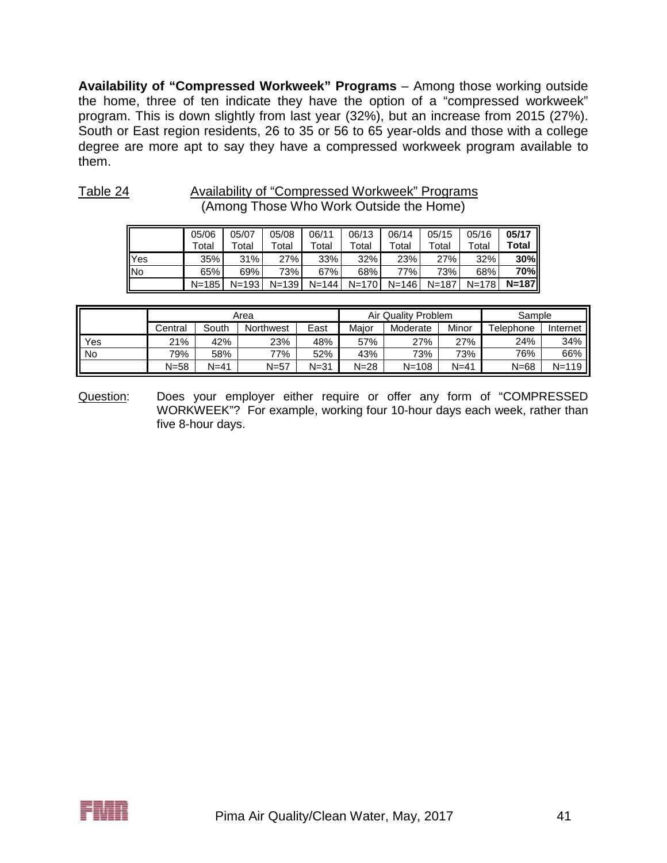**Availability of "Compressed Workweek" Programs** – Among those working outside the home, three of ten indicate they have the option of a "compressed workweek" program. This is down slightly from last year (32%), but an increase from 2015 (27%). South or East region residents, 26 to 35 or 56 to 65 year-olds and those with a college degree are more apt to say they have a compressed workweek program available to them.

| (Among Those Who Work Outside the Home) |                |                |                |                |                |                |                |                |                    |  |  |  |
|-----------------------------------------|----------------|----------------|----------------|----------------|----------------|----------------|----------------|----------------|--------------------|--|--|--|
|                                         | 05/06<br>Total | 05/07<br>Total | 05/08<br>Total | 06/11<br>Total | 06/13<br>Total | 06/14<br>Total | 05/15<br>Total | 05/16<br>Total | $05/17$  <br>Total |  |  |  |
| Yes                                     | 35%            | 31%            | 27%            | 33%            | 32%            | 23%            | 27%            | 32%            | 30%                |  |  |  |
| <b>IINo</b>                             | 65%            | 69%            | 73%            | 67%            | 68%            | 77%            | 73%            | 68%            | <b>70%</b>         |  |  |  |
|                                         | $N = 185$      | $N = 193$      | $N = 139$      | $N = 144$      | $N=170$        | $N = 146$      | $N=187$        | $N = 178$      | $N=187$            |  |  |  |

Table 24 Availability of "Compressed Workweek" Programs

|           |          |       | Area             |          |          | Air Quality Problem |          |           | Sample    |  |  |
|-----------|----------|-------|------------------|----------|----------|---------------------|----------|-----------|-----------|--|--|
|           | Central  | South | <b>Northwest</b> | East     | Maior    | Moderate            | Minor    | Telephone | Internet  |  |  |
| Yes       | 21%      | 42%   | 23%              | 48%      | 57%      | 27%                 | 27%      | 24%       | 34%       |  |  |
| <b>No</b> | 79%      | 58%   | 77%              | 52%      | 43%      | 73%                 | 73%      | 76%       | 66%       |  |  |
|           | $N = 58$ | N=41  | $N=57$           | $N = 31$ | $N = 28$ | $N = 108$           | $N = 41$ | $N = 68$  | $N = 119$ |  |  |

Question: Does your employer either require or offer any form of "COMPRESSED WORKWEEK"? For example, working four 10-hour days each week, rather than five 8-hour days.

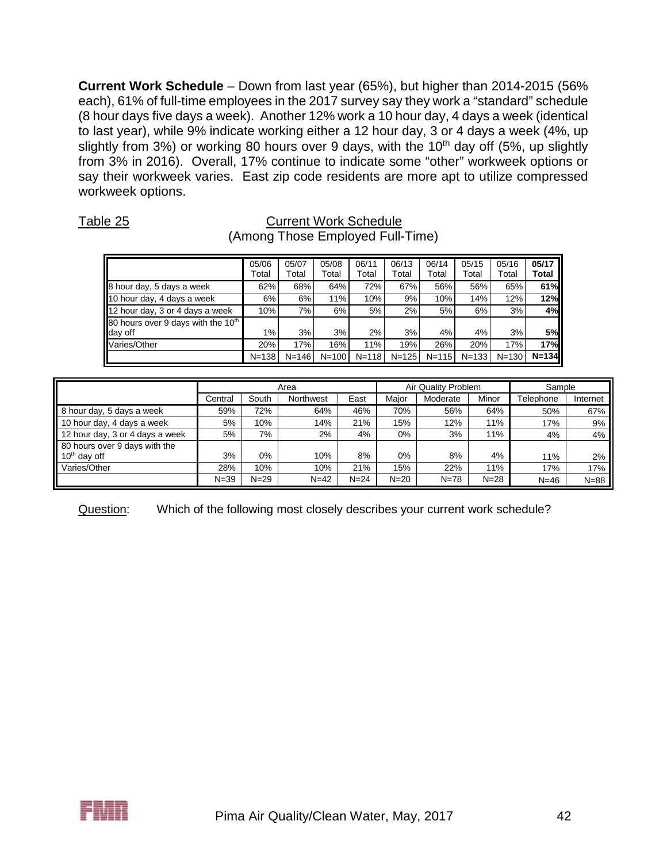**Current Work Schedule** – Down from last year (65%), but higher than 2014-2015 (56% each), 61% of full-time employees in the 2017 survey say they work a "standard" schedule (8 hour days five days a week). Another 12% work a 10 hour day, 4 days a week (identical to last year), while 9% indicate working either a 12 hour day, 3 or 4 days a week (4%, up slightly from 3%) or working 80 hours over 9 days, with the 10<sup>th</sup> day off (5%, up slightly from 3% in 2016). Overall, 17% continue to indicate some "other" workweek options or say their workweek varies. East zip code residents are more apt to utilize compressed workweek options.

#### Table 25 Current Work Schedule (Among Those Employed Full-Time)

|                                                           | 05/06<br>Total | 05/07<br>Total | 05/08<br>Total | 06/11<br>Total | 06/13<br>Total | 06/14<br>Total | 05/15<br>Total | 05/16<br>Total | 05/17<br>Total |
|-----------------------------------------------------------|----------------|----------------|----------------|----------------|----------------|----------------|----------------|----------------|----------------|
| 8 hour day, 5 days a week                                 | 62%            | 68%            | 64%            | 72%            | 67%            | 56%            | 56%            | 65%            | 61%            |
| 10 hour day, 4 days a week                                | 6%             | 6%             | 11%            | 10%            | 9%             | 10%            | 14%            | 12%            | 12%            |
| 12 hour day, 3 or 4 days a week                           | 10%            | 7%             | 6%             | 5%             | 2%             | 5%             | 6%             | 3%             | 4%             |
| 80 hours over 9 days with the 10 <sup>th</sup><br>day off | 1%             | 3%             | 3%             | 2%             | 3%             | 4%             | 4%             | 3%             | 5%             |
| Varies/Other                                              | 20%            | 17%            | 16%            | 11%            | 19%            | 26%            | 20%            | 17%            | 17%            |
|                                                           | $N = 138$      | $N = 146$      | $N=100$        | $N = 118$      | $N = 125$      | $N = 115$      | $N = 133$      | $N = 130$      | $N=134$        |

|                                 |          |          | Area      |          |          | Air Quality Problem |          | Sample    |          |
|---------------------------------|----------|----------|-----------|----------|----------|---------------------|----------|-----------|----------|
|                                 | Central  | South    | Northwest | East     | Maior    | Moderate            | Minor    | Telephone | Internet |
| 8 hour day, 5 days a week       | 59%      | 72%      | 64%       | 46%      | 70%      | 56%                 | 64%      | 50%       | 67%      |
| 10 hour day, 4 days a week      | 5%       | 10%      | 14%       | 21%      | 15%      | 12%                 | 11%      | 17%       | 9%       |
| 12 hour day, 3 or 4 days a week | 5%       | 7%       | $2\%$     | 4%       | $0\%$    | 3%                  | 11%      | 4%        | 4%       |
| 80 hours over 9 days with the   |          |          |           |          |          |                     |          |           |          |
| $10th$ day off                  | 3%       | $0\%$    | 10%       | 8%       | $0\%$    | 8%                  | 4%       | 11%       | 2%       |
| Varies/Other                    | 28%      | 10%      | 10%       | 21%      | 15%      | 22%                 | 11%      | 17%       | 17%      |
|                                 | $N = 39$ | $N = 29$ | $N = 42$  | $N = 24$ | $N = 20$ | $N = 78$            | $N = 28$ | $N=46$    | $N = 88$ |

Question: Which of the following most closely describes your current work schedule?

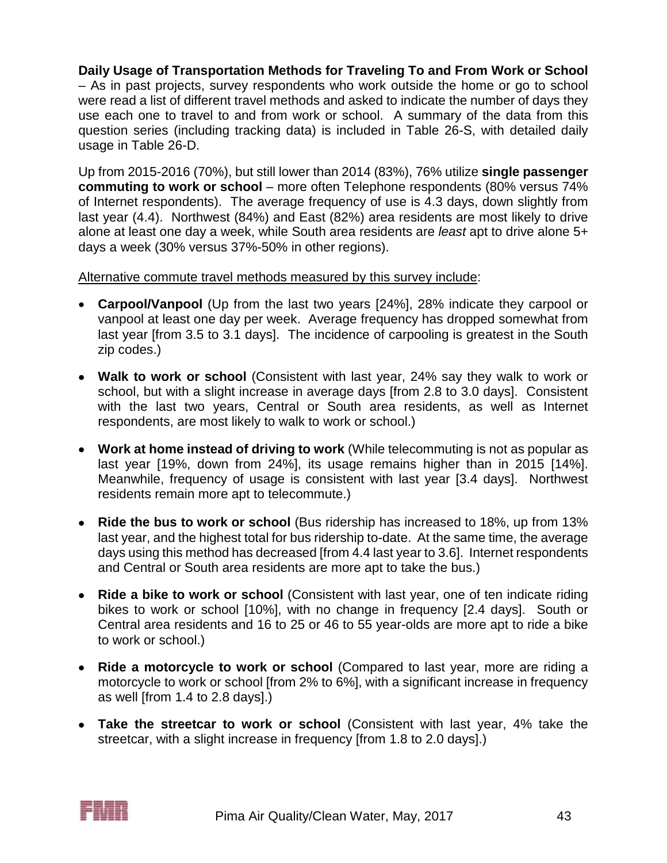**Daily Usage of Transportation Methods for Traveling To and From Work or School** – As in past projects, survey respondents who work outside the home or go to school were read a list of different travel methods and asked to indicate the number of days they use each one to travel to and from work or school. A summary of the data from this question series (including tracking data) is included in Table 26-S, with detailed daily usage in Table 26-D.

Up from 2015-2016 (70%), but still lower than 2014 (83%), 76% utilize **single passenger commuting to work or school** – more often Telephone respondents (80% versus 74% of Internet respondents). The average frequency of use is 4.3 days, down slightly from last year (4.4). Northwest (84%) and East (82%) area residents are most likely to drive alone at least one day a week, while South area residents are *least* apt to drive alone 5+ days a week (30% versus 37%-50% in other regions).

#### Alternative commute travel methods measured by this survey include:

- **Carpool/Vanpool** (Up from the last two years [24%], 28% indicate they carpool or vanpool at least one day per week. Average frequency has dropped somewhat from last year [from 3.5 to 3.1 days]. The incidence of carpooling is greatest in the South zip codes.)
- **Walk to work or school** (Consistent with last year, 24% say they walk to work or school, but with a slight increase in average days [from 2.8 to 3.0 days]. Consistent with the last two years, Central or South area residents, as well as Internet respondents, are most likely to walk to work or school.)
- **Work at home instead of driving to work** (While telecommuting is not as popular as last year [19%, down from 24%], its usage remains higher than in 2015 [14%]. Meanwhile, frequency of usage is consistent with last year [3.4 days]. Northwest residents remain more apt to telecommute.)
- **Ride the bus to work or school** (Bus ridership has increased to 18%, up from 13% last year, and the highest total for bus ridership to-date. At the same time, the average days using this method has decreased [from 4.4 last year to 3.6]. Internet respondents and Central or South area residents are more apt to take the bus.)
- **Ride a bike to work or school** (Consistent with last year, one of ten indicate riding bikes to work or school [10%], with no change in frequency [2.4 days]. South or Central area residents and 16 to 25 or 46 to 55 year-olds are more apt to ride a bike to work or school.)
- **Ride a motorcycle to work or school** (Compared to last year, more are riding a motorcycle to work or school [from 2% to 6%], with a significant increase in frequency as well [from 1.4 to 2.8 days].)
- **Take the streetcar to work or school** (Consistent with last year, 4% take the streetcar, with a slight increase in frequency [from 1.8 to 2.0 days].)

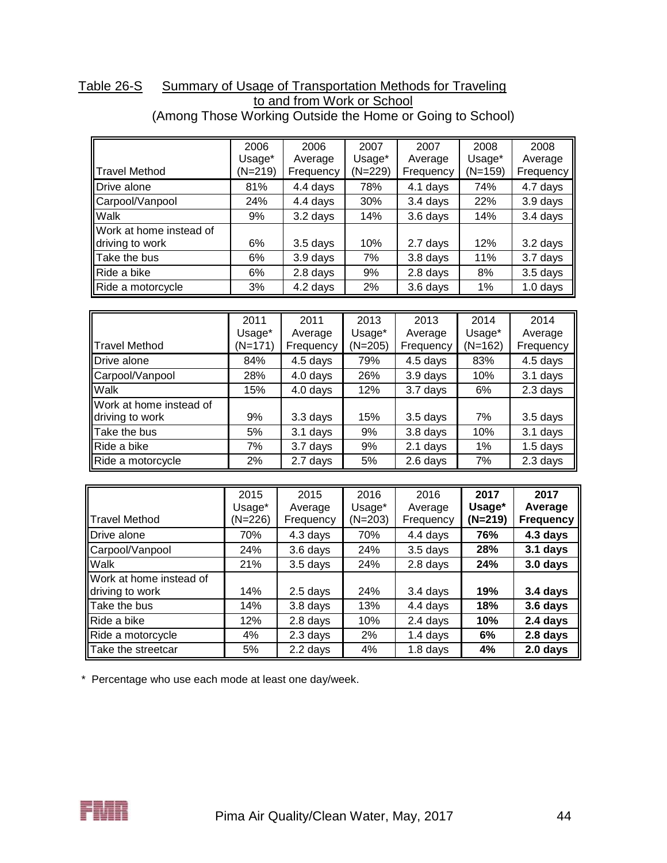|                         | 2006      | 2006      | 2007      | 2007      | 2008    | 2008       |
|-------------------------|-----------|-----------|-----------|-----------|---------|------------|
|                         | Usage*    | Average   | Usage*    | Average   | Usage*  | Average    |
| <b>Travel Method</b>    | $(N=219)$ | Frequency | $(N=229)$ | Frequency | (N=159) | Frequency  |
| Drive alone             | 81%       | 4.4 days  | 78%       | 4.1 days  | 74%     | 4.7 days   |
| Carpool/Vanpool         | 24%       | 4.4 days  | 30%       | 3.4 days  | 22%     | 3.9 days   |
| Walk                    | 9%        | 3.2 days  | 14%       | 3.6 days  | 14%     | 3.4 days   |
| Work at home instead of |           |           |           |           |         |            |
| driving to work         | 6%        | 3.5 days  | 10%       | 2.7 days  | 12%     | 3.2 days   |
| Take the bus            | 6%        | 3.9 days  | 7%        | 3.8 days  | 11%     | 3.7 days   |
| Ride a bike             | 6%        | 2.8 days  | 9%        | 2.8 days  | 8%      | $3.5$ days |
| Ride a motorcycle       | 3%        | 4.2 days  | 2%        | 3.6 days  | 1%      | $1.0$ days |

#### Table 26-S Summary of Usage of Transportation Methods for Traveling to and from Work or School (Among Those Working Outside the Home or Going to School)

| <b>I</b> Travel Method                     | 2011<br>Usage*<br>(N=171) | 2011<br>Average<br>Frequency | 2013<br>Usage*<br>$(N=205)$ | 2013<br>Average<br>Frequency | 2014<br>Usage*<br>$(N=162)$ | 2014<br>Average<br>Frequency |
|--------------------------------------------|---------------------------|------------------------------|-----------------------------|------------------------------|-----------------------------|------------------------------|
| Drive alone                                | 84%                       | 4.5 days                     | 79%                         | 4.5 days                     | 83%                         | 4.5 days                     |
| Carpool/Vanpool                            | 28%                       | 4.0 days                     | 26%                         | 3.9 days                     | 10%                         | 3.1 days                     |
| Walk                                       | 15%                       | 4.0 days                     | 12%                         | $3.7$ days                   | 6%                          | 2.3 days                     |
| Work at home instead of<br>driving to work | 9%                        | 3.3 days                     | 15%                         | 3.5 days                     | 7%                          | 3.5 days                     |
| Take the bus                               | 5%                        | $3.1$ days                   | 9%                          | 3.8 days                     | 10%                         | 3.1 days                     |
| Ride a bike                                | 7%                        | 3.7 days                     | 9%                          | 2.1 days                     | 1%                          | $1.5$ days                   |
| Ride a motorcycle                          | 2%                        | 2.7 days                     | 5%                          | 2.6 days                     | 7%                          | 2.3 days                     |

|                         | 2015      | 2015      | 2016      | 2016       | 2017      | 2017             |
|-------------------------|-----------|-----------|-----------|------------|-----------|------------------|
|                         | Usage*    | Average   | Usage*    | Average    | Usage*    | Average          |
| <b>Travel Method</b>    | $(N=226)$ | Frequency | $(N=203)$ | Frequency  | $(N=219)$ | <b>Frequency</b> |
| Drive alone             | 70%       | 4.3 days  | 70%       | 4.4 days   | 76%       | 4.3 days         |
| Carpool/Vanpool         | 24%       | 3.6 days  | 24%       | $3.5$ days | 28%       | 3.1 days         |
| Walk                    | 21%       | 3.5 days  | 24%       | 2.8 days   | 24%       | 3.0 days         |
| Work at home instead of |           |           |           |            |           |                  |
| driving to work         | 14%       | 2.5 days  | 24%       | 3.4 days   | 19%       | 3.4 days         |
| Take the bus            | 14%       | 3.8 days  | 13%       | 4.4 days   | 18%       | 3.6 days         |
| Ride a bike             | 12%       | 2.8 days  | 10%       | 2.4 days   | 10%       | 2.4 days         |

Ride a motorcycle 4% 2.3 days 2% 1.4 days **6% 2.8 days** Take the streetcar 5% 2.2 days 4% 1.8 days **4% 2.0 days**

\* Percentage who use each mode at least one day/week.

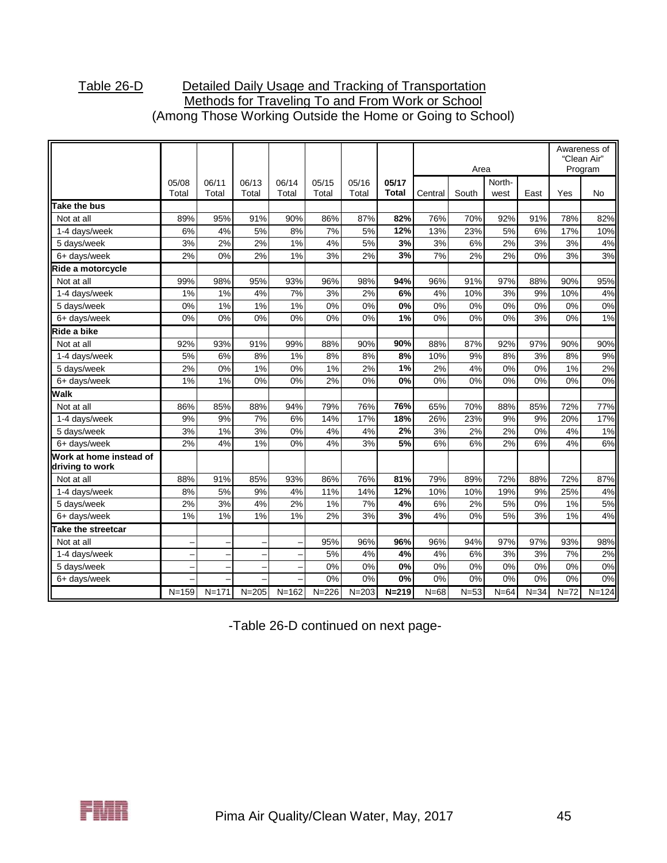### Table 26-D Detailed Daily Usage and Tracking of Transportation Methods for Traveling To and From Work or School (Among Those Working Outside the Home or Going to School)

|                                            |                |                |                |                |                |                |                       |         | Area     |                |          |        | Awareness of<br>"Clean Air"<br>Program |
|--------------------------------------------|----------------|----------------|----------------|----------------|----------------|----------------|-----------------------|---------|----------|----------------|----------|--------|----------------------------------------|
|                                            | 05/08<br>Total | 06/11<br>Total | 06/13<br>Total | 06/14<br>Total | 05/15<br>Total | 05/16<br>Total | 05/17<br><b>Total</b> | Central | South    | North-<br>west | East     | Yes    | <b>No</b>                              |
| Take the bus                               |                |                |                |                |                |                |                       |         |          |                |          |        |                                        |
| Not at all                                 | 89%            | 95%            | 91%            | 90%            | 86%            | 87%            | 82%                   | 76%     | 70%      | 92%            | 91%      | 78%    | 82%                                    |
| 1-4 days/week                              | 6%             | 4%             | 5%             | 8%             | 7%             | 5%             | 12%                   | 13%     | 23%      | 5%             | 6%       | 17%    | 10%                                    |
| 5 days/week                                | 3%             | 2%             | 2%             | 1%             | 4%             | 5%             | 3%                    | 3%      | 6%       | 2%             | 3%       | 3%     | 4%                                     |
| 6+ days/week                               | 2%             | 0%             | 2%             | 1%             | 3%             | 2%             | 3%                    | 7%      | 2%       | 2%             | 0%       | 3%     | 3%                                     |
| Ride a motorcycle                          |                |                |                |                |                |                |                       |         |          |                |          |        |                                        |
| Not at all                                 | 99%            | 98%            | 95%            | 93%            | 96%            | 98%            | 94%                   | 96%     | 91%      | 97%            | 88%      | 90%    | 95%                                    |
| 1-4 days/week                              | $1\%$          | 1%             | 4%             | 7%             | 3%             | 2%             | 6%                    | 4%      | 10%      | 3%             | 9%       | 10%    | 4%                                     |
| 5 days/week                                | 0%             | 1%             | 1%             | 1%             | 0%             | 0%             | 0%                    | 0%      | 0%       | 0%             | 0%       | 0%     | 0%                                     |
| 6+ days/week                               | 0%             | 0%             | 0%             | 0%             | 0%             | 0%             | 1%                    | 0%      | 0%       | 0%             | 3%       | 0%     | 1%                                     |
| Ride a bike                                |                |                |                |                |                |                |                       |         |          |                |          |        |                                        |
| Not at all                                 | 92%            | 93%            | 91%            | 99%            | 88%            | 90%            | 90%                   | 88%     | 87%      | 92%            | 97%      | 90%    | 90%                                    |
| 1-4 days/week                              | 5%             | 6%             | 8%             | 1%             | 8%             | 8%             | 8%                    | 10%     | 9%       | 8%             | 3%       | 8%     | 9%                                     |
| 5 days/week                                | 2%             | 0%             | 1%             | 0%             | 1%             | 2%             | 1%                    | 2%      | 4%       | 0%             | 0%       | 1%     | 2%                                     |
| 6+ days/week                               | 1%             | 1%             | 0%             | 0%             | 2%             | 0%             | 0%                    | 0%      | 0%       | 0%             | 0%       | 0%     | 0%                                     |
| Walk                                       |                |                |                |                |                |                |                       |         |          |                |          |        |                                        |
| Not at all                                 | 86%            | 85%            | 88%            | 94%            | 79%            | 76%            | 76%                   | 65%     | 70%      | 88%            | 85%      | 72%    | 77%                                    |
| 1-4 days/week                              | 9%             | 9%             | 7%             | 6%             | 14%            | 17%            | 18%                   | 26%     | 23%      | 9%             | 9%       | 20%    | 17%                                    |
| 5 days/week                                | 3%             | 1%             | 3%             | 0%             | 4%             | 4%             | 2%                    | 3%      | 2%       | 2%             | 0%       | 4%     | 1%                                     |
| 6+ days/week                               | 2%             | 4%             | 1%             | 0%             | 4%             | 3%             | 5%                    | 6%      | 6%       | 2%             | 6%       | 4%     | 6%                                     |
| Work at home instead of<br>driving to work |                |                |                |                |                |                |                       |         |          |                |          |        |                                        |
| Not at all                                 | 88%            | 91%            | 85%            | 93%            | 86%            | 76%            | 81%                   | 79%     | 89%      | 72%            | 88%      | 72%    | 87%                                    |
| 1-4 days/week                              | 8%             | 5%             | 9%             | 4%             | 11%            | 14%            | 12%                   | 10%     | 10%      | 19%            | 9%       | 25%    | 4%                                     |
| 5 days/week                                | 2%             | 3%             | 4%             | 2%             | 1%             | 7%             | 4%                    | 6%      | 2%       | 5%             | 0%       | 1%     | 5%                                     |
| 6+ days/week                               | 1%             | 1%             | 1%             | 1%             | 2%             | 3%             | 3%                    | 4%      | 0%       | 5%             | 3%       | 1%     | 4%                                     |
| Take the streetcar                         |                |                |                |                |                |                |                       |         |          |                |          |        |                                        |
| Not at all                                 |                |                |                |                | 95%            | 96%            | 96%                   | 96%     | 94%      | 97%            | 97%      | 93%    | 98%                                    |
| 1-4 days/week                              |                |                |                |                | 5%             | 4%             | 4%                    | 4%      | 6%       | 3%             | 3%       | 7%     | 2%                                     |
| 5 days/week                                |                |                |                |                | 0%             | 0%             | 0%                    | $0\%$   | 0%       | 0%             | 0%       | 0%     | 0%                                     |
| 6+ days/week                               |                |                |                |                | 0%             | 0%             | 0%                    | 0%      | 0%       | 0%             | 0%       | 0%     | 0%                                     |
|                                            | $N = 159$      | $N = 171$      | $N = 205$      | $N = 162$      | $N = 226$      | $N = 203$      | $N = 219$             | $N=68$  | $N = 53$ | $N=64$         | $N = 34$ | $N=72$ | $N = 124$                              |

-Table 26-D continued on next page-

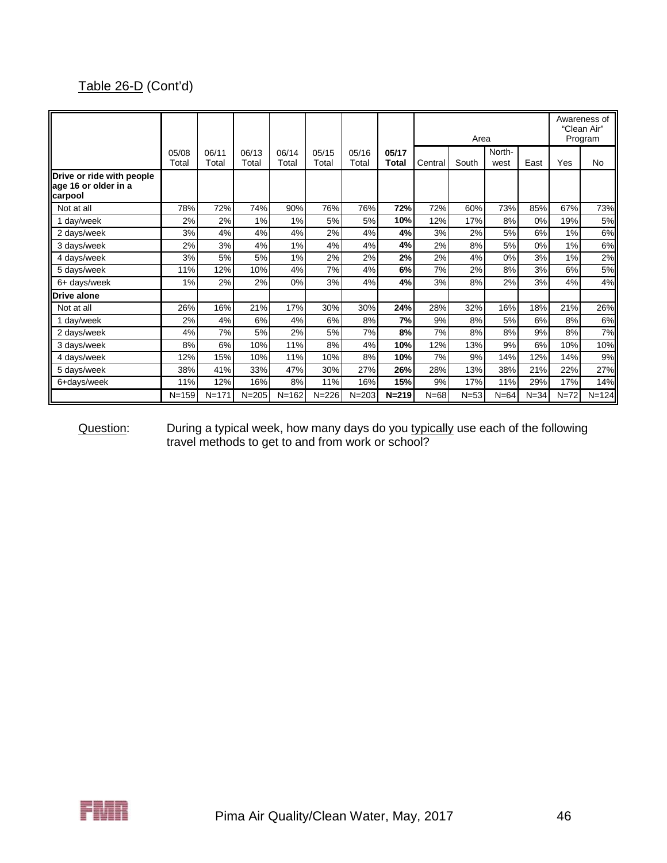# Table 26-D (Cont'd)

|                                                              |                |                |                |                |                |                |                |          | Area   |                |          |          | Awareness of<br>"Clean Air"<br>Program |
|--------------------------------------------------------------|----------------|----------------|----------------|----------------|----------------|----------------|----------------|----------|--------|----------------|----------|----------|----------------------------------------|
|                                                              | 05/08<br>Total | 06/11<br>Total | 06/13<br>Total | 06/14<br>Total | 05/15<br>Total | 05/16<br>Total | 05/17<br>Total | Central  | South  | North-<br>west | East     | Yes      | No                                     |
| Drive or ride with people<br>age 16 or older in a<br>carpool |                |                |                |                |                |                |                |          |        |                |          |          |                                        |
| Not at all                                                   | 78%            | 72%            | 74%            | 90%            | 76%            | 76%            | 72%            | 72%      | 60%    | 73%            | 85%      | 67%      | 73%                                    |
| 1 day/week                                                   | 2%             | 2%             | 1%             | 1%             | 5%             | 5%             | 10%            | 12%      | 17%    | 8%             | 0%       | 19%      | 5%                                     |
| 2 days/week                                                  | 3%             | 4%             | 4%             | 4%             | 2%             | 4%             | 4%             | 3%       | 2%     | 5%             | 6%       | 1%       | 6%                                     |
| 3 days/week                                                  | 2%             | 3%             | 4%             | 1%             | 4%             | 4%             | 4%             | 2%       | 8%     | 5%             | 0%       | 1%       | 6%                                     |
| 4 days/week                                                  | 3%             | 5%             | 5%             | 1%             | 2%             | 2%             | 2%             | 2%       | 4%     | 0%             | 3%       | 1%       | 2%                                     |
| 5 days/week                                                  | 11%            | 12%            | 10%            | 4%             | 7%             | 4%             | 6%             | 7%       | 2%     | 8%             | 3%       | 6%       | 5%                                     |
| 6+ days/week                                                 | 1%             | 2%             | 2%             | 0%             | 3%             | 4%             | 4%             | 3%       | 8%     | 2%             | 3%       | 4%       | 4%                                     |
| <b>Drive alone</b>                                           |                |                |                |                |                |                |                |          |        |                |          |          |                                        |
| Not at all                                                   | 26%            | 16%            | 21%            | 17%            | 30%            | 30%            | 24%            | 28%      | 32%    | 16%            | 18%      | 21%      | 26%                                    |
| 1 day/week                                                   | 2%             | 4%             | 6%             | 4%             | 6%             | 8%             | 7%             | 9%       | 8%     | 5%             | 6%       | 8%       | 6%                                     |
| 2 days/week                                                  | 4%             | 7%             | 5%             | 2%             | 5%             | 7%             | 8%             | 7%       | 8%     | 8%             | 9%       | 8%       | 7%                                     |
| 3 days/week                                                  | 8%             | 6%             | 10%            | 11%            | 8%             | 4%             | 10%            | 12%      | 13%    | 9%             | 6%       | 10%      | 10%                                    |
| 4 days/week                                                  | 12%            | 15%            | 10%            | 11%            | 10%            | 8%             | 10%            | 7%       | 9%     | 14%            | 12%      | 14%      | 9%                                     |
| 5 days/week                                                  | 38%            | 41%            | 33%            | 47%            | 30%            | 27%            | 26%            | 28%      | 13%    | 38%            | 21%      | 22%      | 27%                                    |
| 6+days/week                                                  | 11%            | 12%            | 16%            | 8%             | 11%            | 16%            | 15%            | 9%       | 17%    | 11%            | 29%      | 17%      | 14%                                    |
|                                                              | $N = 159$      | $N = 171$      | $N = 205$      | $N = 162$      | $N = 226$      | $N = 203$      | $N = 219$      | $N = 68$ | $N=53$ | $N=64$         | $N = 34$ | $N = 72$ | $N = 124$                              |

Question: During a typical week, how many days do you typically use each of the following travel methods to get to and from work or school?

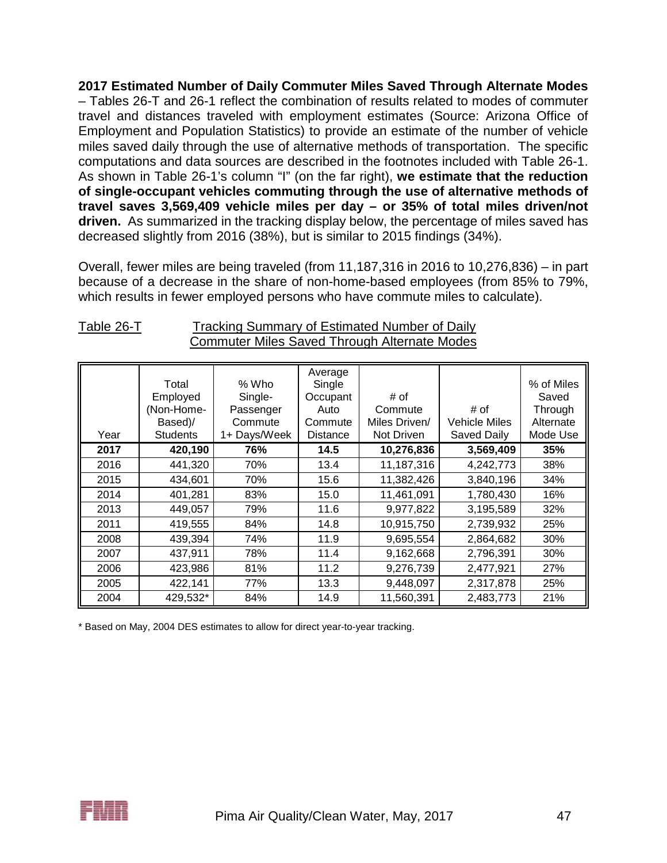**2017 Estimated Number of Daily Commuter Miles Saved Through Alternate Modes** – Tables 26-T and 26-1 reflect the combination of results related to modes of commuter travel and distances traveled with employment estimates (Source: Arizona Office of Employment and Population Statistics) to provide an estimate of the number of vehicle miles saved daily through the use of alternative methods of transportation. The specific computations and data sources are described in the footnotes included with Table 26-1. As shown in Table 26-1's column "I" (on the far right), **we estimate that the reduction of single-occupant vehicles commuting through the use of alternative methods of travel saves 3,569,409 vehicle miles per day – or 35% of total miles driven/not driven.** As summarized in the tracking display below, the percentage of miles saved has decreased slightly from 2016 (38%), but is similar to 2015 findings (34%).

Overall, fewer miles are being traveled (from 11,187,316 in 2016 to 10,276,836) – in part because of a decrease in the share of non-home-based employees (from 85% to 79%, which results in fewer employed persons who have commute miles to calculate).

| Year | Total<br>Employed<br>(Non-Home-<br>Based)/<br><b>Students</b> | % Who<br>Single-<br>Passenger<br>Commute<br>1+ Days/Week | Average<br>Single<br>Occupant<br>Auto<br>Commute<br>Distance | # of<br>Commute<br>Miles Driven/<br>Not Driven | # of<br><b>Vehicle Miles</b><br>Saved Daily | % of Miles<br>Saved<br>Through<br>Alternate<br>Mode Use |
|------|---------------------------------------------------------------|----------------------------------------------------------|--------------------------------------------------------------|------------------------------------------------|---------------------------------------------|---------------------------------------------------------|
| 2017 | 420,190                                                       | 76%                                                      | 14.5                                                         | 10,276,836                                     | 3,569,409                                   | 35%                                                     |
| 2016 | 441,320                                                       | 70%                                                      | 13.4                                                         | 11,187,316                                     | 4,242,773                                   | 38%                                                     |
| 2015 | 434,601                                                       | 70%                                                      | 15.6                                                         | 11,382,426                                     | 3,840,196                                   | 34%                                                     |
| 2014 | 401,281                                                       | 83%                                                      | 15.0                                                         | 11,461,091                                     | 1,780,430                                   | 16%                                                     |
| 2013 | 449,057                                                       | 79%                                                      | 11.6                                                         | 9,977,822                                      | 3,195,589                                   | 32%                                                     |
| 2011 | 419,555                                                       | 84%                                                      | 14.8                                                         | 10,915,750                                     | 2,739,932                                   | 25%                                                     |
| 2008 | 439,394                                                       | 74%                                                      | 11.9                                                         | 9,695,554                                      | 2,864,682                                   | 30%                                                     |
| 2007 | 437,911                                                       | 78%                                                      | 11.4                                                         | 9,162,668                                      | 2,796,391                                   | 30%                                                     |
| 2006 | 423,986                                                       | 81%                                                      | 11.2                                                         | 9,276,739                                      | 2,477,921                                   | 27%                                                     |
| 2005 | 422,141                                                       | 77%                                                      | 13.3                                                         | 9,448,097                                      | 2,317,878                                   | 25%                                                     |
| 2004 | 429,532*                                                      | 84%                                                      | 14.9                                                         | 11,560,391                                     | 2,483,773                                   | 21%                                                     |

### Table 26-T Tracking Summary of Estimated Number of Daily Commuter Miles Saved Through Alternate Modes

\* Based on May, 2004 DES estimates to allow for direct year-to-year tracking.

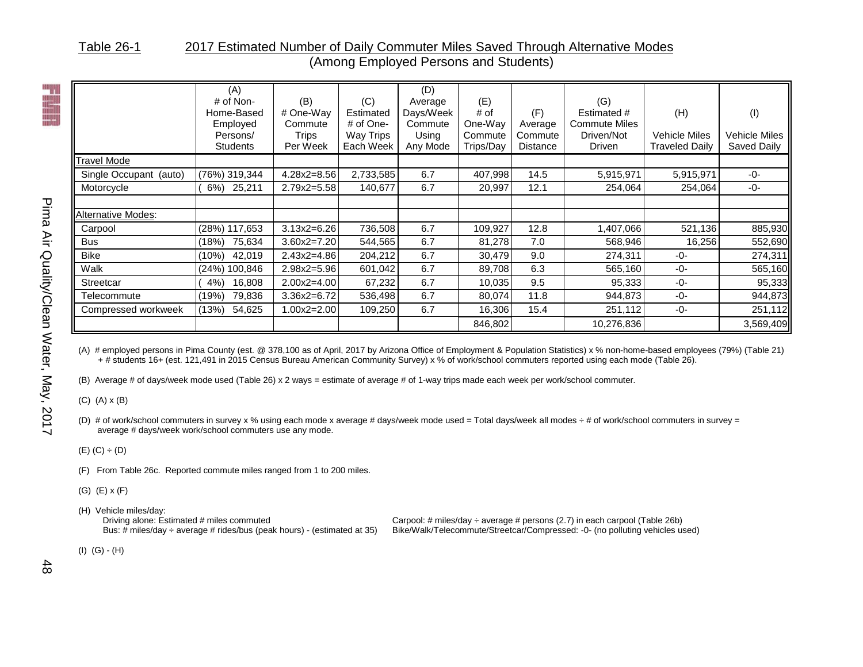#### Table 26-1 2017 Estimated Number of Daily Commuter Miles Saved Through Alternative Modes (Among Employed Persons and Students)

|                           | (A)<br>$#$ of Non-<br>Home-Based<br>Employed<br>Persons/<br><b>Students</b> | (B)<br># One-Way<br>Commute<br><b>Trips</b><br>Per Week | (C)<br>Estimated<br># of One-<br>Way Trips<br>Each Week | (D)<br>Average<br>Days/Week<br>Commute<br>Using<br>Any Mode | (E)<br># of<br>One-Way<br>Commute<br>Trips/Day | (F)<br>Average<br>Commute<br><b>Distance</b> | (G)<br>Estimated #<br><b>Commute Miles</b><br>Driven/Not<br><b>Driven</b> | (H)<br>Vehicle Miles<br>Traveled Daily | (1)<br>Vehicle Miles<br>Saved Daily |
|---------------------------|-----------------------------------------------------------------------------|---------------------------------------------------------|---------------------------------------------------------|-------------------------------------------------------------|------------------------------------------------|----------------------------------------------|---------------------------------------------------------------------------|----------------------------------------|-------------------------------------|
| <b>Travel Mode</b>        |                                                                             |                                                         |                                                         |                                                             |                                                |                                              |                                                                           |                                        |                                     |
| Single Occupant (auto)    | (76%) 319,344                                                               | $4.28x2 = 8.56$                                         | 2,733,585                                               | 6.7                                                         | 407,998                                        | 14.5                                         | 5,915,971                                                                 | 5,915,971                              | $-0-$                               |
| Motorcycle                | 25,211<br>$6\%)$                                                            | 2.79x2=5.58                                             | 140,677                                                 | 6.7                                                         | 20,997                                         | 12.1                                         | 254,064                                                                   | 254,064                                | $-0-$                               |
|                           |                                                                             |                                                         |                                                         |                                                             |                                                |                                              |                                                                           |                                        |                                     |
| <b>Alternative Modes:</b> |                                                                             |                                                         |                                                         |                                                             |                                                |                                              |                                                                           |                                        |                                     |
| Carpool                   | (28%) 117,653                                                               | $3.13x2 = 6.26$                                         | 736,508                                                 | 6.7                                                         | 109,927                                        | 12.8                                         | 1,407,066                                                                 | 521,136                                | 885,930                             |
| <b>Bus</b>                | 75,634<br>(18%)                                                             | $3.60x2 = 7.20$                                         | 544,565                                                 | 6.7                                                         | 81,278                                         | 7.0                                          | 568,946                                                                   | 16,256                                 | 552,690                             |
| <b>Bike</b>               | 42,019<br>(10%)                                                             | $2.43x2=4.86$                                           | 204,212                                                 | 6.7                                                         | 30,479                                         | 9.0                                          | 274,311                                                                   | -0-                                    | 274,311                             |
| Walk                      | (24%) 100,846                                                               | $2.98x2 = 5.96$                                         | 601,042                                                 | 6.7                                                         | 89,708                                         | 6.3                                          | 565,160                                                                   | $-0-$                                  | 565,160                             |
| Streetcar                 | 16,808<br>4%                                                                | $2.00x2 = 4.00$                                         | 67,232                                                  | 6.7                                                         | 10,035                                         | 9.5                                          | 95,333                                                                    | -0-                                    | 95,333                              |
| Telecommute               | 79,836<br>(19%)                                                             | $3.36x2 = 6.72$                                         | 536,498                                                 | 6.7                                                         | 80,074                                         | 11.8                                         | 944,873                                                                   | -0-                                    | 944,873                             |
| Compressed workweek       | (13%)<br>54,625                                                             | $1.00x2 = 2.00$                                         | 109,250                                                 | 6.7                                                         | 16,306                                         | 15.4                                         | 251,112                                                                   | -0-                                    | 251,112                             |
|                           |                                                                             |                                                         |                                                         |                                                             | 846,802                                        |                                              | 10,276,836                                                                |                                        | 3,569,409                           |

(A) # employed persons in Pima County (est. @ 378,100 as of April, 2017 by Arizona Office of Employment & Population Statistics) x % non-home-based employees (79%) (Table 21) + # students 16+ (est. 121,491 in 2015 Census Bureau American Community Survey) x % of work/school commuters reported using each mode (Table 26).

(B) Average # of days/week mode used (Table 26) x 2 ways = estimate of average # of 1-way trips made each week per work/school commuter.

(C) (A) x (B)

(D) # of work/school commuters in survey x % using each mode x average # days/week mode used = Total days/week all modes ÷ # of work/school commuters in survey = average # days/week work/school commuters use any mode.

 $(E)$   $(C) \div (D)$ 

(F) From Table 26c. Reported commute miles ranged from 1 to 200 miles.

(G) (E) x (F)

(H) Vehicle miles/day:<br>Driving alone: Estimated # miles commuted

Driving alone: Estimated # miles commuted Carpool: # miles/day ÷ average # persons (2.7) in each carpool (Table 26b)<br>Bus: # miles/day ÷ average # rides/bus (peak hours) - (estimated at 35) Bike/Walk/Telecommute/Streetcar/C Bike/Walk/Telecommute/Streetcar/Compressed: -0- (no polluting vehicles used)

(I) (G) - (H)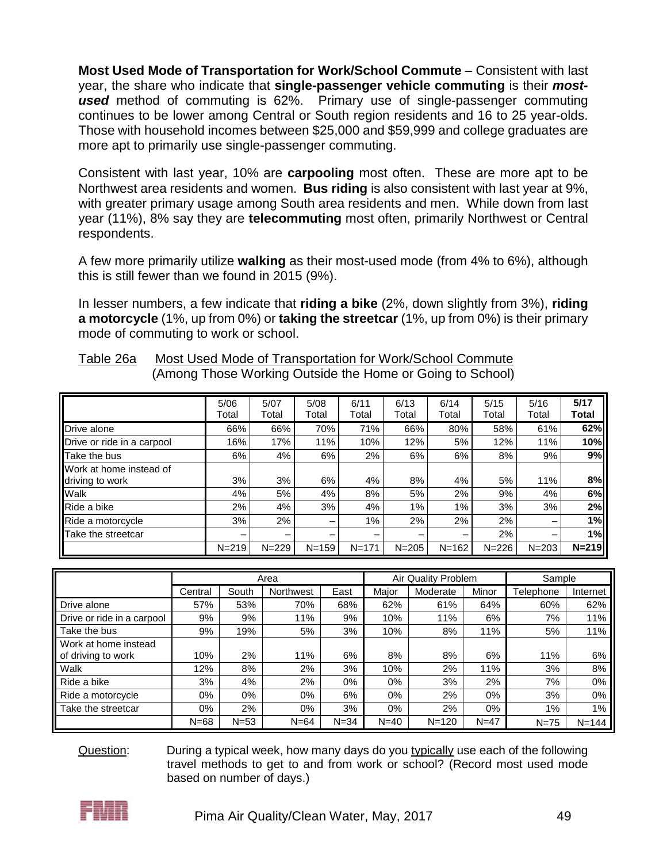**Most Used Mode of Transportation for Work/School Commute** – Consistent with last year, the share who indicate that **single-passenger vehicle commuting** is their *mostused* method of commuting is 62%. Primary use of single-passenger commuting continues to be lower among Central or South region residents and 16 to 25 year-olds. Those with household incomes between \$25,000 and \$59,999 and college graduates are more apt to primarily use single-passenger commuting.

Consistent with last year, 10% are **carpooling** most often. These are more apt to be Northwest area residents and women. **Bus riding** is also consistent with last year at 9%, with greater primary usage among South area residents and men. While down from last year (11%), 8% say they are **telecommuting** most often, primarily Northwest or Central respondents.

A few more primarily utilize **walking** as their most-used mode (from 4% to 6%), although this is still fewer than we found in 2015 (9%).

In lesser numbers, a few indicate that **riding a bike** (2%, down slightly from 3%), **riding a motorcycle** (1%, up from 0%) or **taking the streetcar** (1%, up from 0%) is their primary mode of commuting to work or school.

|                                            | 5/06<br>Total | 5/07<br>Total | 5/08<br>Total | 6/11<br>Total | 6/13<br>Total | 6/14<br>Total | 5/15<br>Total | 5/16<br>Total | 5/17<br>Total |
|--------------------------------------------|---------------|---------------|---------------|---------------|---------------|---------------|---------------|---------------|---------------|
| Drive alone                                | 66%           | 66%           | 70%           | 71%           | 66%           | 80%           | 58%           | 61%           | 62%           |
| Drive or ride in a carpool                 | 16%           | 17%           | 11%           | 10%           | 12%           | 5%            | 12%           | 11%           | 10%           |
| Take the bus                               | 6%            | 4%            | 6%            | 2%            | 6%            | 6%            | 8%            | 9%            | 9%            |
| Work at home instead of<br>driving to work | 3%            | 3%            | 6%            | 4%            | 8%            | 4%            | 5%            | 11%           | 8%            |
| Walk                                       | 4%            | 5%            | 4%            | 8%            | 5%            | 2%            | 9%            | 4%            | 6%            |
| Ride a bike                                | 2%            | 4%            | 3%            | 4%            | 1%            | $1\%$         | 3%            | 3%            | 2%            |
| Ride a motorcycle                          | 3%            | 2%            | -             | 1%            | 2%            | 2%            | 2%            |               | 1%            |
| Take the streetcar                         |               | -             |               |               |               |               | 2%            |               | 1%            |
|                                            | $N = 219$     | $N = 229$     | $N = 159$     | $N = 171$     | $N = 205$     | $N = 162$     | $N = 226$     | $N = 203$     | $N = 219$     |

| Table 26a | Most Used Mode of Transportation for Work/School Commute  |
|-----------|-----------------------------------------------------------|
|           | (Among Those Working Outside the Home or Going to School) |

|                            |          |        | Area      |          |          | Air Quality Problem |        | Sample           |           |
|----------------------------|----------|--------|-----------|----------|----------|---------------------|--------|------------------|-----------|
|                            | Central  | South  | Northwest | East     | Major    | Moderate            | Minor  | <b>Telephone</b> | Internet  |
| Drive alone                | 57%      | 53%    | 70%       | 68%      | 62%      | 61%                 | 64%    | 60%              | 62%       |
| Drive or ride in a carpool | 9%       | 9%     | 11%       | 9%       | 10%      | 11%                 | 6%     | 7%               | 11%       |
| Take the bus               | 9%       | 19%    | 5%        | 3%       | 10%      | 8%                  | 11%    | 5%               | 11%       |
| Work at home instead       |          |        |           |          |          |                     |        |                  |           |
| of driving to work         | 10%      | 2%     | 11%       | 6%       | 8%       | 8%                  | 6%     | 11%              | 6%        |
| Walk                       | 12%      | 8%     | 2%        | 3%       | 10%      | 2%                  | 11%    | 3%               | 8%        |
| Ride a bike                | 3%       | 4%     | 2%        | 0%       | 0%       | 3%                  | $2\%$  | 7%               | 0%        |
| Ride a motorcycle          | 0%       | 0%     | $0\%$     | 6%       | 0%       | $2\%$               | 0%     | 3%               | $0\%$     |
| Take the streetcar         | 0%       | 2%     | $0\%$     | 3%       | 0%       | $2\%$               | 0%     | $1\%$            | 1%        |
|                            | $N = 68$ | $N=53$ | $N = 64$  | $N = 34$ | $N = 40$ | $N = 120$           | $N=47$ | $N = 75$         | $N = 144$ |

Question: During a typical week, how many days do you typically use each of the following travel methods to get to and from work or school? (Record most used mode based on number of days.)

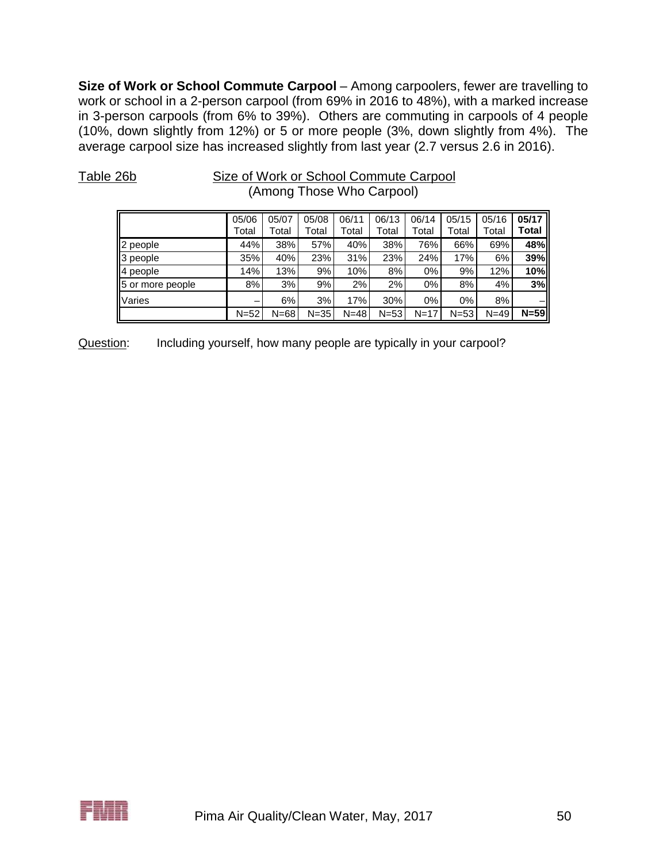**Size of Work or School Commute Carpool** – Among carpoolers, fewer are travelling to work or school in a 2-person carpool (from 69% in 2016 to 48%), with a marked increase in 3-person carpools (from 6% to 39%). Others are commuting in carpools of 4 people (10%, down slightly from 12%) or 5 or more people (3%, down slightly from 4%). The average carpool size has increased slightly from last year (2.7 versus 2.6 in 2016).

| (Among Those Who Carpool) |                |                |                |                |                |                |                |                |                |  |  |
|---------------------------|----------------|----------------|----------------|----------------|----------------|----------------|----------------|----------------|----------------|--|--|
|                           | 05/06<br>Total | 05/07<br>Total | 05/08<br>Total | 06/11<br>Total | 06/13<br>Total | 06/14<br>Total | 05/15<br>Total | 05/16<br>Total | 05/17<br>Total |  |  |
| people                    | 44%            | 38%            | 57%            | 40%            | 38%            | 76%            | 66%            | 69%            | 48%            |  |  |
| people                    | 35%            | 40%            | 23%            | 31%            | 23%            | 24%            | 17%            | 6%             | 39%            |  |  |
| people<br>4               | 14%            | 13%            | 9%             | 10%            | 8%             | $0\%$          | 9%             | 12%            | 10%            |  |  |
| 5<br>or more people       | 8%             | 3%             | 9%             | 2%             | 2%             | 0%             | 8%             | 4%             | 3%             |  |  |
| Varies                    | -              | 6%             | 3%             | 17%            | 30%            | $0\%$          | $0\%$          | 8%             |                |  |  |
|                           | $N = 52$       | $N = 68$       | $N = 35$       | $N = 48$       | $N=53$         | $N = 17$       | $N = 53$       | $N = 49$       | $N = 59$       |  |  |

Table 26b Size of Work or School Commute Carpool

Question: Including yourself, how many people are typically in your carpool?

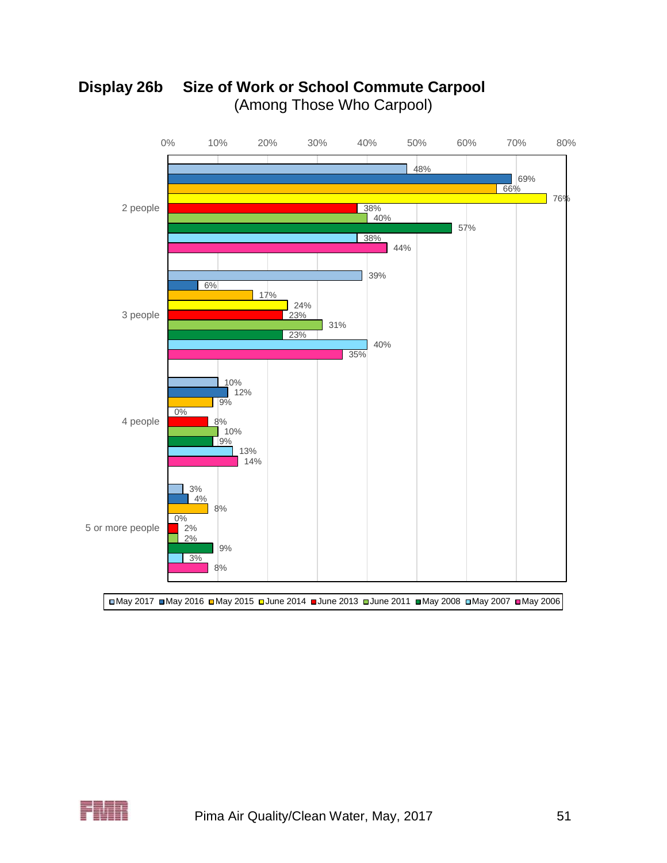



May 2017 May 2016 May 2015 June 2014 June 2013 June 2011 May 2008 May 2007 May 2006

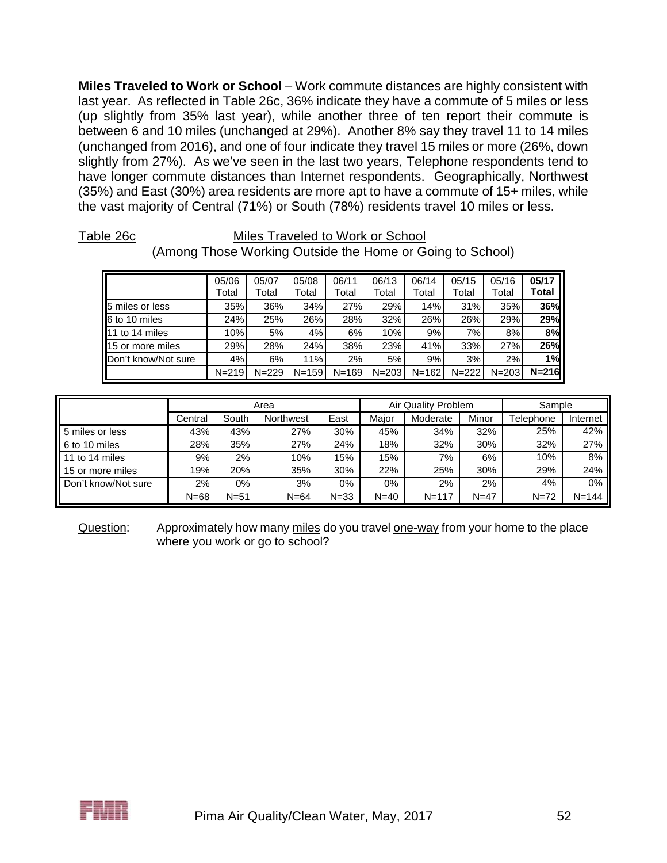**Miles Traveled to Work or School** – Work commute distances are highly consistent with last year. As reflected in Table 26c, 36% indicate they have a commute of 5 miles or less (up slightly from 35% last year), while another three of ten report their commute is between 6 and 10 miles (unchanged at 29%). Another 8% say they travel 11 to 14 miles (unchanged from 2016), and one of four indicate they travel 15 miles or more (26%, down slightly from 27%). As we've seen in the last two years, Telephone respondents tend to have longer commute distances than Internet respondents. Geographically, Northwest (35%) and East (30%) area residents are more apt to have a commute of 15+ miles, while the vast majority of Central (71%) or South (78%) residents travel 10 miles or less.

#### Table 26c Miles Traveled to Work or School

|                             | 05/06<br>Total | 05/07<br>Total | 05/08<br>Total | 06/11<br>Total | 06/13<br>Total | 06/14<br>Total | 05/15<br>Total | 05/16<br>Total | 05/17<br>Total |
|-----------------------------|----------------|----------------|----------------|----------------|----------------|----------------|----------------|----------------|----------------|
| 5 miles or less             | 35%            | 36%            | 34%            | 27%            | 29%            | 14%            | 31%            | 35%            | 36%            |
| 6 to 10 miles               | 24%            | 25%            | 26%            | 28%            | 32%            | 26%            | 26%            | 29%            | 29%            |
| 111 to 14 miles             | 10%            | 5%             | 4%             | 6%             | 10%            | 9%             | 7%             | 8%             | 8%             |
| 115 or more miles           | 29%            | 28%            | 24%            | 38%            | 23%            | 41%            | 33%            | 27%            | 26%            |
| <b>IDon't know/Not sure</b> | 4%             | 6%             | 11%            | 2%             | 5%             | 9%             | 3%             | $2\%$          | 1%             |
|                             | $N = 219$      | $N = 229$      | $N = 159$      | $N = 169$      | $N = 203$      | $N = 162$      | $N = 222$      | $N = 203$      | $N = 216$      |

# (Among Those Working Outside the Home or Going to School)

|                     |          |          | Area      |          |          | Air Quality Problem |        | Sample    |           |  |
|---------------------|----------|----------|-----------|----------|----------|---------------------|--------|-----------|-----------|--|
|                     | Central  | South    | Northwest | East     | Major    | Moderate            | Minor  | Telephone | Internet  |  |
| 5 miles or less     | 43%      | 43%      | 27%       | 30%      | 45%      | 34%                 | 32%    | 25%       | 42%       |  |
| 6 to 10 miles       | 28%      | 35%      | 27%       | 24%      | 18%      | 32%                 | 30%    | 32%       | 27%       |  |
| 11 to 14 miles      | 9%       | 2%       | 10%       | 15%      | 15%      | 7%                  | 6%     | 10%       | 8%        |  |
| 15 or more miles    | 19%      | 20%      | 35%       | 30%      | 22%      | 25%                 | 30%    | 29%       | 24%       |  |
| Don't know/Not sure | 2%       | $0\%$    | 3%        | $0\%$    | $0\%$    | 2%                  | 2%     | 4%        | 0%        |  |
|                     | $N = 68$ | $N = 51$ | $N = 64$  | $N = 33$ | $N = 40$ | $N = 117$           | $N=47$ | $N = 72$  | $N = 144$ |  |

Question: Approximately how many miles do you travel one-way from your home to the place where you work or go to school?

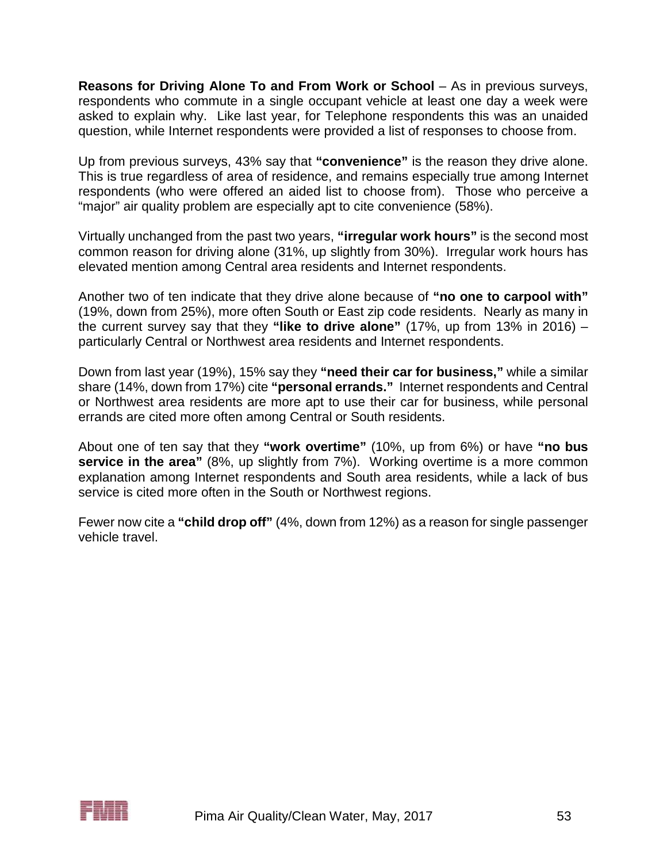**Reasons for Driving Alone To and From Work or School** – As in previous surveys, respondents who commute in a single occupant vehicle at least one day a week were asked to explain why. Like last year, for Telephone respondents this was an unaided question, while Internet respondents were provided a list of responses to choose from.

Up from previous surveys, 43% say that **"convenience"** is the reason they drive alone. This is true regardless of area of residence, and remains especially true among Internet respondents (who were offered an aided list to choose from). Those who perceive a "major" air quality problem are especially apt to cite convenience (58%).

Virtually unchanged from the past two years, **"irregular work hours"** is the second most common reason for driving alone (31%, up slightly from 30%). Irregular work hours has elevated mention among Central area residents and Internet respondents.

Another two of ten indicate that they drive alone because of **"no one to carpool with"** (19%, down from 25%), more often South or East zip code residents. Nearly as many in the current survey say that they **"like to drive alone"** (17%, up from 13% in 2016) – particularly Central or Northwest area residents and Internet respondents.

Down from last year (19%), 15% say they **"need their car for business,"** while a similar share (14%, down from 17%) cite **"personal errands."** Internet respondents and Central or Northwest area residents are more apt to use their car for business, while personal errands are cited more often among Central or South residents.

About one of ten say that they **"work overtime"** (10%, up from 6%) or have **"no bus service in the area"** (8%, up slightly from 7%). Working overtime is a more common explanation among Internet respondents and South area residents, while a lack of bus service is cited more often in the South or Northwest regions.

Fewer now cite a **"child drop off"** (4%, down from 12%) as a reason for single passenger vehicle travel.

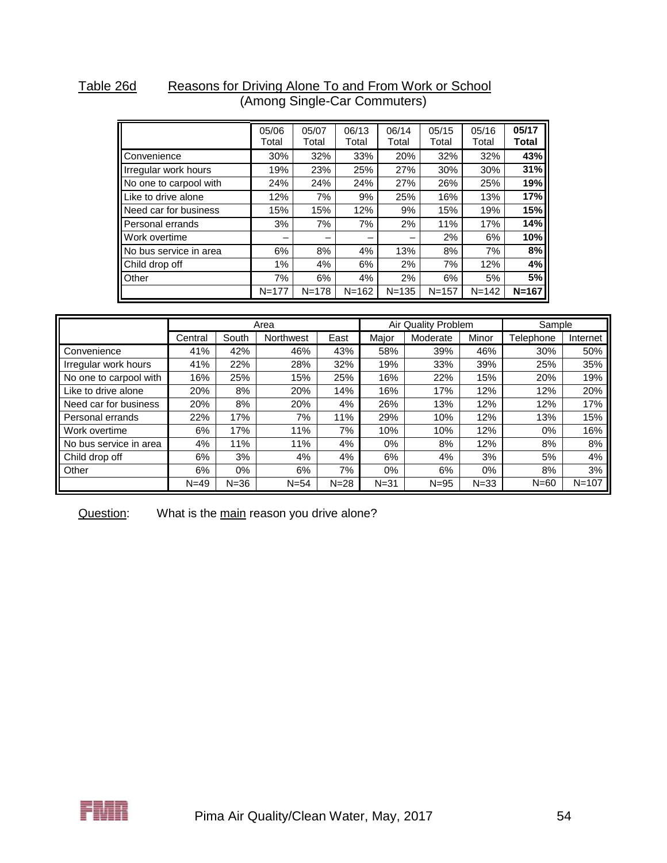#### Table 26d Reasons for Driving Alone To and From Work or School (Among Single-Car Commuters)

|                        | 05/06<br>Total | 05/07<br>Total | 06/13<br>Total | 06/14<br>Total | 05/15<br>Total | 05/16<br>Total | 05/17<br>Total |
|------------------------|----------------|----------------|----------------|----------------|----------------|----------------|----------------|
| Convenience            | 30%            | 32%            | 33%            | 20%            | 32%            | 32%            | 43%            |
| Irregular work hours   | 19%            | 23%            | 25%            | 27%            | 30%            | 30%            | 31%            |
| No one to carpool with | 24%            | 24%            | 24%            | 27%            | 26%            | 25%            | 19%            |
| Like to drive alone    | 12%            | 7%             | 9%             | 25%            | 16%            | 13%            | 17%            |
| Need car for business  | 15%            | 15%            | 12%            | 9%             | 15%            | 19%            | 15%            |
| Personal errands       | 3%             | 7%             | 7%             | 2%             | 11%            | 17%            | 14%            |
| Work overtime          |                | -              | –              |                | 2%             | 6%             | 10%            |
| No bus service in area | 6%             | 8%             | 4%             | 13%            | 8%             | 7%             | 8%             |
| Child drop off         | 1%             | 4%             | 6%             | 2%             | 7%             | 12%            | 4%             |
| Other                  | 7%             | 6%             | 4%             | 2%             | 6%             | 5%             | 5%             |
|                        | $N = 177$      | $N = 178$      | $N = 162$      | $N = 135$      | $N = 157$      | $N = 142$      | $N = 167$      |

|                        |          |          | Area      |          |          | Air Quality Problem |          | Sample    |           |
|------------------------|----------|----------|-----------|----------|----------|---------------------|----------|-----------|-----------|
|                        | Central  | South    | Northwest | East     | Maior    | Moderate            | Minor    | Telephone | Internet  |
| Convenience            | 41%      | 42%      | 46%       | 43%      | 58%      | 39%                 | 46%      | 30%       | 50%       |
| Irregular work hours   | 41%      | 22%      | 28%       | 32%      | 19%      | 33%                 | 39%      | 25%       | 35%       |
| No one to carpool with | 16%      | 25%      | 15%       | 25%      | 16%      | 22%                 | 15%      | 20%       | 19%       |
| Like to drive alone    | 20%      | 8%       | 20%       | 14%      | 16%      | 17%                 | 12%      | 12%       | 20%       |
| Need car for business  | 20%      | 8%       | 20%       | 4%       | 26%      | 13%                 | 12%      | 12%       | 17%       |
| Personal errands       | 22%      | 17%      | 7%        | 11%      | 29%      | 10%                 | 12%      | 13%       | 15%       |
| Work overtime          | 6%       | 17%      | 11%       | 7%       | 10%      | 10%                 | 12%      | 0%        | 16%       |
| No bus service in area | 4%       | 11%      | 11%       | 4%       | 0%       | 8%                  | 12%      | 8%        | 8%        |
| Child drop off         | 6%       | 3%       | 4%        | 4%       | 6%       | 4%                  | 3%       | 5%        | 4%        |
| Other                  | 6%       | 0%       | 6%        | 7%       | 0%       | 6%                  | $0\%$    | 8%        | 3%        |
|                        | $N = 49$ | $N = 36$ | $N = 54$  | $N = 28$ | $N = 31$ | $N = 95$            | $N = 33$ | $N=60$    | $N = 107$ |

Question: What is the main reason you drive alone?

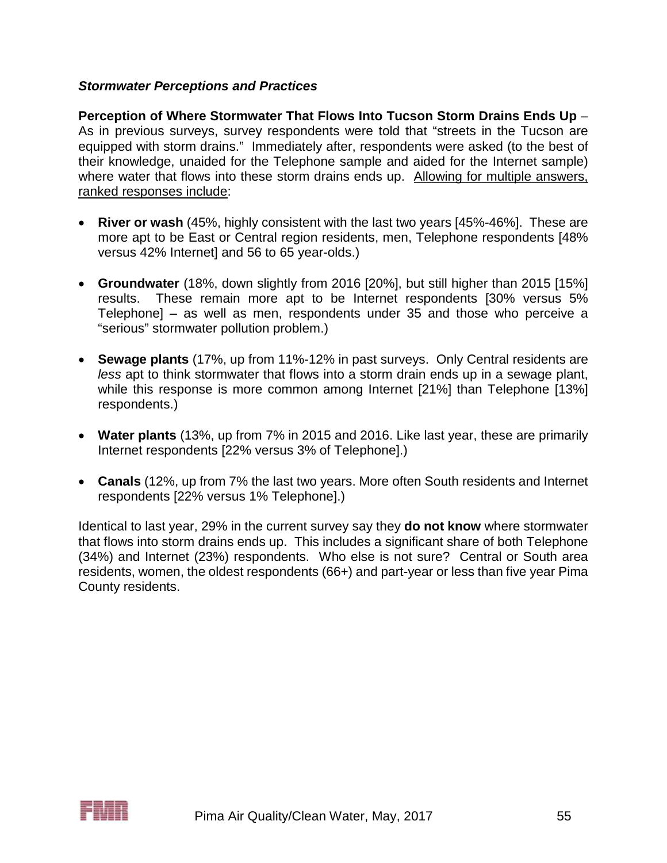### *Stormwater Perceptions and Practices*

**Perception of Where Stormwater That Flows Into Tucson Storm Drains Ends Up** – As in previous surveys, survey respondents were told that "streets in the Tucson are equipped with storm drains." Immediately after, respondents were asked (to the best of their knowledge, unaided for the Telephone sample and aided for the Internet sample) where water that flows into these storm drains ends up. Allowing for multiple answers, ranked responses include:

- **River or wash** (45%, highly consistent with the last two years [45%-46%]. These are more apt to be East or Central region residents, men, Telephone respondents [48% versus 42% Internet] and 56 to 65 year-olds.)
- **Groundwater** (18%, down slightly from 2016 [20%], but still higher than 2015 [15%] results. These remain more apt to be Internet respondents [30% versus 5% Telephone] – as well as men, respondents under 35 and those who perceive a "serious" stormwater pollution problem.)
- **Sewage plants** (17%, up from 11%-12% in past surveys. Only Central residents are *less* apt to think stormwater that flows into a storm drain ends up in a sewage plant, while this response is more common among Internet [21%] than Telephone [13%] respondents.)
- **Water plants** (13%, up from 7% in 2015 and 2016. Like last year, these are primarily Internet respondents [22% versus 3% of Telephone].)
- **Canals** (12%, up from 7% the last two years. More often South residents and Internet respondents [22% versus 1% Telephone].)

Identical to last year, 29% in the current survey say they **do not know** where stormwater that flows into storm drains ends up. This includes a significant share of both Telephone (34%) and Internet (23%) respondents. Who else is not sure? Central or South area residents, women, the oldest respondents (66+) and part-year or less than five year Pima County residents.

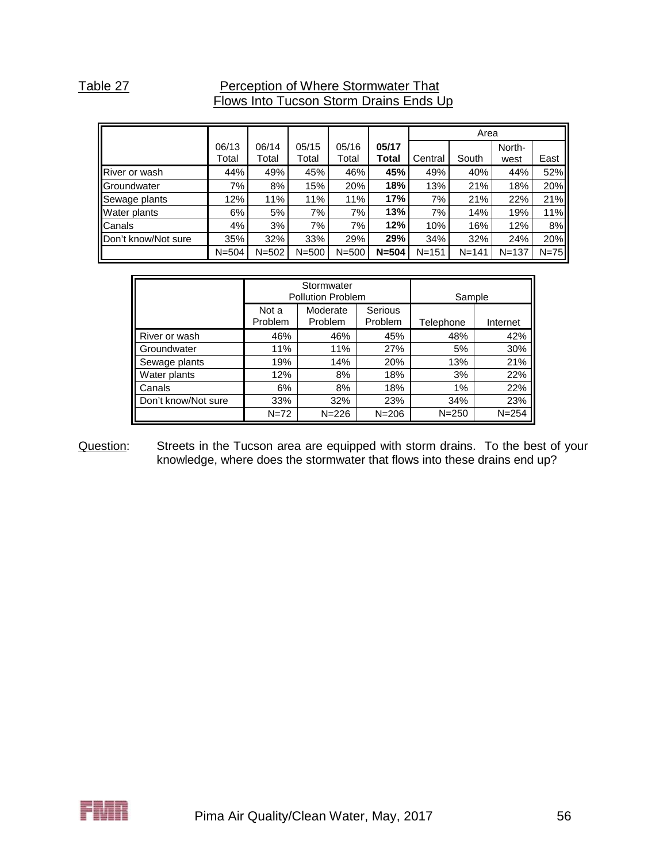### Table 27 **Perception of Where Stormwater That** Flows Into Tucson Storm Drains Ends Up

|                      |           |           |           |           |           |           | Area      |           |        |
|----------------------|-----------|-----------|-----------|-----------|-----------|-----------|-----------|-----------|--------|
|                      | 06/13     | 06/14     | 05/15     | 05/16     | 05/17     |           |           | North-    |        |
|                      | Total     | Total     | Total     | Total     | Total     | Central   | South     | west      | East   |
| <b>River or wash</b> | 44%       | 49%       | 45%       | 46%       | 45%       | 49%       | 40%       | 44%       | 52%    |
| Groundwater          | 7%        | 8%        | 15%       | 20%       | 18%       | 13%       | 21%       | 18%       | 20%    |
| Sewage plants        | 12%       | 11%       | 11%       | 11%       | 17%       | 7%        | 21%       | 22%       | 21%    |
| <b>Water plants</b>  | 6%        | 5%        | 7%        | 7%        | 13%       | 7%        | 14%       | 19%       | 11%    |
| Canals               | 4%        | 3%        | 7%        | 7%        | 12%       | 10%       | 16%       | 12%       | 8%     |
| Don't know/Not sure  | 35%       | 32%       | 33%       | 29%       | 29%       | 34%       | 32%       | 24%       | 20%    |
|                      | $N = 504$ | $N = 502$ | $N = 500$ | $N = 500$ | $N = 504$ | $N = 151$ | $N = 141$ | $N = 137$ | $N=75$ |

|                     |                  | Stormwater<br><b>Pollution Problem</b> |           | Sample    |           |
|---------------------|------------------|----------------------------------------|-----------|-----------|-----------|
|                     | Not a<br>Problem | Moderate<br>Problem                    | Telephone | Internet  |           |
| River or wash       | 46%              | 46%                                    | 45%       | 48%       | 42%       |
| Groundwater         | 11%              | 11%                                    | 5%        | 30%       |           |
| Sewage plants       | 19%              | 14%                                    | 20%       | 13%       | 21%       |
| Water plants        | 12%              | 8%                                     | 18%       | 3%        | 22%       |
| Canals              | 6%               | 8%                                     | 18%       | 1%        | 22%       |
| Don't know/Not sure | 33%              | 32%                                    | 34%       | 23%       |           |
|                     | $N = 72$         | $N = 226$                              | $N = 206$ | $N = 250$ | $N = 254$ |

#### Question: Streets in the Tucson area are equipped with storm drains. To the best of your knowledge, where does the stormwater that flows into these drains end up?

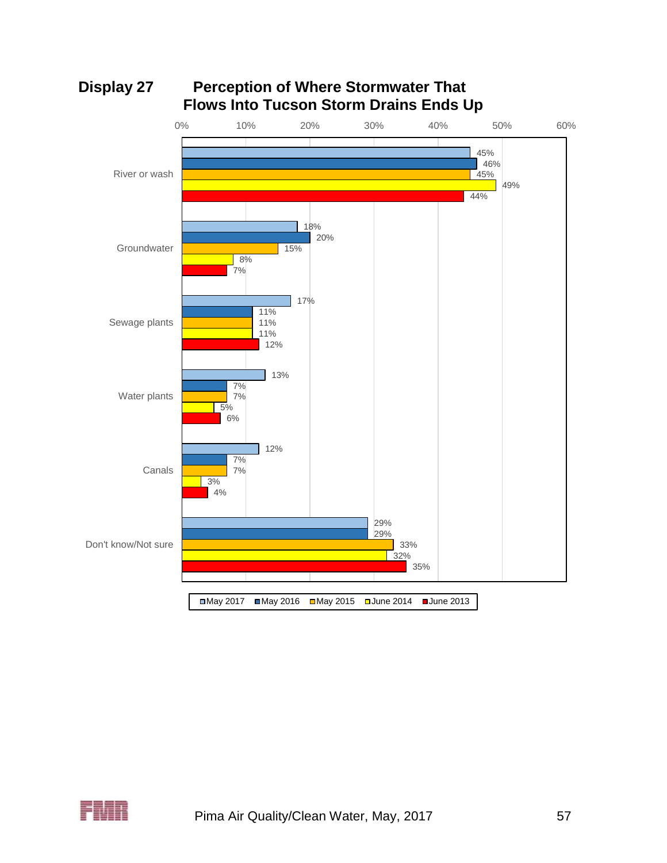

# **Display 27 Perception of Where Stormwater That Flows Into Tucson Storm Drains Ends Up**

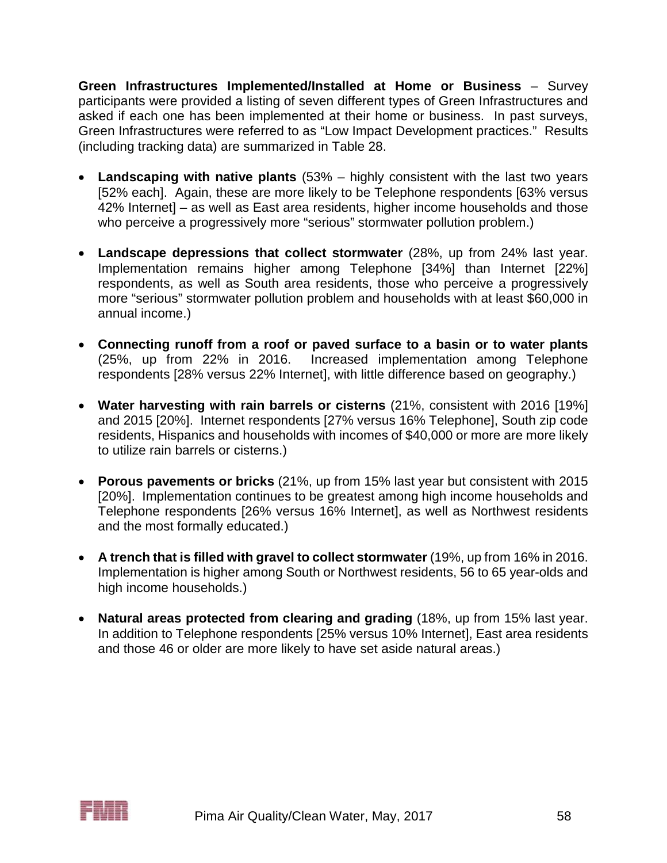**Green Infrastructures Implemented/Installed at Home or Business** – Survey participants were provided a listing of seven different types of Green Infrastructures and asked if each one has been implemented at their home or business. In past surveys, Green Infrastructures were referred to as "Low Impact Development practices." Results (including tracking data) are summarized in Table 28.

- **Landscaping with native plants** (53% highly consistent with the last two years [52% each]. Again, these are more likely to be Telephone respondents [63% versus 42% Internet] – as well as East area residents, higher income households and those who perceive a progressively more "serious" stormwater pollution problem.)
- **Landscape depressions that collect stormwater** (28%, up from 24% last year. Implementation remains higher among Telephone [34%] than Internet [22%] respondents, as well as South area residents, those who perceive a progressively more "serious" stormwater pollution problem and households with at least \$60,000 in annual income.)
- **Connecting runoff from a roof or paved surface to a basin or to water plants** (25%, up from 22% in 2016. Increased implementation among Telephone respondents [28% versus 22% Internet], with little difference based on geography.)
- **Water harvesting with rain barrels or cisterns** (21%, consistent with 2016 [19%] and 2015 [20%]. Internet respondents [27% versus 16% Telephone], South zip code residents, Hispanics and households with incomes of \$40,000 or more are more likely to utilize rain barrels or cisterns.)
- **Porous pavements or bricks** (21%, up from 15% last year but consistent with 2015 [20%]. Implementation continues to be greatest among high income households and Telephone respondents [26% versus 16% Internet], as well as Northwest residents and the most formally educated.)
- **A trench that is filled with gravel to collect stormwater** (19%, up from 16% in 2016. Implementation is higher among South or Northwest residents, 56 to 65 year-olds and high income households.)
- **Natural areas protected from clearing and grading** (18%, up from 15% last year. In addition to Telephone respondents [25% versus 10% Internet], East area residents and those 46 or older are more likely to have set aside natural areas.)

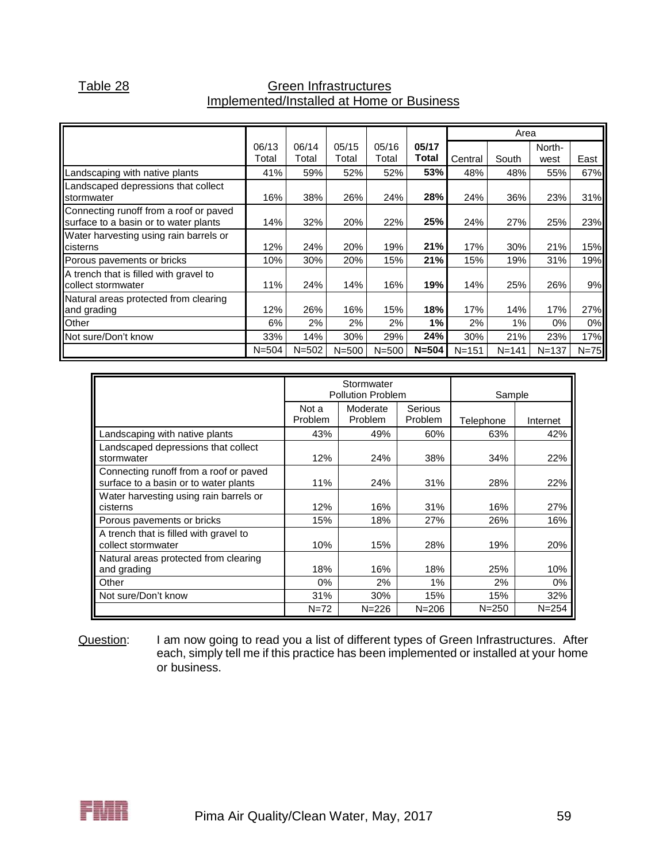|                                        |           |           |           |           |           |           | Area      |           |        |
|----------------------------------------|-----------|-----------|-----------|-----------|-----------|-----------|-----------|-----------|--------|
|                                        | 06/13     | 06/14     | 05/15     | 05/16     | 05/17     |           |           | North-    |        |
|                                        | Total     | Total     | Total     | Total     | Total     | Central   | South     | west      | East   |
| andscaping with native plants          | 41%       | 59%       | 52%       | 52%       | 53%       | 48%       | 48%       | 55%       | 67%    |
| Landscaped depressions that collect    |           |           |           |           |           |           |           |           |        |
| stormwater                             | 16%       | 38%       | 26%       | 24%       | 28%       | 24%       | 36%       | 23%       | 31%    |
| Connecting runoff from a roof or paved |           |           |           |           |           |           |           |           |        |
| surface to a basin or to water plants  | 14%       | 32%       | 20%       | 22%       | 25%       | 24%       | 27%       | 25%       | 23%    |
| Water harvesting using rain barrels or |           |           |           |           |           |           |           |           |        |
| cisterns                               | 12%       | 24%       | 20%       | 19%       | 21%       | 17%       | 30%       | 21%       | 15%    |
| Porous pavements or bricks             | 10%       | 30%       | 20%       | 15%       | 21%       | 15%       | 19%       | 31%       | 19%    |
| A trench that is filled with gravel to |           |           |           |           |           |           |           |           |        |
| collect stormwater                     | 11%       | 24%       | 14%       | 16%       | 19%       | 14%       | 25%       | 26%       | 9%     |
| Natural areas protected from clearing  |           |           |           |           |           |           |           |           |        |
| and grading                            | 12%       | 26%       | 16%       | 15%       | 18%       | 17%       | 14%       | 17%       | 27%    |
| Other                                  | 6%        | 2%        | 2%        | 2%        | 1%        | 2%        | 1%        | 0%        | 0%     |
| Not sure/Don't know                    | 33%       | 14%       | 30%       | 29%       | 24%       | 30%       | 21%       | 23%       | 17%    |
|                                        | $N = 504$ | $N = 502$ | $N = 500$ | $N = 500$ | $N = 504$ | $N = 151$ | $N = 141$ | $N = 137$ | $N=75$ |

### Table 28 Green Infrastructures Implemented/Installed at Home or Business

|                                                                                 |                         | Stormwater<br><b>Pollution Problem</b> |                    | Sample    |           |
|---------------------------------------------------------------------------------|-------------------------|----------------------------------------|--------------------|-----------|-----------|
|                                                                                 | Not a<br><b>Problem</b> | Moderate<br>Problem                    | Serious<br>Problem | Telephone | Internet  |
| Landscaping with native plants                                                  | 43%                     | 49%                                    | 60%                | 63%       | 42%       |
| Landscaped depressions that collect<br>stormwater                               | 12%                     | 24%                                    | 38%                | 34%       | 22%       |
| Connecting runoff from a roof or paved<br>surface to a basin or to water plants | 11%                     | 24%                                    | 31%                | 28%       | 22%       |
| Water harvesting using rain barrels or<br>cisterns                              | 12%                     | 16%                                    | 31%                | 16%       | 27%       |
| Porous pavements or bricks                                                      | 15%                     | 18%                                    | 27%                | 26%       | 16%       |
| A trench that is filled with gravel to<br>collect stormwater                    | 10%                     | 15%                                    | 28%                | 19%       | 20%       |
| Natural areas protected from clearing<br>and grading                            | 18%                     | 16%                                    | 18%                | 25%       | 10%       |
| Other                                                                           | $0\%$                   | 2%                                     | $1\%$              | 2%        | 0%        |
| Not sure/Don't know                                                             | 31%                     | 30%                                    | 15%                | 15%       | 32%       |
|                                                                                 | $N = 72$                | $N = 226$                              | $N = 206$          | $N = 250$ | $N = 254$ |

Question: I am now going to read you a list of different types of Green Infrastructures. After each, simply tell me if this practice has been implemented or installed at your home or business.

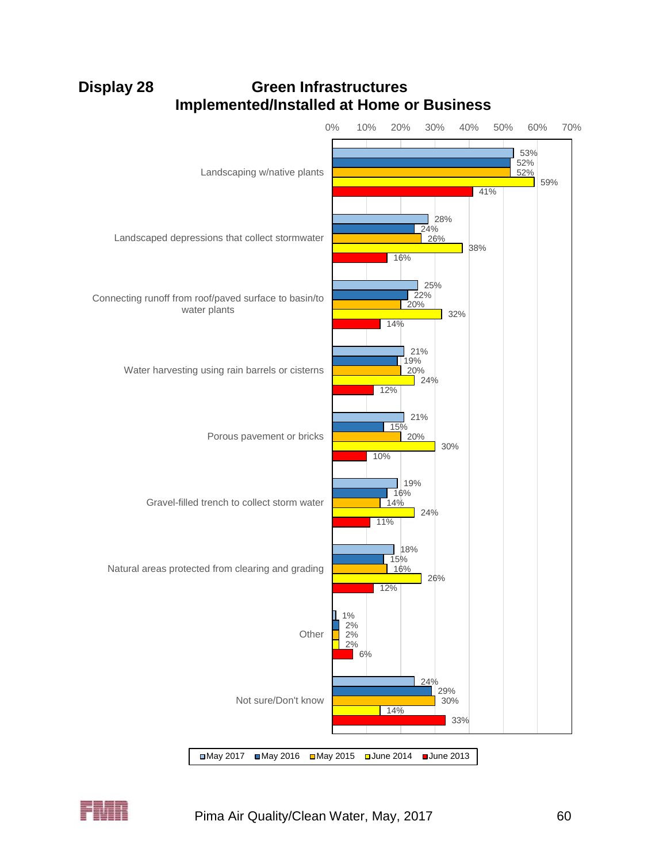**Implemented/Installed at Home or Business** 53% 28% 25% 21% 21% 19% 18% 1% 24% 52% 24% 22% 19% 15% 16% 15% 2% 29% 52% 26% 20% 20% 20%  $14%$ 16% 2% 30% 59% 38% 32%  $\overline{24\%}$ 30% 24% 26% 2% 14% 41% 16% 14% 12% 10% 11% 12% 6% 33% 0% 10% 20% 30% 40% 50% 60% 70% Landscaping w/native plants Landscaped depressions that collect stormwater Connecting runoff from roof/paved surface to basin/to water plants Water harvesting using rain barrels or cisterns Porous pavement or bricks Gravel-filled trench to collect storm water Natural areas protected from clearing and grading **Other** Not sure/Don't know

# **Display 28 Green Infrastructures**



May 2017 May 2016 May 2015 June 2014 June 2013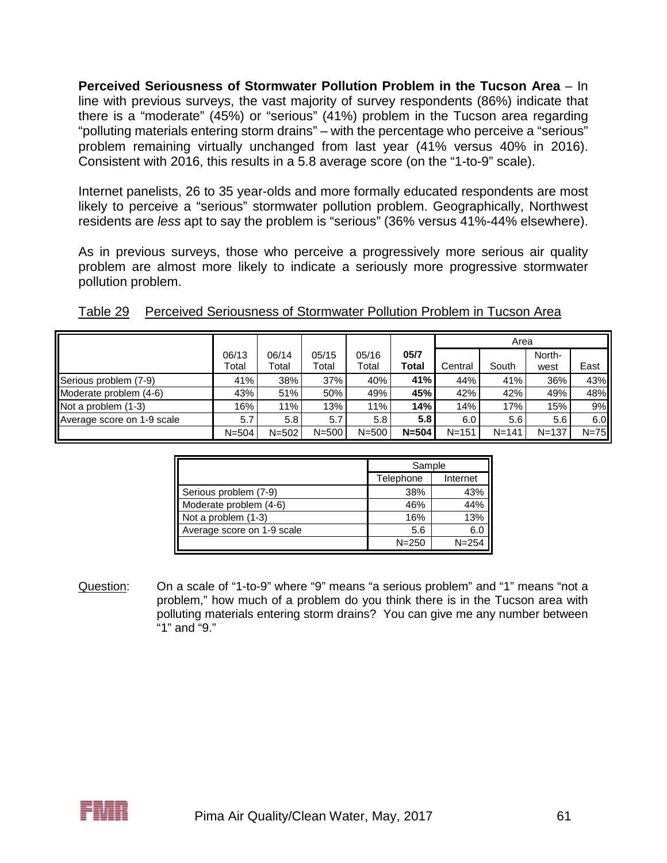**Perceived Seriousness of Stormwater Pollution Problem in the Tucson Area** – In line with previous surveys, the vast majority of survey respondents (86%) indicate that there is a "moderate" (45%) or "serious" (41%) problem in the Tucson area regarding "polluting materials entering storm drains" – with the percentage who perceive a "serious" problem remaining virtually unchanged from last year (41% versus 40% in 2016). Consistent with 2016, this results in a 5.8 average score (on the "1-to-9" scale).

Internet panelists, 26 to 35 year-olds and more formally educated respondents are most likely to perceive a "serious" stormwater pollution problem. Geographically, Northwest residents are *less* apt to say the problem is "serious" (36% versus 41%-44% elsewhere).

As in previous surveys, those who perceive a progressively more serious air quality problem are almost more likely to indicate a seriously more progressive stormwater pollution problem.

|                            |           |           |           |           |                  | Area      |           |           |        |
|----------------------------|-----------|-----------|-----------|-----------|------------------|-----------|-----------|-----------|--------|
|                            | 06/13     | 06/14     | 05/15     | 05/16     | 05/7             |           |           | North-    |        |
|                            | Total     | Total     | Total     | Total     | Total            | Central   | South     | west      | East   |
| Serious problem (7-9)      | 41%       | 38%       | 37%       | 40%       | 41%              | 44%       | 41%       | 36%       | 43%    |
| Moderate problem (4-6)     | 43%       | 51%       | 50%       | 49%       | 45%              | 42%       | 42%       | 49%       | 48%    |
| Not a problem (1-3)        | 16%       | 11%       | 13%       | 11%       | 14%              | 14%       | 17%       | 15%       | 9%     |
| Average score on 1-9 scale | 5.7       | 5.8       | 5.7       | 5.8       | 5.8 <sub>1</sub> | 6.0       | 5.6       | 5.6       | 6.0    |
|                            | $N = 504$ | $N = 502$ | $N = 500$ | $N = 500$ | $N = 504$        | $N = 151$ | $N = 141$ | $N = 137$ | $N=75$ |

|                            | Sample    |           |  |
|----------------------------|-----------|-----------|--|
|                            | Telephone | Internet  |  |
| Serious problem (7-9)      | 38%       | 43%       |  |
| Moderate problem (4-6)     | 46%       | 44%       |  |
| Not a problem (1-3)        | 16%       | 13%       |  |
| Average score on 1-9 scale | 5.6       | 6.0       |  |
|                            | $N = 250$ | $N = 254$ |  |

Question: On a scale of "1-to-9" where "9" means "a serious problem" and "1" means "not a problem," how much of a problem do you think there is in the Tucson area with polluting materials entering storm drains? You can give me any number between "1" and "9."

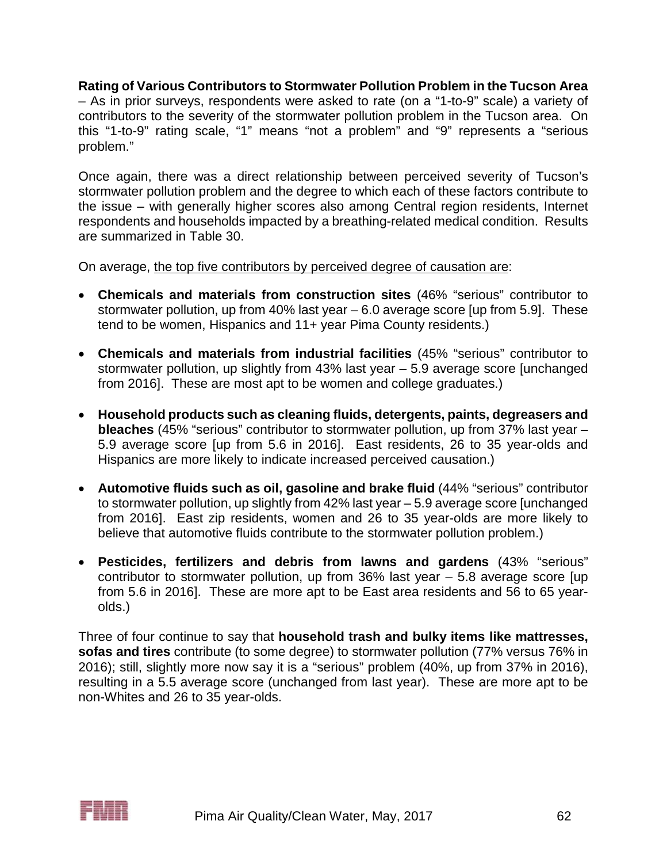**Rating of Various Contributors to Stormwater Pollution Problem in the Tucson Area** – As in prior surveys, respondents were asked to rate (on a "1-to-9" scale) a variety of contributors to the severity of the stormwater pollution problem in the Tucson area. On this "1-to-9" rating scale, "1" means "not a problem" and "9" represents a "serious problem."

Once again, there was a direct relationship between perceived severity of Tucson's stormwater pollution problem and the degree to which each of these factors contribute to the issue – with generally higher scores also among Central region residents, Internet respondents and households impacted by a breathing-related medical condition. Results are summarized in Table 30.

On average, the top five contributors by perceived degree of causation are:

- **Chemicals and materials from construction sites** (46% "serious" contributor to stormwater pollution, up from 40% last year – 6.0 average score [up from 5.9]. These tend to be women, Hispanics and 11+ year Pima County residents.)
- **Chemicals and materials from industrial facilities** (45% "serious" contributor to stormwater pollution, up slightly from 43% last year – 5.9 average score [unchanged from 2016]. These are most apt to be women and college graduates.)
- **Household products such as cleaning fluids, detergents, paints, degreasers and bleaches** (45% "serious" contributor to stormwater pollution, up from 37% last year – 5.9 average score [up from 5.6 in 2016]. East residents, 26 to 35 year-olds and Hispanics are more likely to indicate increased perceived causation.)
- **Automotive fluids such as oil, gasoline and brake fluid** (44% "serious" contributor to stormwater pollution, up slightly from 42% last year – 5.9 average score [unchanged from 2016]. East zip residents, women and 26 to 35 year-olds are more likely to believe that automotive fluids contribute to the stormwater pollution problem.)
- **Pesticides, fertilizers and debris from lawns and gardens** (43% "serious" contributor to stormwater pollution, up from 36% last year – 5.8 average score [up from 5.6 in 2016]. These are more apt to be East area residents and 56 to 65 yearolds.)

Three of four continue to say that **household trash and bulky items like mattresses, sofas and tires** contribute (to some degree) to stormwater pollution (77% versus 76% in 2016); still, slightly more now say it is a "serious" problem (40%, up from 37% in 2016), resulting in a 5.5 average score (unchanged from last year). These are more apt to be non-Whites and 26 to 35 year-olds.

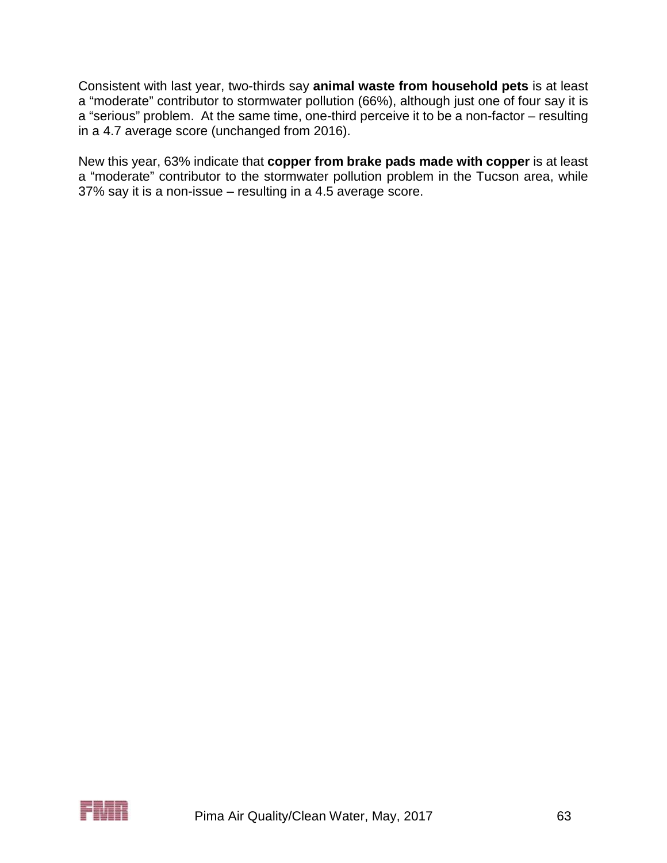Consistent with last year, two-thirds say **animal waste from household pets** is at least a "moderate" contributor to stormwater pollution (66%), although just one of four say it is a "serious" problem. At the same time, one-third perceive it to be a non-factor – resulting in a 4.7 average score (unchanged from 2016).

New this year, 63% indicate that **copper from brake pads made with copper** is at least a "moderate" contributor to the stormwater pollution problem in the Tucson area, while 37% say it is a non-issue – resulting in a 4.5 average score.

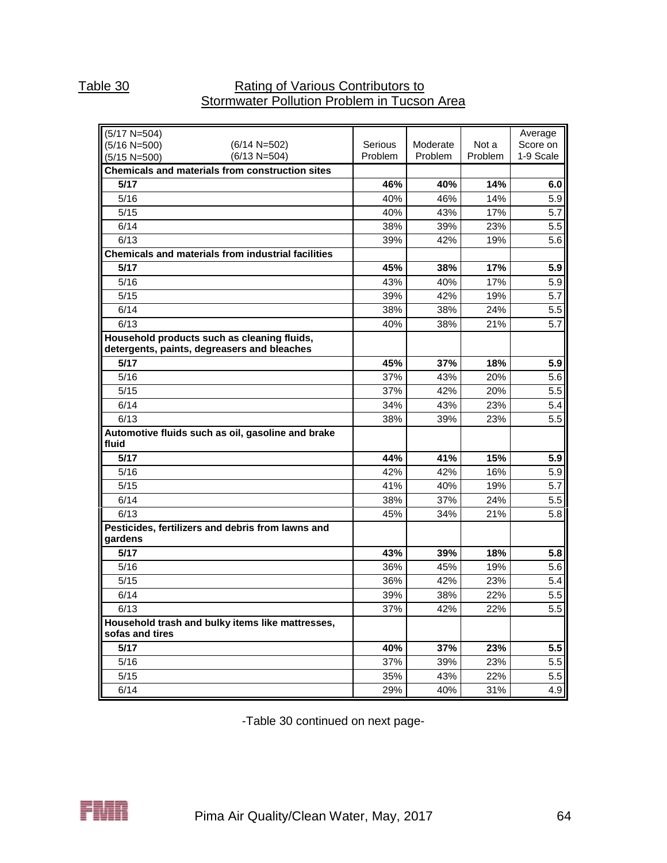## Table 30 **Rating of Various Contributors to** Stormwater Pollution Problem in Tucson Area

| $(5/17 N=504)$                                                                             |                    |                     |                  | Average               |
|--------------------------------------------------------------------------------------------|--------------------|---------------------|------------------|-----------------------|
| $(5/16 N=500)$<br>$(6/14 N=502)$<br>$(6/13 N=504)$                                         | Serious<br>Problem | Moderate<br>Problem | Not a<br>Problem | Score on<br>1-9 Scale |
| $(5/15 N=500)$                                                                             |                    |                     |                  |                       |
| <b>Chemicals and materials from construction sites</b><br>5/17                             |                    |                     |                  |                       |
|                                                                                            | 46%                | 40%                 | 14%              | 6.0                   |
| 5/16                                                                                       | 40%                | 46%                 | 14%              | 5.9                   |
| 5/15                                                                                       | 40%                | 43%                 | 17%              | 5.7                   |
| 6/14                                                                                       | 38%                | 39%                 | 23%              | 5.5                   |
| 6/13                                                                                       | 39%                | 42%                 | 19%              | 5.6                   |
| Chemicals and materials from industrial facilities                                         |                    |                     |                  |                       |
| 5/17                                                                                       | 45%                | 38%                 | 17%              | 5.9                   |
| 5/16                                                                                       | 43%                | 40%                 | 17%              | 5.9                   |
| 5/15                                                                                       | 39%                | 42%                 | 19%              | 5.7                   |
| 6/14                                                                                       | 38%                | 38%                 | 24%              | 5.5                   |
| 6/13                                                                                       | 40%                | 38%                 | 21%              | 5.7                   |
| Household products such as cleaning fluids,<br>detergents, paints, degreasers and bleaches |                    |                     |                  |                       |
| 5/17                                                                                       | 45%                | 37%                 | 18%              | 5.9                   |
| 5/16                                                                                       | 37%                | 43%                 | 20%              | 5.6                   |
| 5/15                                                                                       | 37%                | 42%                 | 20%              | 5.5                   |
| 6/14                                                                                       | 34%                | 43%                 | 23%              | 5.4                   |
| 6/13                                                                                       | 38%                | 39%                 | 23%              | 5.5                   |
| Automotive fluids such as oil, gasoline and brake<br>fluid                                 |                    |                     |                  |                       |
| 5/17                                                                                       | 44%                | 41%                 | 15%              | 5.9                   |
| 5/16                                                                                       | 42%                | 42%                 | 16%              | 5.9                   |
| 5/15                                                                                       | 41%                | 40%                 | 19%              | 5.7                   |
| 6/14                                                                                       | 38%                | 37%                 | 24%              | 5.5                   |
| 6/13                                                                                       | 45%                | 34%                 | 21%              | 5.8                   |
| Pesticides, fertilizers and debris from lawns and<br>gardens                               |                    |                     |                  |                       |
| 5/17                                                                                       | 43%                | 39%                 | 18%              | 5.8                   |
| 5/16                                                                                       | 36%                | 45%                 | 19%              | 5.6                   |
| 5/15                                                                                       | 36%                | 42%                 | 23%              | 5.4                   |
| 6/14                                                                                       | 39%                | 38%                 | 22%              | 5.5                   |
| 6/13                                                                                       | 37%                | 42%                 | 22%              | 5.5                   |
| Household trash and bulky items like mattresses,                                           |                    |                     |                  |                       |
| sofas and tires                                                                            |                    |                     |                  |                       |
| $5/17$                                                                                     | 40%                | 37%                 | 23%              | 5.5                   |
| 5/16                                                                                       | 37%                | 39%                 | 23%              | 5.5                   |
| 5/15                                                                                       | 35%                | 43%                 | 22%              | 5.5                   |
| 6/14                                                                                       | 29%                | 40%                 | 31%              | 4.9                   |

-Table 30 continued on next page-

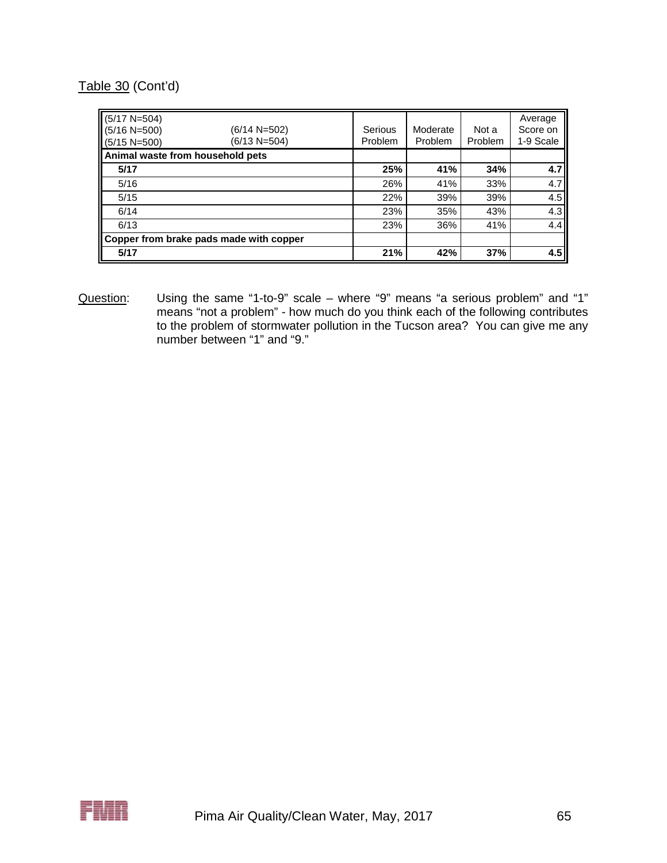## Table 30 (Cont'd)

| $(5/17 N=504)$<br>$(5/16 N=500)$<br>$(5/15 N=500)$ | $(6/14 N=502)$<br>(6/13 N=504)          | Serious<br>Problem | Moderate<br>Problem | Not a<br><b>Problem</b> | Average<br>Score on<br>1-9 Scale |
|----------------------------------------------------|-----------------------------------------|--------------------|---------------------|-------------------------|----------------------------------|
| Animal waste from household pets                   |                                         |                    |                     |                         |                                  |
| 5/17                                               |                                         | 25%                | 41%                 | 34%                     | 4.7                              |
| 5/16                                               |                                         | 26%                | 41%                 | 33%                     | 4.7                              |
| 5/15                                               |                                         | 22%                | 39%                 | 39%                     | 4.5                              |
| 6/14                                               |                                         | 23%                | 35%                 | 43%                     | 4.3                              |
| 6/13                                               |                                         | 23%                | 36%                 | 41%                     | 4.4                              |
|                                                    | Copper from brake pads made with copper |                    |                     |                         |                                  |
| 5/17                                               |                                         | 21%                | 42%                 | 37%                     | 4.5                              |

Question: Using the same "1-to-9" scale – where "9" means "a serious problem" and "1" means "not a problem" - how much do you think each of the following contributes to the problem of stormwater pollution in the Tucson area? You can give me any number between "1" and "9."

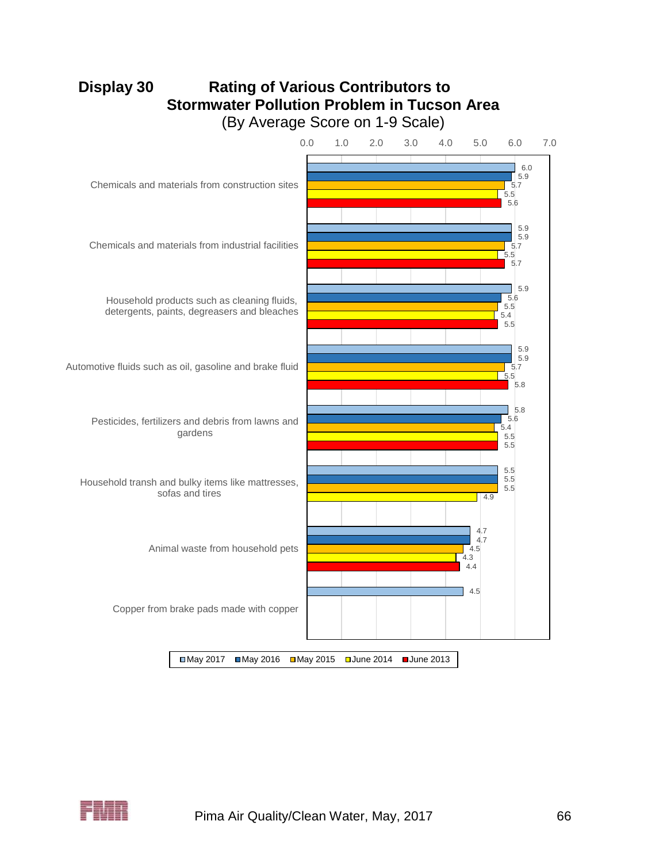# **Display 30 Rating of Various Contributors to Stormwater Pollution Problem in Tucson Area** (By Average Score on 1-9 Scale)



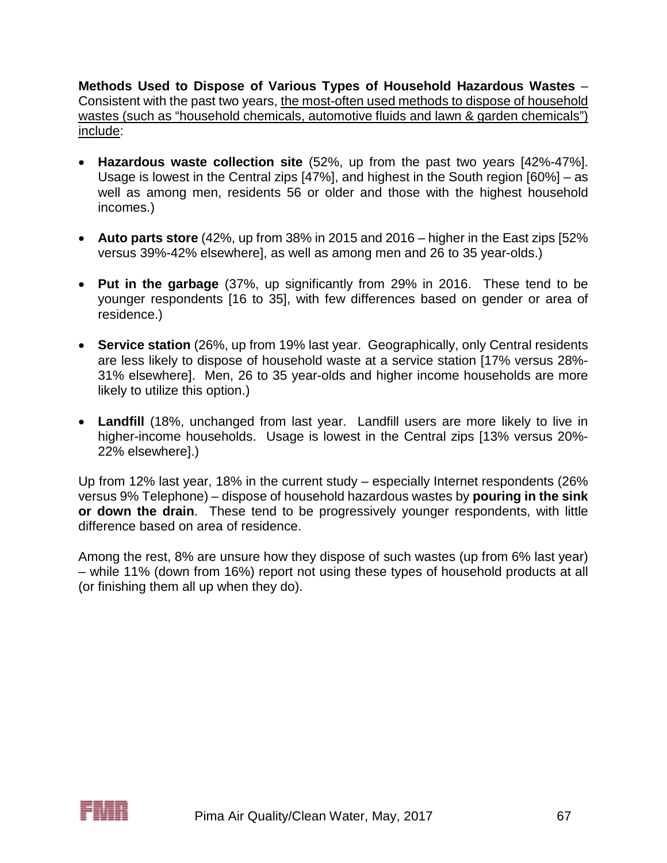**Methods Used to Dispose of Various Types of Household Hazardous Wastes** – Consistent with the past two years, the most-often used methods to dispose of household wastes (such as "household chemicals, automotive fluids and lawn & garden chemicals") include:

- **Hazardous waste collection site** (52%, up from the past two years [42%-47%]. Usage is lowest in the Central zips [47%], and highest in the South region [60%] – as well as among men, residents 56 or older and those with the highest household incomes.)
- **Auto parts store** (42%, up from 38% in 2015 and 2016 higher in the East zips [52% versus 39%-42% elsewhere], as well as among men and 26 to 35 year-olds.)
- **Put in the garbage** (37%, up significantly from 29% in 2016. These tend to be younger respondents [16 to 35], with few differences based on gender or area of residence.)
- **Service station** (26%, up from 19% last year. Geographically, only Central residents are less likely to dispose of household waste at a service station [17% versus 28%- 31% elsewhere]. Men, 26 to 35 year-olds and higher income households are more likely to utilize this option.)
- **Landfill** (18%, unchanged from last year. Landfill users are more likely to live in higher-income households. Usage is lowest in the Central zips [13% versus 20%- 22% elsewhere].)

Up from 12% last year, 18% in the current study – especially Internet respondents (26% versus 9% Telephone) – dispose of household hazardous wastes by **pouring in the sink or down the drain**. These tend to be progressively younger respondents, with little difference based on area of residence.

Among the rest, 8% are unsure how they dispose of such wastes (up from 6% last year) – while 11% (down from 16%) report not using these types of household products at all (or finishing them all up when they do).

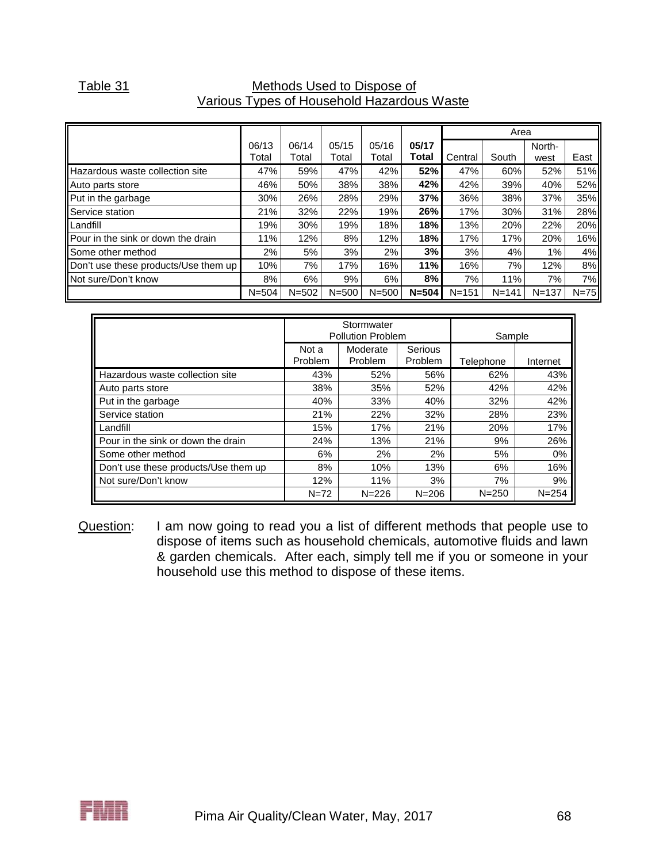## Table 31 Methods Used to Dispose of Various Types of Household Hazardous Waste

|                                      |                |                |                |                |                |           | Area      |                |        |
|--------------------------------------|----------------|----------------|----------------|----------------|----------------|-----------|-----------|----------------|--------|
|                                      | 06/13<br>Total | 06/14<br>Total | 05/15<br>Total | 05/16<br>Total | 05/17<br>Total | Central   | South     | North-<br>west | East   |
| Hazardous waste collection site      | 47%            | 59%            | 47%            | 42%            | 52%            | 47%       | 60%       | 52%            | 51%    |
| Auto parts store                     | 46%            | 50%            | 38%            | 38%            | 42%            | 42%       | 39%       | 40%            | 52%    |
| Put in the garbage                   | 30%            | 26%            | 28%            | 29%            | 37%            | 36%       | 38%       | 37%            | 35%    |
| Service station                      | 21%            | 32%            | 22%            | 19%            | 26%            | 17%       | 30%       | 31%            | 28%    |
| <b>ILandfill</b>                     | 19%            | 30%            | 19%            | 18%            | 18%            | 13%       | 20%       | 22%            | 20%    |
| Pour in the sink or down the drain   | 11%            | 12%            | 8%             | 12%            | 18%            | 17%       | 17%       | 20%            | 16%    |
| Some other method                    | 2%             | 5%             | 3%             | 2%             | 3%             | 3%        | 4%        | 1%             | 4%     |
| Don't use these products/Use them up | 10%            | 7%             | 17%            | 16%            | 11%            | 16%       | 7%        | 12%            | 8%     |
| Not sure/Don't know                  | 8%             | 6%             | 9%             | 6%             | 8%             | 7%        | 11%       | 7%             | 7%l    |
|                                      | $N = 504$      | $N = 502$      | $N = 500$      | $N = 500$      | $N = 504$      | $N = 151$ | $N = 141$ | $N = 137$      | $N=75$ |

|                                      |                         | Stormwater<br><b>Pollution Problem</b> | Sample                    |           |           |
|--------------------------------------|-------------------------|----------------------------------------|---------------------------|-----------|-----------|
|                                      | Not a<br><b>Problem</b> | Moderate<br>Problem                    | Serious<br><b>Problem</b> | Telephone | Internet  |
| Hazardous waste collection site      | 43%                     | 52%                                    | 56%                       | 62%       | 43%       |
| Auto parts store                     | 38%                     | 35%                                    | 52%                       | 42%       | 42%       |
| Put in the garbage                   | 40%                     | 33%                                    | 40%                       | 32%       | 42%       |
| Service station                      | 21%                     | 22%                                    | 32%                       | 28%       | 23%       |
| Landfill                             | 15%                     | 17%                                    | 21%                       | 20%       | 17%       |
| Pour in the sink or down the drain   | 24%                     | 13%                                    | 21%                       | 9%        | 26%       |
| Some other method                    | 6%                      | 2%                                     | 2%                        | 5%        | 0%        |
| Don't use these products/Use them up | 8%                      | 10%                                    | 13%                       | 6%        | 16%       |
| Not sure/Don't know                  | 12%                     | 11%                                    | 3%                        | 7%        | 9%        |
|                                      | $N = 72$                | $N = 226$                              | $N = 206$                 | $N = 250$ | $N = 254$ |

Question: I am now going to read you a list of different methods that people use to dispose of items such as household chemicals, automotive fluids and lawn & garden chemicals. After each, simply tell me if you or someone in your household use this method to dispose of these items.

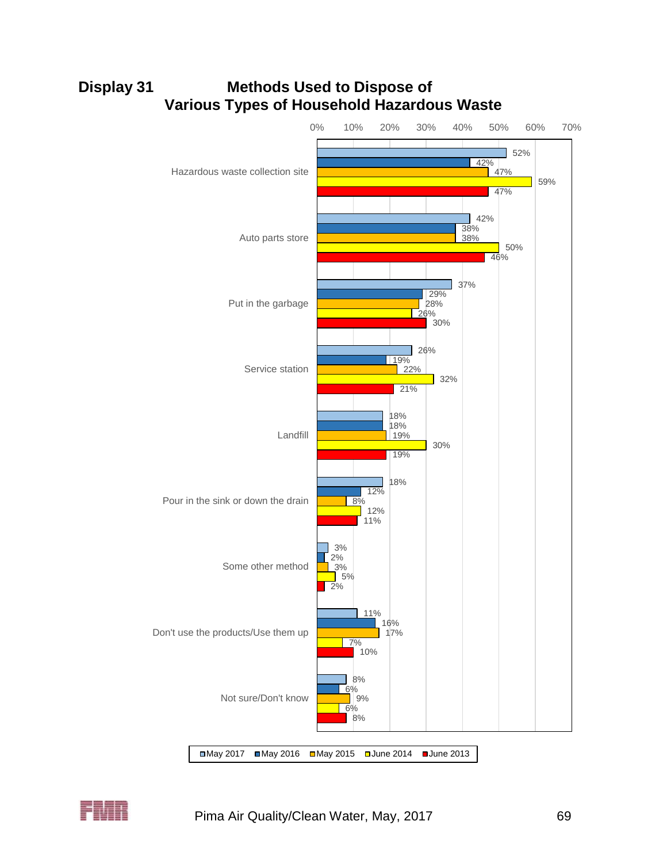

# **Display 31 Methods Used to Dispose of Various Types of Household Hazardous Waste**

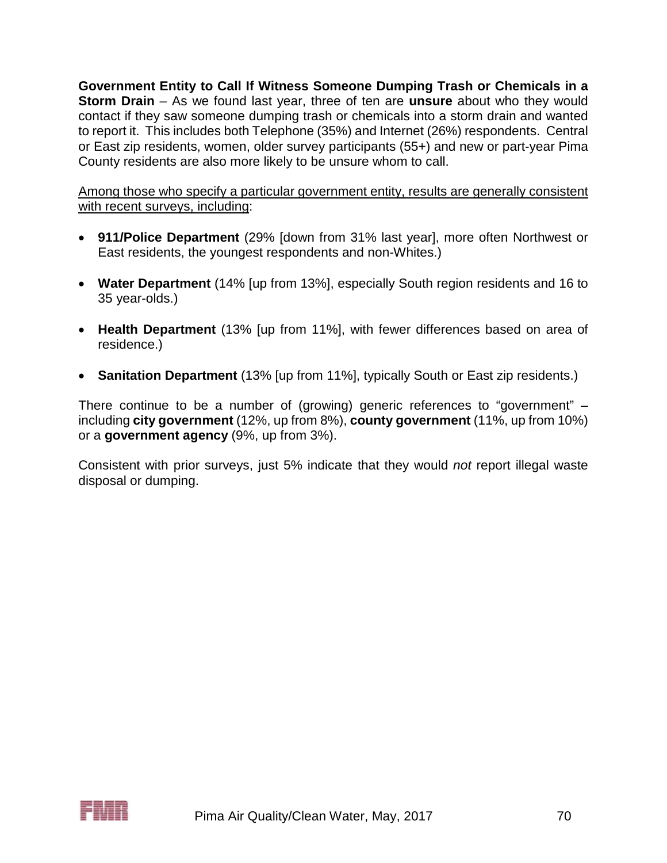**Government Entity to Call If Witness Someone Dumping Trash or Chemicals in a Storm Drain** – As we found last year, three of ten are **unsure** about who they would contact if they saw someone dumping trash or chemicals into a storm drain and wanted to report it. This includes both Telephone (35%) and Internet (26%) respondents. Central or East zip residents, women, older survey participants (55+) and new or part-year Pima County residents are also more likely to be unsure whom to call.

Among those who specify a particular government entity, results are generally consistent with recent surveys, including:

- **911/Police Department** (29% [down from 31% last year], more often Northwest or East residents, the youngest respondents and non-Whites.)
- **Water Department** (14% [up from 13%], especially South region residents and 16 to 35 year-olds.)
- **Health Department** (13% [up from 11%], with fewer differences based on area of residence.)
- **Sanitation Department** (13% [up from 11%], typically South or East zip residents.)

There continue to be a number of (growing) generic references to "government" – including **city government** (12%, up from 8%), **county government** (11%, up from 10%) or a **government agency** (9%, up from 3%).

Consistent with prior surveys, just 5% indicate that they would *not* report illegal waste disposal or dumping.

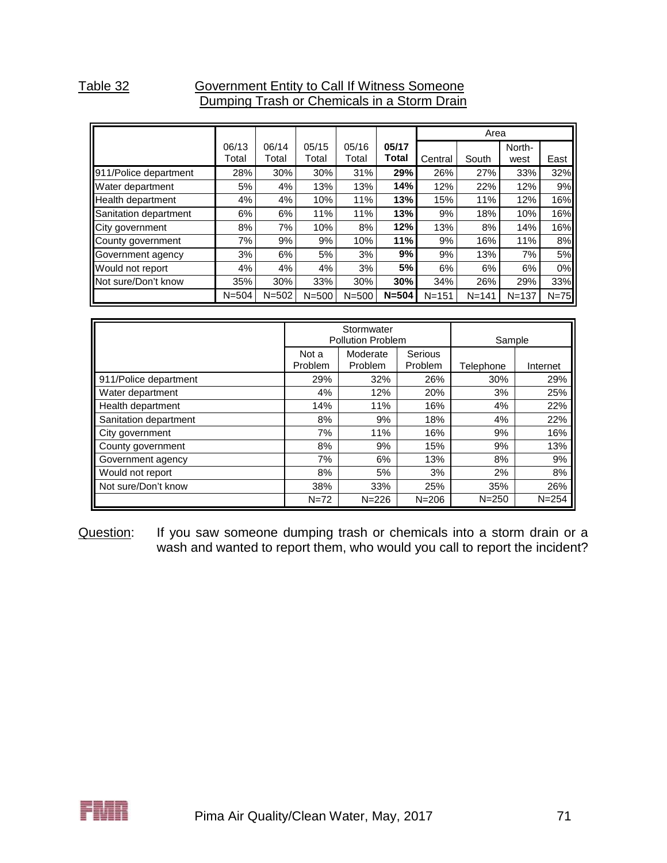## Table 32 **Government Entity to Call If Witness Someone** Dumping Trash or Chemicals in a Storm Drain

|                              |           |           |           |           |           |           | Area      |           |        |
|------------------------------|-----------|-----------|-----------|-----------|-----------|-----------|-----------|-----------|--------|
|                              | 06/13     | 06/14     | 05/15     | 05/16     | 05/17     |           |           | North-    |        |
|                              | Total     | Total     | Total     | Total     | Total     | Central   | South     | west      | East   |
| 911/Police department        | 28%       | 30%       | 30%       | 31%       | 29%       | 26%       | 27%       | 33%       | 32%    |
| <b>Water department</b>      | 5%        | 4%        | 13%       | 13%       | 14%       | 12%       | 22%       | 12%       | 9%     |
| Health department            | 4%        | 4%        | 10%       | 11%       | 13%       | 15%       | 11%       | 12%       | 16%    |
| Sanitation department        | 6%        | 6%        | 11%       | 11%       | 13%       | 9%        | 18%       | 10%       | 16%    |
| City government              | 8%        | 7%        | 10%       | 8%        | 12%       | 13%       | 8%        | 14%       | 16%    |
| County government            | 7%        | 9%        | 9%        | 10%       | 11%       | 9%        | 16%       | 11%       | 8%     |
| Government agency            | 3%        | 6%        | 5%        | 3%        | 9%        | 9%        | 13%       | 7%        | 5%     |
| Would not report             | 4%        | 4%        | 4%        | 3%        | 5%        | 6%        | 6%        | 6%        | 0%     |
| <b>IN</b> ot sure/Don't know | 35%       | 30%       | 33%       | 30%       | 30%       | 34%       | 26%       | 29%       | 33%    |
|                              | $N = 504$ | $N = 502$ | $N = 500$ | $N = 500$ | $N = 504$ | $N = 151$ | $N = 141$ | $N = 137$ | $N=75$ |

|                       |                  | Stormwater<br><b>Pollution Problem</b> | Sample             |           |           |
|-----------------------|------------------|----------------------------------------|--------------------|-----------|-----------|
|                       | Not a<br>Problem | Moderate<br>Problem                    | Serious<br>Problem | Telephone | Internet  |
| 911/Police department | 29%              | 32%                                    | 26%                | 30%       | 29%       |
| Water department      | 4%               | 12%                                    | 20%                | 3%        | 25%       |
| Health department     | 14%              | 11%                                    | 16%                | 4%        | 22%       |
| Sanitation department | 8%               | 9%                                     | 18%                | 4%        | 22%       |
| City government       | 7%               | 11%                                    | 16%                | 9%        | 16%       |
| County government     | 8%               | 9%                                     | 15%                | 9%        | 13%       |
| Government agency     | 7%               | 6%                                     | 13%                | 8%        | 9%        |
| Would not report      | 8%               | 5%                                     | 3%                 | 2%        | 8%        |
| Not sure/Don't know   | 38%              | 33%                                    | 25%                | 35%       | 26%       |
|                       | $N = 72$         | $N = 226$                              | $N = 206$          | $N = 250$ | $N = 254$ |

Question: If you saw someone dumping trash or chemicals into a storm drain or a wash and wanted to report them, who would you call to report the incident?

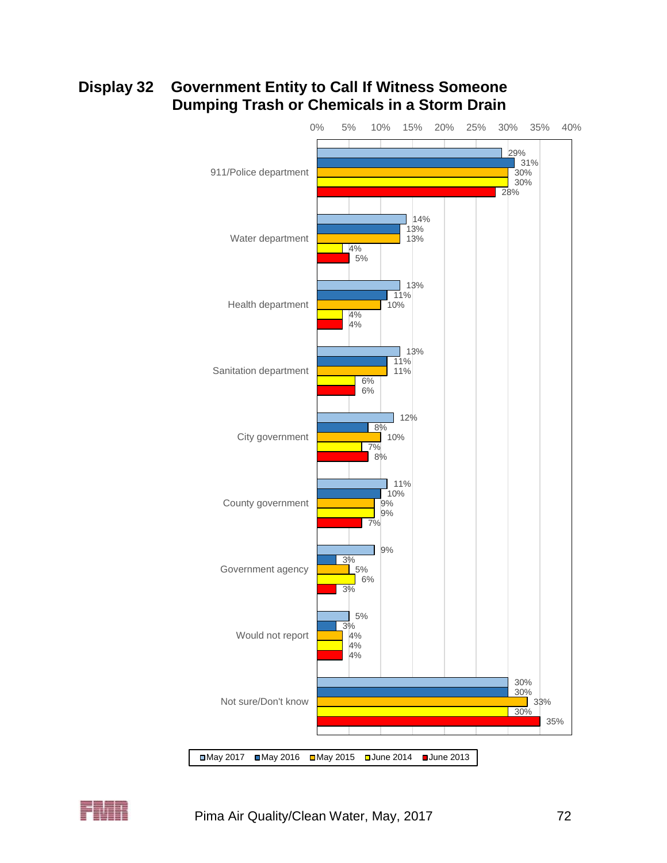# **Display 32 Government Entity to Call If Witness Someone Dumping Trash or Chemicals in a Storm Drain**



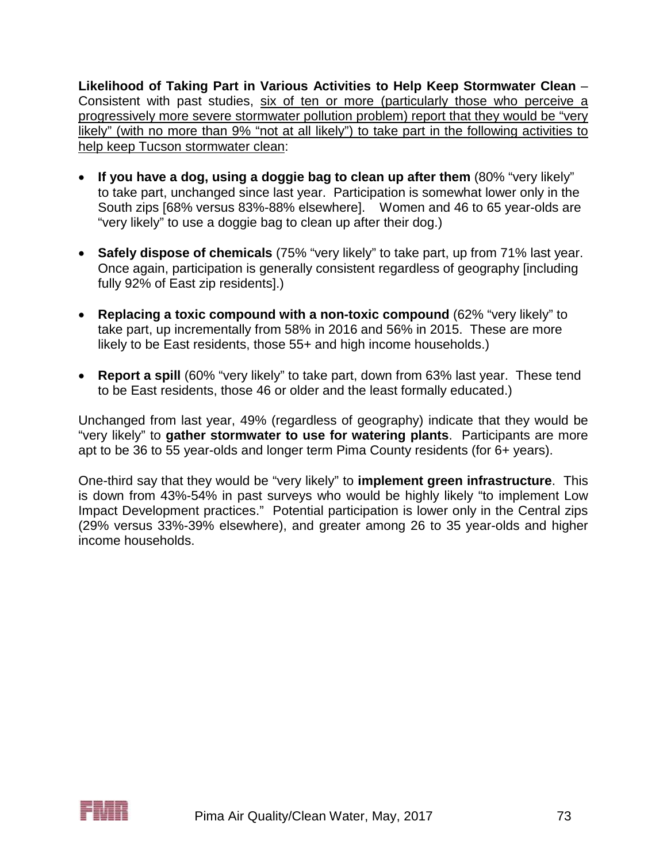**Likelihood of Taking Part in Various Activities to Help Keep Stormwater Clean** – Consistent with past studies, six of ten or more (particularly those who perceive a progressively more severe stormwater pollution problem) report that they would be "very likely" (with no more than 9% "not at all likely") to take part in the following activities to help keep Tucson stormwater clean:

- **If you have a dog, using a doggie bag to clean up after them** (80% "very likely" to take part, unchanged since last year. Participation is somewhat lower only in the South zips [68% versus 83%-88% elsewhere]. Women and 46 to 65 year-olds are "very likely" to use a doggie bag to clean up after their dog.)
- **Safely dispose of chemicals** (75% "very likely" to take part, up from 71% last year. Once again, participation is generally consistent regardless of geography [including fully 92% of East zip residents].)
- **Replacing a toxic compound with a non-toxic compound** (62% "very likely" to take part, up incrementally from 58% in 2016 and 56% in 2015. These are more likely to be East residents, those 55+ and high income households.)
- **Report a spill** (60% "very likely" to take part, down from 63% last year. These tend to be East residents, those 46 or older and the least formally educated.)

Unchanged from last year, 49% (regardless of geography) indicate that they would be "very likely" to **gather stormwater to use for watering plants**. Participants are more apt to be 36 to 55 year-olds and longer term Pima County residents (for 6+ years).

One-third say that they would be "very likely" to **implement green infrastructure**. This is down from 43%-54% in past surveys who would be highly likely "to implement Low Impact Development practices." Potential participation is lower only in the Central zips (29% versus 33%-39% elsewhere), and greater among 26 to 35 year-olds and higher income households.

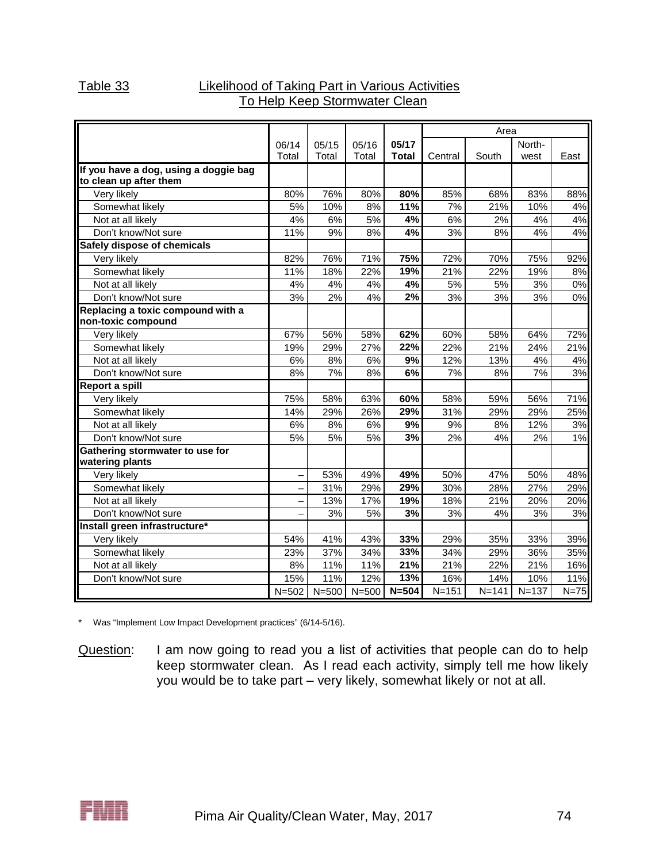## Table 33 Likelihood of Taking Part in Various Activities To Help Keep Stormwater Clean

|                                                                 |           |           |           |              | Area      |           |           |        |
|-----------------------------------------------------------------|-----------|-----------|-----------|--------------|-----------|-----------|-----------|--------|
|                                                                 | 06/14     | 05/15     | 05/16     | 05/17        |           |           | North-    |        |
|                                                                 | Total     | Total     | Total     | <b>Total</b> | Central   | South     | west      | East   |
| If you have a dog, using a doggie bag<br>to clean up after them |           |           |           |              |           |           |           |        |
| Very likely                                                     | 80%       | 76%       | 80%       | 80%          | 85%       | 68%       | 83%       | 88%    |
| Somewhat likely                                                 | 5%        | 10%       | 8%        | 11%          | 7%        | 21%       | 10%       | 4%     |
| Not at all likely                                               | 4%        | 6%        | 5%        | 4%           | 6%        | 2%        | 4%        | 4%     |
| Don't know/Not sure                                             | 11%       | 9%        | 8%        | 4%           | 3%        | 8%        | 4%        | 4%     |
| Safely dispose of chemicals                                     |           |           |           |              |           |           |           |        |
| Very likely                                                     | 82%       | 76%       | 71%       | 75%          | 72%       | 70%       | 75%       | 92%    |
| Somewhat likely                                                 | 11%       | 18%       | 22%       | 19%          | 21%       | 22%       | 19%       | 8%     |
| Not at all likely                                               | 4%        | 4%        | 4%        | 4%           | 5%        | 5%        | 3%        | 0%     |
| Don't know/Not sure                                             | 3%        | 2%        | 4%        | 2%           | 3%        | 3%        | 3%        | 0%     |
| Replacing a toxic compound with a<br>non-toxic compound         |           |           |           |              |           |           |           |        |
| Very likely                                                     | 67%       | 56%       | 58%       | 62%          | 60%       | 58%       | 64%       | 72%    |
| Somewhat likely                                                 | 19%       | 29%       | 27%       | 22%          | 22%       | 21%       | 24%       | 21%    |
| Not at all likely                                               | 6%        | 8%        | 6%        | 9%           | 12%       | 13%       | 4%        | 4%     |
| Don't know/Not sure                                             | 8%        | 7%        | 8%        | 6%           | 7%        | 8%        | 7%        | 3%     |
| <b>Report a spill</b>                                           |           |           |           |              |           |           |           |        |
| Very likely                                                     | 75%       | 58%       | 63%       | 60%          | 58%       | 59%       | 56%       | 71%    |
| Somewhat likely                                                 | 14%       | 29%       | 26%       | 29%          | 31%       | 29%       | 29%       | 25%    |
| Not at all likely                                               | 6%        | 8%        | 6%        | 9%           | 9%        | 8%        | 12%       | 3%     |
| Don't know/Not sure                                             | 5%        | 5%        | 5%        | 3%           | 2%        | 4%        | 2%        | 1%     |
| Gathering stormwater to use for<br>watering plants              |           |           |           |              |           |           |           |        |
| Very likely                                                     |           | 53%       | 49%       | 49%          | 50%       | 47%       | 50%       | 48%    |
| Somewhat likely                                                 |           | 31%       | 29%       | 29%          | 30%       | 28%       | 27%       | 29%    |
| Not at all likely                                               |           | 13%       | 17%       | 19%          | 18%       | 21%       | 20%       | 20%    |
| Don't know/Not sure                                             |           | 3%        | 5%        | 3%           | 3%        | 4%        | 3%        | 3%     |
| Install green infrastructure*                                   |           |           |           |              |           |           |           |        |
| Very likely                                                     | 54%       | 41%       | 43%       | 33%          | 29%       | 35%       | 33%       | 39%    |
| Somewhat likely                                                 | 23%       | 37%       | 34%       | 33%          | 34%       | 29%       | 36%       | 35%    |
| Not at all likely                                               | 8%        | 11%       | 11%       | 21%          | 21%       | 22%       | 21%       | 16%    |
| Don't know/Not sure                                             | 15%       | 11%       | 12%       | 13%          | 16%       | 14%       | 10%       | 11%    |
|                                                                 | $N = 502$ | $N = 500$ | $N = 500$ | $N = 504$    | $N = 151$ | $N = 141$ | $N = 137$ | $N=75$ |

\* Was "Implement Low Impact Development practices" (6/14-5/16).

Question: I am now going to read you a list of activities that people can do to help keep stormwater clean. As I read each activity, simply tell me how likely you would be to take part – very likely, somewhat likely or not at all.

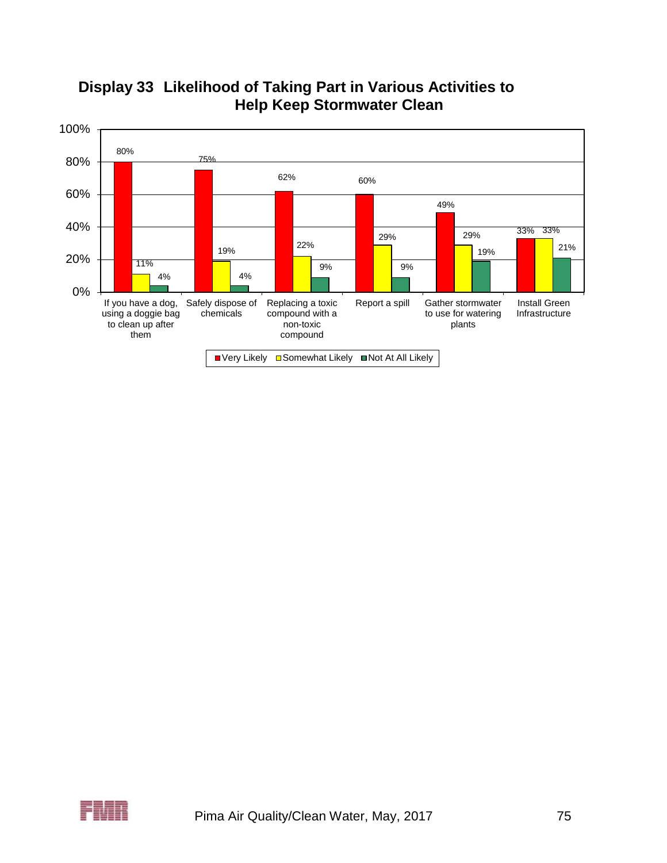



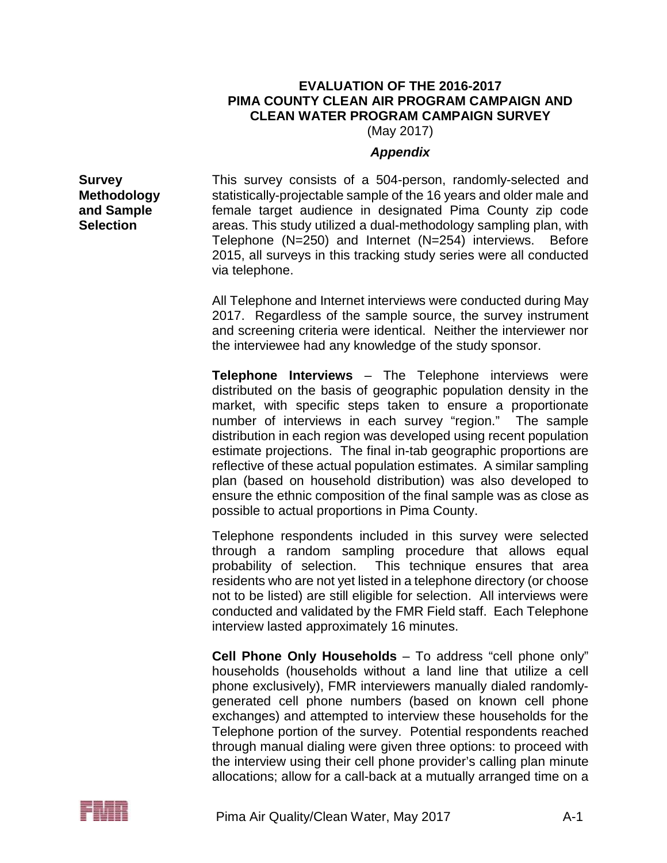## **EVALUATION OF THE 2016-2017 PIMA COUNTY CLEAN AIR PROGRAM CAMPAIGN AND CLEAN WATER PROGRAM CAMPAIGN SURVEY**

(May 2017)

## *Appendix*

**Survey Methodology and Sample Selection**

This survey consists of a 504-person, randomly-selected and statistically-projectable sample of the 16 years and older male and female target audience in designated Pima County zip code areas. This study utilized a dual-methodology sampling plan, with Telephone (N=250) and Internet (N=254) interviews. Before 2015, all surveys in this tracking study series were all conducted via telephone.

All Telephone and Internet interviews were conducted during May 2017. Regardless of the sample source, the survey instrument and screening criteria were identical. Neither the interviewer nor the interviewee had any knowledge of the study sponsor.

**Telephone Interviews** – The Telephone interviews were distributed on the basis of geographic population density in the market, with specific steps taken to ensure a proportionate number of interviews in each survey "region." The sample distribution in each region was developed using recent population estimate projections. The final in-tab geographic proportions are reflective of these actual population estimates. A similar sampling plan (based on household distribution) was also developed to ensure the ethnic composition of the final sample was as close as possible to actual proportions in Pima County.

Telephone respondents included in this survey were selected through a random sampling procedure that allows equal probability of selection. This technique ensures that area residents who are not yet listed in a telephone directory (or choose not to be listed) are still eligible for selection. All interviews were conducted and validated by the FMR Field staff. Each Telephone interview lasted approximately 16 minutes.

**Cell Phone Only Households** – To address "cell phone only" households (households without a land line that utilize a cell phone exclusively), FMR interviewers manually dialed randomlygenerated cell phone numbers (based on known cell phone exchanges) and attempted to interview these households for the Telephone portion of the survey. Potential respondents reached through manual dialing were given three options: to proceed with the interview using their cell phone provider's calling plan minute allocations; allow for a call-back at a mutually arranged time on a

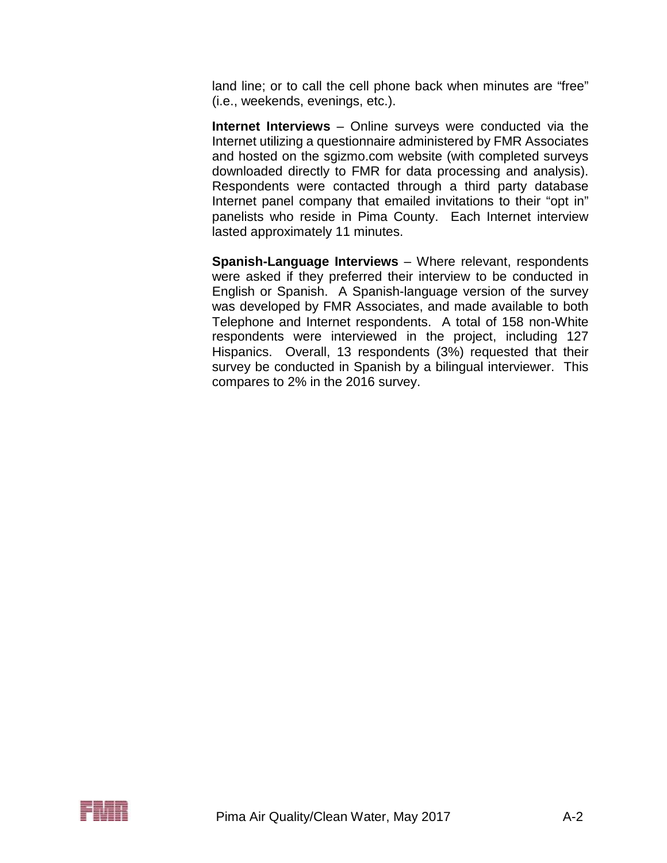land line; or to call the cell phone back when minutes are "free" (i.e., weekends, evenings, etc.).

**Internet Interviews** – Online surveys were conducted via the Internet utilizing a questionnaire administered by FMR Associates and hosted on the sgizmo.com website (with completed surveys downloaded directly to FMR for data processing and analysis). Respondents were contacted through a third party database Internet panel company that emailed invitations to their "opt in" panelists who reside in Pima County. Each Internet interview lasted approximately 11 minutes.

**Spanish-Language Interviews** – Where relevant, respondents were asked if they preferred their interview to be conducted in English or Spanish. A Spanish-language version of the survey was developed by FMR Associates, and made available to both Telephone and Internet respondents. A total of 158 non-White respondents were interviewed in the project, including 127 Hispanics. Overall, 13 respondents (3%) requested that their survey be conducted in Spanish by a bilingual interviewer. This compares to 2% in the 2016 survey.

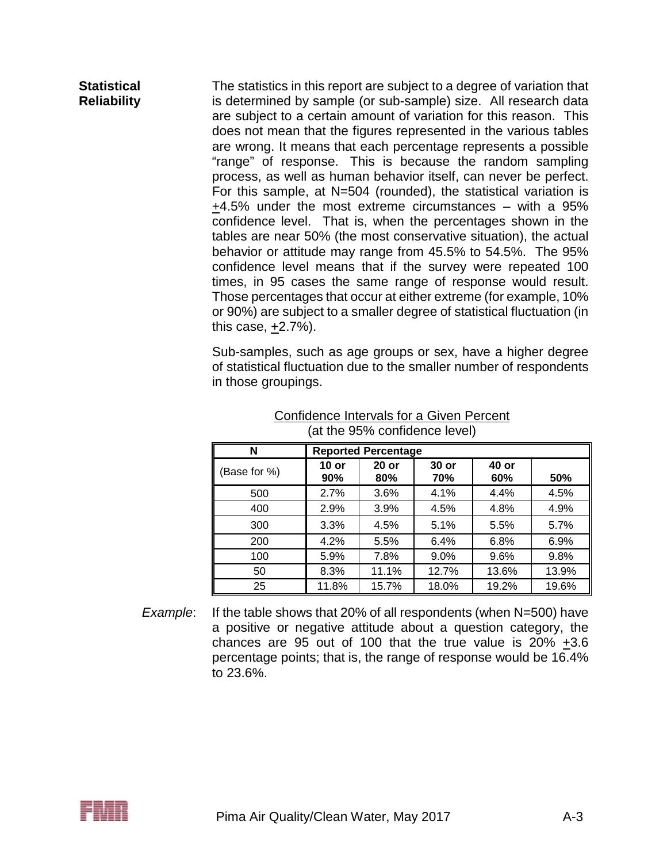**Statistical Reliability** The statistics in this report are subject to a degree of variation that is determined by sample (or sub-sample) size. All research data are subject to a certain amount of variation for this reason. This does not mean that the figures represented in the various tables are wrong. It means that each percentage represents a possible "range" of response. This is because the random sampling process, as well as human behavior itself, can never be perfect. For this sample, at N=504 (rounded), the statistical variation is +4.5% under the most extreme circumstances – with a 95% confidence level. That is, when the percentages shown in the tables are near 50% (the most conservative situation), the actual behavior or attitude may range from 45.5% to 54.5%. The 95% confidence level means that if the survey were repeated 100 times, in 95 cases the same range of response would result. Those percentages that occur at either extreme (for example, 10% or 90%) are subject to a smaller degree of statistical fluctuation (in this case, +2.7%).

> Sub-samples, such as age groups or sex, have a higher degree of statistical fluctuation due to the smaller number of respondents in those groupings.

| N            |                | <b>Reported Percentage</b> |              |              |       |
|--------------|----------------|----------------------------|--------------|--------------|-------|
| (Base for %) | $10$ or<br>90% | $20$ or<br>80%             | 30 or<br>70% | 40 or<br>60% | 50%   |
| 500          | 2.7%           | 3.6%                       | 4.1%         | 4.4%         | 4.5%  |
| 400          | 2.9%           | 3.9%                       | 4.5%         | 4.8%         | 4.9%  |
| 300          | 3.3%           | 4.5%                       | 5.1%         | 5.5%         | 5.7%  |
| 200          | 4.2%           | 5.5%                       | 6.4%         | 6.8%         | 6.9%  |
| 100          | 5.9%           | 7.8%                       | 9.0%         | 9.6%         | 9.8%  |
| 50           | 8.3%           | 11.1%                      | 12.7%        | 13.6%        | 13.9% |
| 25           | 11.8%          | 15.7%                      | 18.0%        | 19.2%        | 19.6% |

### Confidence Intervals for a Given Percent (at the 95% confidence level)

*Example*: If the table shows that 20% of all respondents (when N=500) have a positive or negative attitude about a question category, the chances are 95 out of 100 that the true value is 20% +3.6 percentage points; that is, the range of response would be 16.4% to 23.6%.

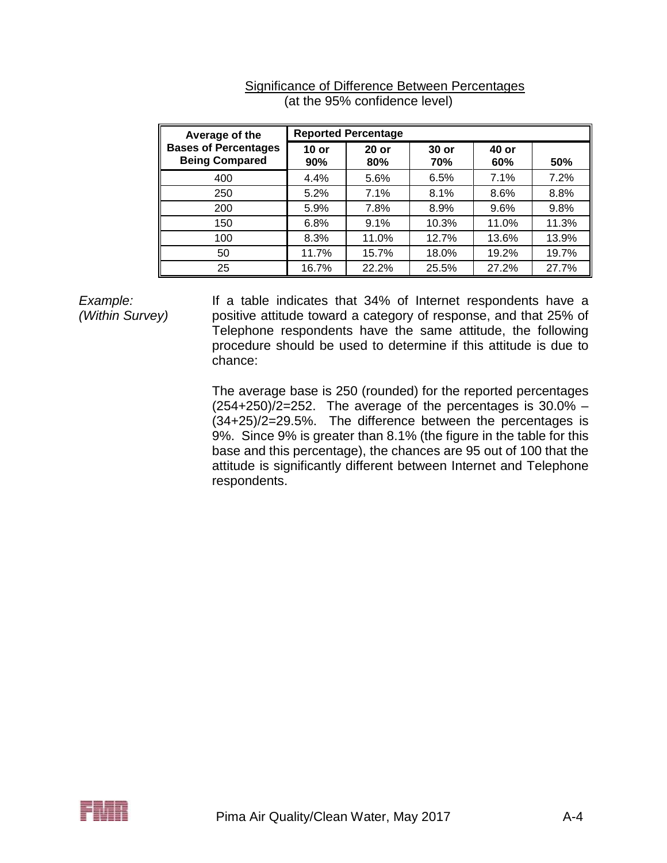| Average of the                                       |                | <b>Reported Percentage</b> |                |              |       |  |
|------------------------------------------------------|----------------|----------------------------|----------------|--------------|-------|--|
| <b>Bases of Percentages</b><br><b>Being Compared</b> | $10$ or<br>90% | $20$ or<br>80%             | $30$ or<br>70% | 40 or<br>60% | 50%   |  |
| 400                                                  | 4.4%           | 5.6%                       | 6.5%           | 7.1%         | 7.2%  |  |
| 250                                                  | 5.2%           | 7.1%                       | 8.1%           | 8.6%         | 8.8%  |  |
| 200                                                  | 5.9%           | 7.8%                       | 8.9%           | 9.6%         | 9.8%  |  |
| 150                                                  | 6.8%           | 9.1%                       | 10.3%          | 11.0%        | 11.3% |  |
| 100                                                  | 8.3%           | 11.0%                      | 12.7%          | 13.6%        | 13.9% |  |
| 50                                                   | 11.7%          | 15.7%                      | 18.0%          | 19.2%        | 19.7% |  |
| 25                                                   | 16.7%          | 22.2%                      | 25.5%          | 27.2%        | 27.7% |  |

### Significance of Difference Between Percentages (at the 95% confidence level)

*Example: (Within Survey)*

If a table indicates that 34% of Internet respondents have a positive attitude toward a category of response, and that 25% of Telephone respondents have the same attitude, the following procedure should be used to determine if this attitude is due to chance:

The average base is 250 (rounded) for the reported percentages  $(254+250)/2=252$ . The average of the percentages is  $30.0\%$  – (34+25)/2=29.5%. The difference between the percentages is 9%. Since 9% is greater than 8.1% (the figure in the table for this base and this percentage), the chances are 95 out of 100 that the attitude is significantly different between Internet and Telephone respondents.